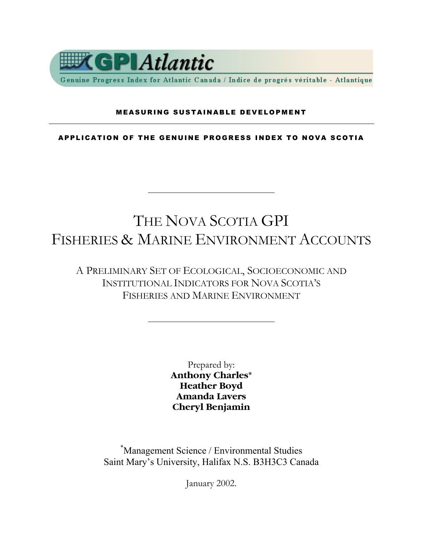

Genuine Progress Index for Atlantic Canada / Indice de progrés véritable - Atlantique

#### MEASURING SUSTAINABLE DEVELOPMENT

APPLICATION OF THE GENUINE PROGRESS INDEX TO NOVA SCOTIA

## THE NOVA SCOTIA GPI FISHERIES & MARINE ENVIRONMENT ACCOUNTS

A PRELIMINARY SET OF ECOLOGICAL, SOCIOECONOMIC AND INSTITUTIONAL INDICATORS FOR NOVA SCOTIA'S FISHERIES AND MARINE ENVIRONMENT

> Prepared by: **Anthony Charles\* Heather Boyd Amanda Lavers Cheryl Benjamin**

\* Management Science / Environmental Studies Saint Mary's University, Halifax N.S. B3H3C3 Canada

January 2002.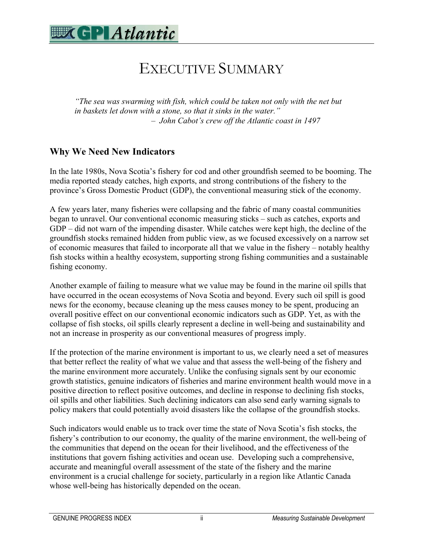

## EXECUTIVE SUMMARY

*"The sea was swarming with fish, which could be taken not only with the net but in baskets let down with a stone, so that it sinks in the water." – John Cabot's crew off the Atlantic coast in 1497* 

### **Why We Need New Indicators**

In the late 1980s, Nova Scotia's fishery for cod and other groundfish seemed to be booming. The media reported steady catches, high exports, and strong contributions of the fishery to the province's Gross Domestic Product (GDP), the conventional measuring stick of the economy.

A few years later, many fisheries were collapsing and the fabric of many coastal communities began to unravel. Our conventional economic measuring sticks – such as catches, exports and GDP – did not warn of the impending disaster. While catches were kept high, the decline of the groundfish stocks remained hidden from public view, as we focused excessively on a narrow set of economic measures that failed to incorporate all that we value in the fishery – notably healthy fish stocks within a healthy ecosystem, supporting strong fishing communities and a sustainable fishing economy.

Another example of failing to measure what we value may be found in the marine oil spills that have occurred in the ocean ecosystems of Nova Scotia and beyond. Every such oil spill is good news for the economy, because cleaning up the mess causes money to be spent, producing an overall positive effect on our conventional economic indicators such as GDP. Yet, as with the collapse of fish stocks, oil spills clearly represent a decline in well-being and sustainability and not an increase in prosperity as our conventional measures of progress imply.

If the protection of the marine environment is important to us, we clearly need a set of measures that better reflect the reality of what we value and that assess the well-being of the fishery and the marine environment more accurately. Unlike the confusing signals sent by our economic growth statistics, genuine indicators of fisheries and marine environment health would move in a positive direction to reflect positive outcomes, and decline in response to declining fish stocks, oil spills and other liabilities. Such declining indicators can also send early warning signals to policy makers that could potentially avoid disasters like the collapse of the groundfish stocks.

Such indicators would enable us to track over time the state of Nova Scotia's fish stocks, the fishery's contribution to our economy, the quality of the marine environment, the well-being of the communities that depend on the ocean for their livelihood, and the effectiveness of the institutions that govern fishing activities and ocean use. Developing such a comprehensive, accurate and meaningful overall assessment of the state of the fishery and the marine environment is a crucial challenge for society, particularly in a region like Atlantic Canada whose well-being has historically depended on the ocean.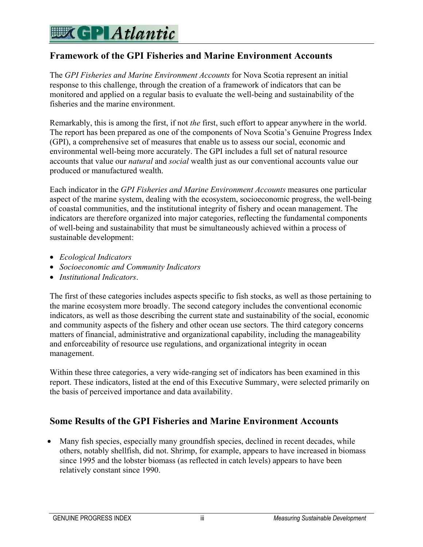### **Framework of the GPI Fisheries and Marine Environment Accounts**

The *GPI Fisheries and Marine Environment Accounts* for Nova Scotia represent an initial response to this challenge, through the creation of a framework of indicators that can be monitored and applied on a regular basis to evaluate the well-being and sustainability of the fisheries and the marine environment.

Remarkably, this is among the first, if not *the* first, such effort to appear anywhere in the world. The report has been prepared as one of the components of Nova Scotia's Genuine Progress Index (GPI), a comprehensive set of measures that enable us to assess our social, economic and environmental well-being more accurately. The GPI includes a full set of natural resource accounts that value our *natural* and *social* wealth just as our conventional accounts value our produced or manufactured wealth.

Each indicator in the *GPI Fisheries and Marine Environment Accounts* measures one particular aspect of the marine system, dealing with the ecosystem, socioeconomic progress, the well-being of coastal communities, and the institutional integrity of fishery and ocean management. The indicators are therefore organized into major categories, reflecting the fundamental components of well-being and sustainability that must be simultaneously achieved within a process of sustainable development:

- *Ecological Indicators*
- *Socioeconomic and Community Indicators*
- *Institutional Indicators*.

The first of these categories includes aspects specific to fish stocks, as well as those pertaining to the marine ecosystem more broadly. The second category includes the conventional economic indicators, as well as those describing the current state and sustainability of the social, economic and community aspects of the fishery and other ocean use sectors. The third category concerns matters of financial, administrative and organizational capability, including the manageability and enforceability of resource use regulations, and organizational integrity in ocean management.

Within these three categories, a very wide-ranging set of indicators has been examined in this report. These indicators, listed at the end of this Executive Summary, were selected primarily on the basis of perceived importance and data availability.

### **Some Results of the GPI Fisheries and Marine Environment Accounts**

• Many fish species, especially many groundfish species, declined in recent decades, while others, notably shellfish, did not. Shrimp, for example, appears to have increased in biomass since 1995 and the lobster biomass (as reflected in catch levels) appears to have been relatively constant since 1990.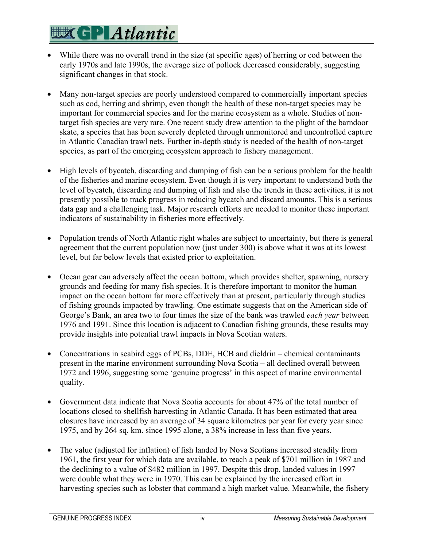- While there was no overall trend in the size (at specific ages) of herring or cod between the early 1970s and late 1990s, the average size of pollock decreased considerably, suggesting significant changes in that stock.
- Many non-target species are poorly understood compared to commercially important species such as cod, herring and shrimp, even though the health of these non-target species may be important for commercial species and for the marine ecosystem as a whole. Studies of nontarget fish species are very rare. One recent study drew attention to the plight of the barndoor skate, a species that has been severely depleted through unmonitored and uncontrolled capture in Atlantic Canadian trawl nets. Further in-depth study is needed of the health of non-target species, as part of the emerging ecosystem approach to fishery management.
- High levels of bycatch, discarding and dumping of fish can be a serious problem for the health of the fisheries and marine ecosystem. Even though it is very important to understand both the level of bycatch, discarding and dumping of fish and also the trends in these activities, it is not presently possible to track progress in reducing bycatch and discard amounts. This is a serious data gap and a challenging task. Major research efforts are needed to monitor these important indicators of sustainability in fisheries more effectively.
- Population trends of North Atlantic right whales are subject to uncertainty, but there is general agreement that the current population now (just under 300) is above what it was at its lowest level, but far below levels that existed prior to exploitation.
- Ocean gear can adversely affect the ocean bottom, which provides shelter, spawning, nursery grounds and feeding for many fish species. It is therefore important to monitor the human impact on the ocean bottom far more effectively than at present, particularly through studies of fishing grounds impacted by trawling. One estimate suggests that on the American side of George's Bank, an area two to four times the size of the bank was trawled *each year* between 1976 and 1991. Since this location is adjacent to Canadian fishing grounds, these results may provide insights into potential trawl impacts in Nova Scotian waters.
- Concentrations in seabird eggs of PCBs, DDE, HCB and dieldrin chemical contaminants present in the marine environment surrounding Nova Scotia – all declined overall between 1972 and 1996, suggesting some 'genuine progress' in this aspect of marine environmental quality.
- Government data indicate that Nova Scotia accounts for about 47% of the total number of locations closed to shellfish harvesting in Atlantic Canada. It has been estimated that area closures have increased by an average of 34 square kilometres per year for every year since 1975, and by 264 sq. km. since 1995 alone, a 38% increase in less than five years.
- The value (adjusted for inflation) of fish landed by Nova Scotians increased steadily from 1961, the first year for which data are available, to reach a peak of \$701 million in 1987 and the declining to a value of \$482 million in 1997. Despite this drop, landed values in 1997 were double what they were in 1970. This can be explained by the increased effort in harvesting species such as lobster that command a high market value. Meanwhile, the fishery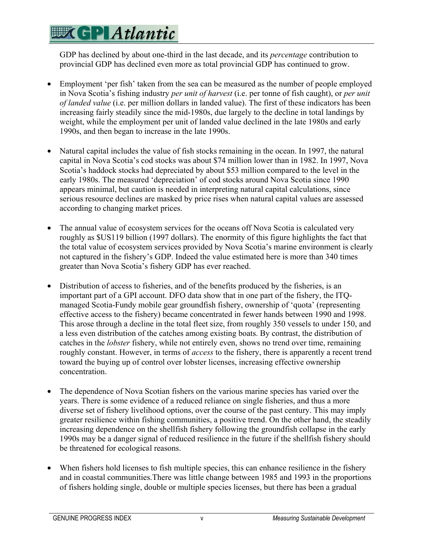GDP has declined by about one-third in the last decade, and its *percentage* contribution to provincial GDP has declined even more as total provincial GDP has continued to grow.

- Employment 'per fish' taken from the sea can be measured as the number of people employed in Nova Scotia's fishing industry *per unit of harvest* (i.e. per tonne of fish caught), or *per unit of landed value* (i.e. per million dollars in landed value). The first of these indicators has been increasing fairly steadily since the mid-1980s, due largely to the decline in total landings by weight, while the employment per unit of landed value declined in the late 1980s and early 1990s, and then began to increase in the late 1990s.
- Natural capital includes the value of fish stocks remaining in the ocean. In 1997, the natural capital in Nova Scotia's cod stocks was about \$74 million lower than in 1982. In 1997, Nova Scotia's haddock stocks had depreciated by about \$53 million compared to the level in the early 1980s. The measured 'depreciation' of cod stocks around Nova Scotia since 1990 appears minimal, but caution is needed in interpreting natural capital calculations, since serious resource declines are masked by price rises when natural capital values are assessed according to changing market prices.
- The annual value of ecosystem services for the oceans off Nova Scotia is calculated very roughly as \$US119 billion (1997 dollars). The enormity of this figure highlights the fact that the total value of ecosystem services provided by Nova Scotia's marine environment is clearly not captured in the fishery's GDP. Indeed the value estimated here is more than 340 times greater than Nova Scotia's fishery GDP has ever reached.
- Distribution of access to fisheries, and of the benefits produced by the fisheries, is an important part of a GPI account. DFO data show that in one part of the fishery, the ITQmanaged Scotia-Fundy mobile gear groundfish fishery, ownership of 'quota' (representing effective access to the fishery) became concentrated in fewer hands between 1990 and 1998. This arose through a decline in the total fleet size, from roughly 350 vessels to under 150, and a less even distribution of the catches among existing boats. By contrast, the distribution of catches in the *lobster* fishery, while not entirely even, shows no trend over time, remaining roughly constant. However, in terms of *access* to the fishery, there is apparently a recent trend toward the buying up of control over lobster licenses, increasing effective ownership concentration.
- The dependence of Nova Scotian fishers on the various marine species has varied over the years. There is some evidence of a reduced reliance on single fisheries, and thus a more diverse set of fishery livelihood options, over the course of the past century. This may imply greater resilience within fishing communities, a positive trend. On the other hand, the steadily increasing dependence on the shellfish fishery following the groundfish collapse in the early 1990s may be a danger signal of reduced resilience in the future if the shellfish fishery should be threatened for ecological reasons.
- When fishers hold licenses to fish multiple species, this can enhance resilience in the fishery and in coastal communities.There was little change between 1985 and 1993 in the proportions of fishers holding single, double or multiple species licenses, but there has been a gradual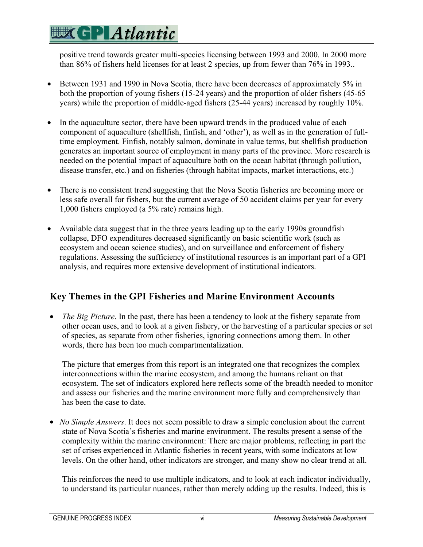positive trend towards greater multi-species licensing between 1993 and 2000. In 2000 more than 86% of fishers held licenses for at least 2 species, up from fewer than 76% in 1993..

- Between 1931 and 1990 in Nova Scotia, there have been decreases of approximately 5% in both the proportion of young fishers (15-24 years) and the proportion of older fishers (45-65 years) while the proportion of middle-aged fishers (25-44 years) increased by roughly 10%.
- In the aquaculture sector, there have been upward trends in the produced value of each component of aquaculture (shellfish, finfish, and 'other'), as well as in the generation of fulltime employment. Finfish, notably salmon, dominate in value terms, but shellfish production generates an important source of employment in many parts of the province. More research is needed on the potential impact of aquaculture both on the ocean habitat (through pollution, disease transfer, etc.) and on fisheries (through habitat impacts, market interactions, etc.)
- There is no consistent trend suggesting that the Nova Scotia fisheries are becoming more or less safe overall for fishers, but the current average of 50 accident claims per year for every 1,000 fishers employed (a 5% rate) remains high.
- Available data suggest that in the three years leading up to the early 1990s groundfish collapse, DFO expenditures decreased significantly on basic scientific work (such as ecosystem and ocean science studies), and on surveillance and enforcement of fishery regulations. Assessing the sufficiency of institutional resources is an important part of a GPI analysis, and requires more extensive development of institutional indicators.

### **Key Themes in the GPI Fisheries and Marine Environment Accounts**

• *The Big Picture*. In the past, there has been a tendency to look at the fishery separate from other ocean uses, and to look at a given fishery, or the harvesting of a particular species or set of species, as separate from other fisheries, ignoring connections among them. In other words, there has been too much compartmentalization.

The picture that emerges from this report is an integrated one that recognizes the complex interconnections within the marine ecosystem, and among the humans reliant on that ecosystem. The set of indicators explored here reflects some of the breadth needed to monitor and assess our fisheries and the marine environment more fully and comprehensively than has been the case to date.

• *No Simple Answers*. It does not seem possible to draw a simple conclusion about the current state of Nova Scotia's fisheries and marine environment. The results present a sense of the complexity within the marine environment: There are major problems, reflecting in part the set of crises experienced in Atlantic fisheries in recent years, with some indicators at low levels. On the other hand, other indicators are stronger, and many show no clear trend at all.

This reinforces the need to use multiple indicators, and to look at each indicator individually, to understand its particular nuances, rather than merely adding up the results. Indeed, this is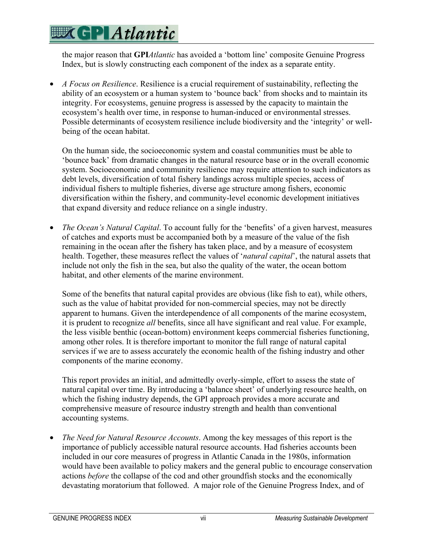the major reason that **GPI***Atlantic* has avoided a 'bottom line' composite Genuine Progress Index, but is slowly constructing each component of the index as a separate entity.

• *A Focus on Resilience*. Resilience is a crucial requirement of sustainability, reflecting the ability of an ecosystem or a human system to 'bounce back' from shocks and to maintain its integrity. For ecosystems, genuine progress is assessed by the capacity to maintain the ecosystem's health over time, in response to human-induced or environmental stresses. Possible determinants of ecosystem resilience include biodiversity and the 'integrity' or wellbeing of the ocean habitat.

On the human side, the socioeconomic system and coastal communities must be able to 'bounce back' from dramatic changes in the natural resource base or in the overall economic system. Socioeconomic and community resilience may require attention to such indicators as debt levels, diversification of total fishery landings across multiple species, access of individual fishers to multiple fisheries, diverse age structure among fishers, economic diversification within the fishery, and community-level economic development initiatives that expand diversity and reduce reliance on a single industry.

• *The Ocean's Natural Capital*. To account fully for the 'benefits' of a given harvest, measures of catches and exports must be accompanied both by a measure of the value of the fish remaining in the ocean after the fishery has taken place, and by a measure of ecosystem health. Together, these measures reflect the values of '*natural capital*', the natural assets that include not only the fish in the sea, but also the quality of the water, the ocean bottom habitat, and other elements of the marine environment.

Some of the benefits that natural capital provides are obvious (like fish to eat), while others, such as the value of habitat provided for non-commercial species, may not be directly apparent to humans. Given the interdependence of all components of the marine ecosystem, it is prudent to recognize *all* benefits, since all have significant and real value. For example, the less visible benthic (ocean-bottom) environment keeps commercial fisheries functioning, among other roles. It is therefore important to monitor the full range of natural capital services if we are to assess accurately the economic health of the fishing industry and other components of the marine economy.

This report provides an initial, and admittedly overly-simple, effort to assess the state of natural capital over time. By introducing a 'balance sheet' of underlying resource health, on which the fishing industry depends, the GPI approach provides a more accurate and comprehensive measure of resource industry strength and health than conventional accounting systems.

• *The Need for Natural Resource Accounts*. Among the key messages of this report is the importance of publicly accessible natural resource accounts. Had fisheries accounts been included in our core measures of progress in Atlantic Canada in the 1980s, information would have been available to policy makers and the general public to encourage conservation actions *before* the collapse of the cod and other groundfish stocks and the economically devastating moratorium that followed. A major role of the Genuine Progress Index, and of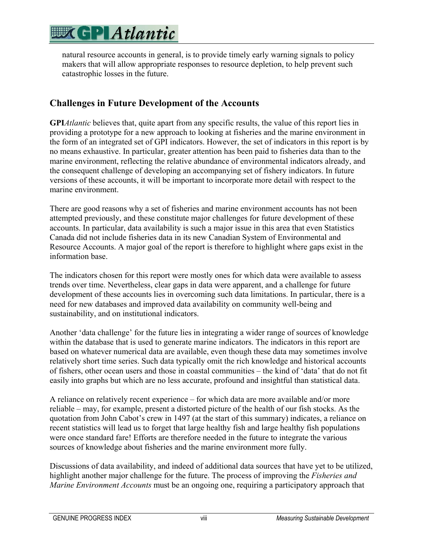

natural resource accounts in general, is to provide timely early warning signals to policy makers that will allow appropriate responses to resource depletion, to help prevent such catastrophic losses in the future.

### **Challenges in Future Development of the Accounts**

**GPI***Atlantic* believes that, quite apart from any specific results, the value of this report lies in providing a prototype for a new approach to looking at fisheries and the marine environment in the form of an integrated set of GPI indicators. However, the set of indicators in this report is by no means exhaustive. In particular, greater attention has been paid to fisheries data than to the marine environment, reflecting the relative abundance of environmental indicators already, and the consequent challenge of developing an accompanying set of fishery indicators. In future versions of these accounts, it will be important to incorporate more detail with respect to the marine environment.

There are good reasons why a set of fisheries and marine environment accounts has not been attempted previously, and these constitute major challenges for future development of these accounts. In particular, data availability is such a major issue in this area that even Statistics Canada did not include fisheries data in its new Canadian System of Environmental and Resource Accounts. A major goal of the report is therefore to highlight where gaps exist in the information base.

The indicators chosen for this report were mostly ones for which data were available to assess trends over time. Nevertheless, clear gaps in data were apparent, and a challenge for future development of these accounts lies in overcoming such data limitations. In particular, there is a need for new databases and improved data availability on community well-being and sustainability, and on institutional indicators.

Another 'data challenge' for the future lies in integrating a wider range of sources of knowledge within the database that is used to generate marine indicators. The indicators in this report are based on whatever numerical data are available, even though these data may sometimes involve relatively short time series. Such data typically omit the rich knowledge and historical accounts of fishers, other ocean users and those in coastal communities – the kind of 'data' that do not fit easily into graphs but which are no less accurate, profound and insightful than statistical data.

A reliance on relatively recent experience – for which data are more available and/or more reliable – may, for example, present a distorted picture of the health of our fish stocks. As the quotation from John Cabot's crew in 1497 (at the start of this summary) indicates, a reliance on recent statistics will lead us to forget that large healthy fish and large healthy fish populations were once standard fare! Efforts are therefore needed in the future to integrate the various sources of knowledge about fisheries and the marine environment more fully.

Discussions of data availability, and indeed of additional data sources that have yet to be utilized, highlight another major challenge for the future. The process of improving the *Fisheries and Marine Environment Accounts* must be an ongoing one, requiring a participatory approach that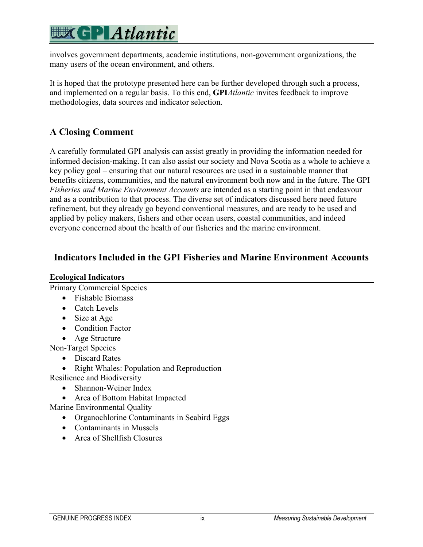## **EXCPLAtlantic**

involves government departments, academic institutions, non-government organizations, the many users of the ocean environment, and others.

It is hoped that the prototype presented here can be further developed through such a process, and implemented on a regular basis. To this end, **GPI***Atlantic* invites feedback to improve methodologies, data sources and indicator selection.

### **A Closing Comment**

A carefully formulated GPI analysis can assist greatly in providing the information needed for informed decision-making. It can also assist our society and Nova Scotia as a whole to achieve a key policy goal – ensuring that our natural resources are used in a sustainable manner that benefits citizens, communities, and the natural environment both now and in the future. The GPI *Fisheries and Marine Environment Accounts* are intended as a starting point in that endeavour and as a contribution to that process. The diverse set of indicators discussed here need future refinement, but they already go beyond conventional measures, and are ready to be used and applied by policy makers, fishers and other ocean users, coastal communities, and indeed everyone concerned about the health of our fisheries and the marine environment.

### **Indicators Included in the GPI Fisheries and Marine Environment Accounts**

#### **Ecological Indicators**

Primary Commercial Species

- Fishable Biomass
- Catch Levels
- Size at Age
- Condition Factor
- Age Structure

Non-Target Species

- Discard Rates
- Right Whales: Population and Reproduction

Resilience and Biodiversity

- Shannon-Weiner Index
- Area of Bottom Habitat Impacted
- Marine Environmental Quality
	- Organochlorine Contaminants in Seabird Eggs
	- Contaminants in Mussels
	- Area of Shellfish Closures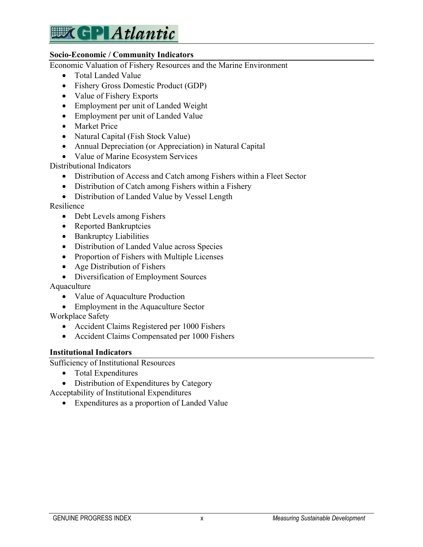

#### **Socio-Economic / Community Indicators**

Economic Valuation of Fishery Resources and the Marine Environment

- Total Landed Value
- Fishery Gross Domestic Product (GDP)
- Value of Fishery Exports
- Employment per unit of Landed Weight
- Employment per unit of Landed Value
- Market Price
- Natural Capital (Fish Stock Value)
- Annual Depreciation (or Appreciation) in Natural Capital
- Value of Marine Ecosystem Services

Distributional Indicators

- Distribution of Access and Catch among Fishers within a Fleet Sector
- Distribution of Catch among Fishers within a Fishery
- Distribution of Landed Value by Vessel Length

Resilience

- Debt Levels among Fishers
- Reported Bankruptcies
- Bankruptcy Liabilities
- Distribution of Landed Value across Species
- Proportion of Fishers with Multiple Licenses
- Age Distribution of Fishers
- Diversification of Employment Sources

Aquaculture

- Value of Aquaculture Production
- Employment in the Aquaculture Sector

Workplace Safety

- Accident Claims Registered per 1000 Fishers
- Accident Claims Compensated per 1000 Fishers

#### **Institutional Indicators**

Sufficiency of Institutional Resources

- Total Expenditures
- Distribution of Expenditures by Category

Acceptability of Institutional Expenditures

• Expenditures as a proportion of Landed Value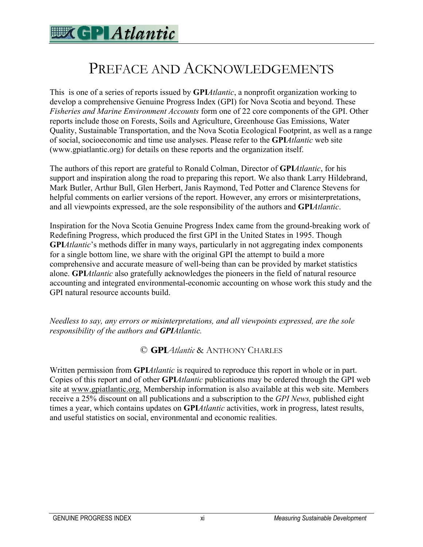### PREFACE AND ACKNOWLEDGEMENTS

This is one of a series of reports issued by **GPI***Atlantic*, a nonprofit organization working to develop a comprehensive Genuine Progress Index (GPI) for Nova Scotia and beyond. These *Fisheries and Marine Environment Accounts* form one of 22 core components of the GPI. Other reports include those on Forests, Soils and Agriculture, Greenhouse Gas Emissions, Water Quality, Sustainable Transportation, and the Nova Scotia Ecological Footprint, as well as a range of social, socioeconomic and time use analyses. Please refer to the **GPI***Atlantic* web site (www.gpiatlantic.org) for details on these reports and the organization itself.

The authors of this report are grateful to Ronald Colman, Director of **GPI***Atlantic*, for his support and inspiration along the road to preparing this report. We also thank Larry Hildebrand, Mark Butler, Arthur Bull, Glen Herbert, Janis Raymond, Ted Potter and Clarence Stevens for helpful comments on earlier versions of the report. However, any errors or misinterpretations, and all viewpoints expressed, are the sole responsibility of the authors and **GPI***Atlantic*.

Inspiration for the Nova Scotia Genuine Progress Index came from the ground-breaking work of Redefining Progress, which produced the first GPI in the United States in 1995. Though **GPI***Atlantic*'s methods differ in many ways, particularly in not aggregating index components for a single bottom line, we share with the original GPI the attempt to build a more comprehensive and accurate measure of well-being than can be provided by market statistics alone. **GPI***Atlantic* also gratefully acknowledges the pioneers in the field of natural resource accounting and integrated environmental-economic accounting on whose work this study and the GPI natural resource accounts build.

*Needless to say, any errors or misinterpretations, and all viewpoints expressed, are the sole responsibility of the authors and GPIAtlantic.* 

### © **GPI***Atlantic* & ANTHONY CHARLES

Written permission from **GPI***Atlantic* is required to reproduce this report in whole or in part. Copies of this report and of other **GPI***Atlantic* publications may be ordered through the GPI web site at www.gpiatlantic.org. Membership information is also available at this web site. Members receive a 25% discount on all publications and a subscription to the *GPI News,* published eight times a year, which contains updates on **GPI***Atlantic* activities, work in progress, latest results, and useful statistics on social, environmental and economic realities.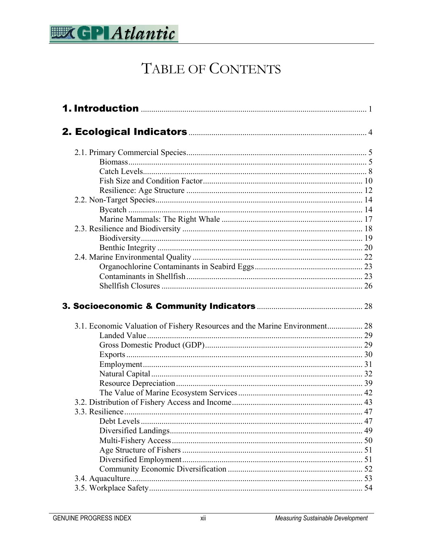

## TABLE OF CONTENTS

| 3.1. Economic Valuation of Fishery Resources and the Marine Environment 28 |    |
|----------------------------------------------------------------------------|----|
|                                                                            |    |
|                                                                            |    |
|                                                                            |    |
|                                                                            |    |
|                                                                            |    |
|                                                                            |    |
|                                                                            |    |
|                                                                            |    |
| 3.3. Resilience                                                            |    |
|                                                                            |    |
|                                                                            | 49 |
|                                                                            |    |
|                                                                            |    |
|                                                                            |    |
|                                                                            | 51 |
|                                                                            | 52 |
|                                                                            |    |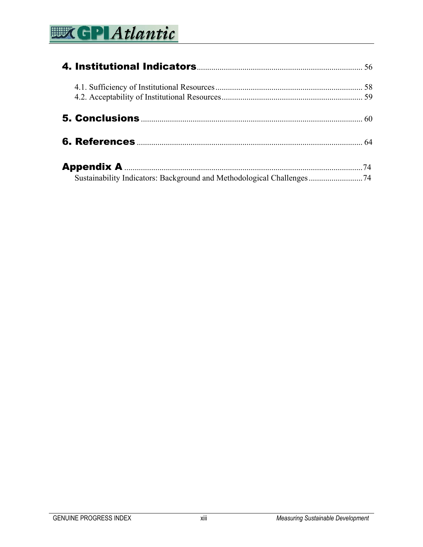# **WEP Atlantic**

| Sustainability Indicators: Background and Methodological Challenges74 |  |
|-----------------------------------------------------------------------|--|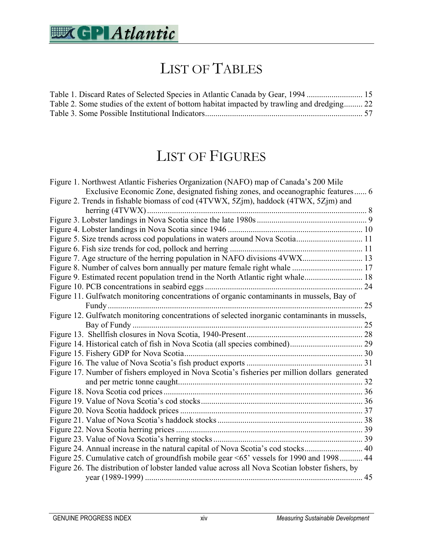

## LIST OF TABLES

| Table 2. Some studies of the extent of bottom habitat impacted by trawling and dredging 22 |  |
|--------------------------------------------------------------------------------------------|--|
|                                                                                            |  |

## LIST OF FIGURES

| Figure 1. Northwest Atlantic Fisheries Organization (NAFO) map of Canada's 200 Mile             |  |
|-------------------------------------------------------------------------------------------------|--|
| Exclusive Economic Zone, designated fishing zones, and oceanographic features 6                 |  |
| Figure 2. Trends in fishable biomass of cod (4TVWX, 5Zjm), haddock (4TWX, 5Zjm) and             |  |
|                                                                                                 |  |
|                                                                                                 |  |
|                                                                                                 |  |
| Figure 5. Size trends across cod populations in waters around Nova Scotia 11                    |  |
|                                                                                                 |  |
| Figure 7. Age structure of the herring population in NAFO divisions 4VWX 13                     |  |
|                                                                                                 |  |
| Figure 9. Estimated recent population trend in the North Atlantic right whale 18                |  |
|                                                                                                 |  |
| Figure 11. Gulfwatch monitoring concentrations of organic contaminants in mussels, Bay of       |  |
|                                                                                                 |  |
| Figure 12. Gulfwatch monitoring concentrations of selected inorganic contaminants in mussels,   |  |
|                                                                                                 |  |
|                                                                                                 |  |
|                                                                                                 |  |
|                                                                                                 |  |
|                                                                                                 |  |
| Figure 17. Number of fishers employed in Nova Scotia's fisheries per million dollars generated  |  |
|                                                                                                 |  |
|                                                                                                 |  |
|                                                                                                 |  |
|                                                                                                 |  |
|                                                                                                 |  |
|                                                                                                 |  |
|                                                                                                 |  |
| Figure 24. Annual increase in the natural capital of Nova Scotia's cod stocks 40                |  |
| Figure 25. Cumulative catch of groundfish mobile gear <65' vessels for 1990 and 1998 44         |  |
| Figure 26. The distribution of lobster landed value across all Nova Scotian lobster fishers, by |  |
|                                                                                                 |  |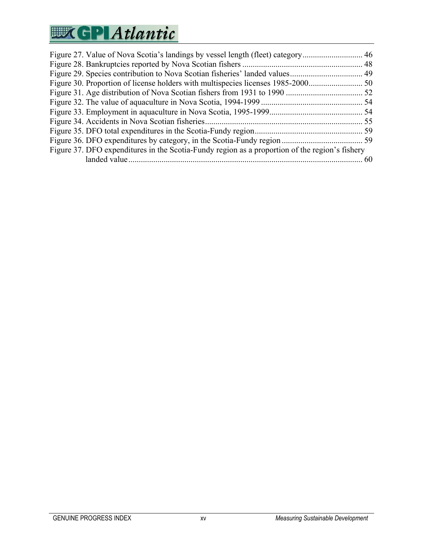# **WEP Atlantic**

| Figure 37. DFO expenditures in the Scotia-Fundy region as a proportion of the region's fishery |  |
|------------------------------------------------------------------------------------------------|--|
|                                                                                                |  |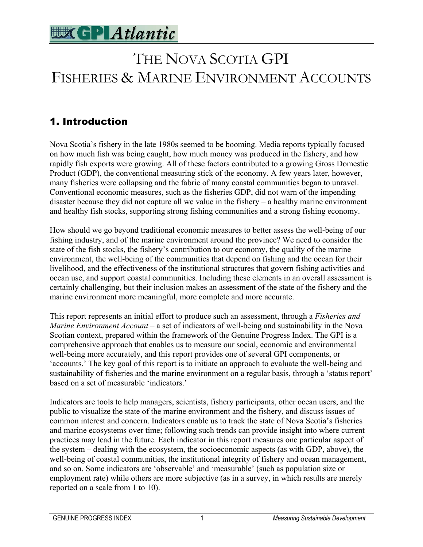

## THE NOVA SCOTIA GPI FISHERIES & MARINE ENVIRONMENT ACCOUNTS

### 1. Introduction

Nova Scotia's fishery in the late 1980s seemed to be booming. Media reports typically focused on how much fish was being caught, how much money was produced in the fishery, and how rapidly fish exports were growing. All of these factors contributed to a growing Gross Domestic Product (GDP), the conventional measuring stick of the economy. A few years later, however, many fisheries were collapsing and the fabric of many coastal communities began to unravel. Conventional economic measures, such as the fisheries GDP, did not warn of the impending disaster because they did not capture all we value in the fishery – a healthy marine environment and healthy fish stocks, supporting strong fishing communities and a strong fishing economy.

How should we go beyond traditional economic measures to better assess the well-being of our fishing industry, and of the marine environment around the province? We need to consider the state of the fish stocks, the fishery's contribution to our economy, the quality of the marine environment, the well-being of the communities that depend on fishing and the ocean for their livelihood, and the effectiveness of the institutional structures that govern fishing activities and ocean use, and support coastal communities. Including these elements in an overall assessment is certainly challenging, but their inclusion makes an assessment of the state of the fishery and the marine environment more meaningful, more complete and more accurate.

This report represents an initial effort to produce such an assessment, through a *Fisheries and Marine Environment Account* – a set of indicators of well-being and sustainability in the Nova Scotian context, prepared within the framework of the Genuine Progress Index. The GPI is a comprehensive approach that enables us to measure our social, economic and environmental well-being more accurately, and this report provides one of several GPI components, or 'accounts.' The key goal of this report is to initiate an approach to evaluate the well-being and sustainability of fisheries and the marine environment on a regular basis, through a 'status report' based on a set of measurable 'indicators.'

Indicators are tools to help managers, scientists, fishery participants, other ocean users, and the public to visualize the state of the marine environment and the fishery, and discuss issues of common interest and concern. Indicators enable us to track the state of Nova Scotia's fisheries and marine ecosystems over time; following such trends can provide insight into where current practices may lead in the future. Each indicator in this report measures one particular aspect of the system – dealing with the ecosystem, the socioeconomic aspects (as with GDP, above), the well-being of coastal communities, the institutional integrity of fishery and ocean management, and so on. Some indicators are 'observable' and 'measurable' (such as population size or employment rate) while others are more subjective (as in a survey, in which results are merely reported on a scale from 1 to 10).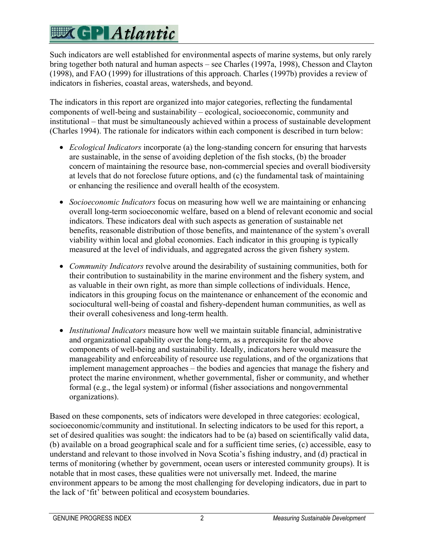Such indicators are well established for environmental aspects of marine systems, but only rarely bring together both natural and human aspects – see Charles (1997a, 1998), Chesson and Clayton (1998), and FAO (1999) for illustrations of this approach. Charles (1997b) provides a review of indicators in fisheries, coastal areas, watersheds, and beyond.

The indicators in this report are organized into major categories, reflecting the fundamental components of well-being and sustainability – ecological, socioeconomic, community and institutional – that must be simultaneously achieved within a process of sustainable development (Charles 1994). The rationale for indicators within each component is described in turn below:

- *Ecological Indicators* incorporate (a) the long-standing concern for ensuring that harvests are sustainable, in the sense of avoiding depletion of the fish stocks, (b) the broader concern of maintaining the resource base, non-commercial species and overall biodiversity at levels that do not foreclose future options, and (c) the fundamental task of maintaining or enhancing the resilience and overall health of the ecosystem.
- *Socioeconomic Indicators* focus on measuring how well we are maintaining or enhancing overall long-term socioeconomic welfare, based on a blend of relevant economic and social indicators. These indicators deal with such aspects as generation of sustainable net benefits, reasonable distribution of those benefits, and maintenance of the system's overall viability within local and global economies. Each indicator in this grouping is typically measured at the level of individuals, and aggregated across the given fishery system.
- *Community Indicators* revolve around the desirability of sustaining communities, both for their contribution to sustainability in the marine environment and the fishery system, and as valuable in their own right, as more than simple collections of individuals. Hence, indicators in this grouping focus on the maintenance or enhancement of the economic and sociocultural well-being of coastal and fishery-dependent human communities, as well as their overall cohesiveness and long-term health.
- *Institutional Indicators* measure how well we maintain suitable financial, administrative and organizational capability over the long-term, as a prerequisite for the above components of well-being and sustainability. Ideally, indicators here would measure the manageability and enforceability of resource use regulations, and of the organizations that implement management approaches – the bodies and agencies that manage the fishery and protect the marine environment, whether governmental, fisher or community, and whether formal (e.g., the legal system) or informal (fisher associations and nongovernmental organizations).

Based on these components, sets of indicators were developed in three categories: ecological, socioeconomic/community and institutional. In selecting indicators to be used for this report, a set of desired qualities was sought: the indicators had to be (a) based on scientifically valid data, (b) available on a broad geographical scale and for a sufficient time series, (c) accessible, easy to understand and relevant to those involved in Nova Scotia's fishing industry, and (d) practical in terms of monitoring (whether by government, ocean users or interested community groups). It is notable that in most cases, these qualities were not universally met. Indeed, the marine environment appears to be among the most challenging for developing indicators, due in part to the lack of 'fit' between political and ecosystem boundaries.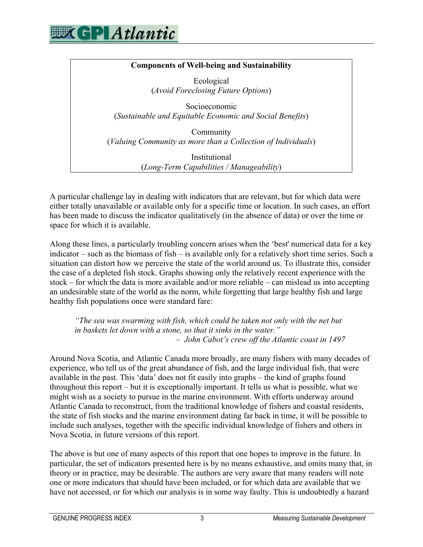

#### **Components of Well-being and Sustainability**

Ecological (*Avoid Foreclosing Future Options*)

Socioeconomic (*Sustainable and Equitable Economic and Social Benefits*)

Community (*Valuing Community as more than a Collection of Individuals*)

> Institutional (*Long-Term Capabilities / Manageability*)

A particular challenge lay in dealing with indicators that are relevant, but for which data were either totally unavailable or available only for a specific time or location. In such cases, an effort has been made to discuss the indicator qualitatively (in the absence of data) or over the time or space for which it is available.

Along these lines, a particularly troubling concern arises when the 'best' numerical data for a key indicator – such as the biomass of fish – is available only for a relatively short time series. Such a situation can distort how we perceive the state of the world around us. To illustrate this, consider the case of a depleted fish stock. Graphs showing only the relatively recent experience with the stock – for which the data is more available and/or more reliable – can mislead us into accepting an undesirable state of the world as the norm, while forgetting that large healthy fish and large healthy fish populations once were standard fare:

*"The sea was swarming with fish, which could be taken not only with the net but in baskets let down with a stone, so that it sinks in the water." – John Cabot's crew off the Atlantic coast in 1497* 

Around Nova Scotia, and Atlantic Canada more broadly, are many fishers with many decades of experience, who tell us of the great abundance of fish, and the large individual fish, that were available in the past. This 'data' does not fit easily into graphs – the kind of graphs found throughout this report – but it is exceptionally important. It tells us what is possible, what we might wish as a society to pursue in the marine environment. With efforts underway around Atlantic Canada to reconstruct, from the traditional knowledge of fishers and coastal residents, the state of fish stocks and the marine environment dating far back in time, it will be possible to include such analyses, together with the specific individual knowledge of fishers and others in Nova Scotia, in future versions of this report.

The above is but one of many aspects of this report that one hopes to improve in the future. In particular, the set of indicators presented here is by no means exhaustive, and omits many that, in theory or in practice, may be desirable. The authors are very aware that many readers will note one or more indicators that should have been included, or for which data are available that we have not accessed, or for which our analysis is in some way faulty. This is undoubtedly a hazard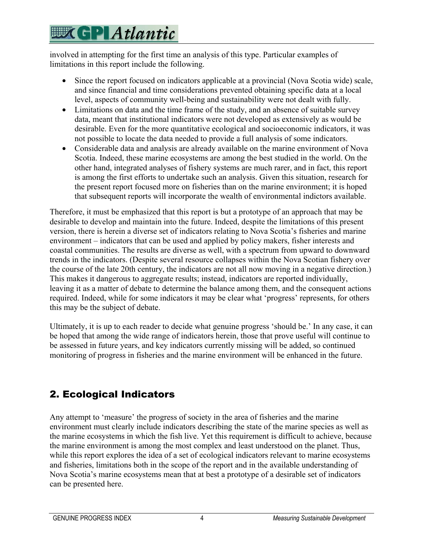involved in attempting for the first time an analysis of this type. Particular examples of limitations in this report include the following.

- Since the report focused on indicators applicable at a provincial (Nova Scotia wide) scale, and since financial and time considerations prevented obtaining specific data at a local level, aspects of community well-being and sustainability were not dealt with fully.
- Limitations on data and the time frame of the study, and an absence of suitable survey data, meant that institutional indicators were not developed as extensively as would be desirable. Even for the more quantitative ecological and socioeconomic indicators, it was not possible to locate the data needed to provide a full analysis of some indicators.
- Considerable data and analysis are already available on the marine environment of Nova Scotia. Indeed, these marine ecosystems are among the best studied in the world. On the other hand, integrated analyses of fishery systems are much rarer, and in fact, this report is among the first efforts to undertake such an analysis. Given this situation, research for the present report focused more on fisheries than on the marine environment; it is hoped that subsequent reports will incorporate the wealth of environmental indictors available.

Therefore, it must be emphasized that this report is but a prototype of an approach that may be desirable to develop and maintain into the future. Indeed, despite the limitations of this present version, there is herein a diverse set of indicators relating to Nova Scotia's fisheries and marine environment – indicators that can be used and applied by policy makers, fisher interests and coastal communities. The results are diverse as well, with a spectrum from upward to downward trends in the indicators. (Despite several resource collapses within the Nova Scotian fishery over the course of the late 20th century, the indicators are not all now moving in a negative direction.) This makes it dangerous to aggregate results; instead, indicators are reported individually, leaving it as a matter of debate to determine the balance among them, and the consequent actions required. Indeed, while for some indicators it may be clear what 'progress' represents, for others this may be the subject of debate.

Ultimately, it is up to each reader to decide what genuine progress 'should be.' In any case, it can be hoped that among the wide range of indicators herein, those that prove useful will continue to be assessed in future years, and key indicators currently missing will be added, so continued monitoring of progress in fisheries and the marine environment will be enhanced in the future.

### 2. Ecological Indicators

Any attempt to 'measure' the progress of society in the area of fisheries and the marine environment must clearly include indicators describing the state of the marine species as well as the marine ecosystems in which the fish live. Yet this requirement is difficult to achieve, because the marine environment is among the most complex and least understood on the planet. Thus, while this report explores the idea of a set of ecological indicators relevant to marine ecosystems and fisheries, limitations both in the scope of the report and in the available understanding of Nova Scotia's marine ecosystems mean that at best a prototype of a desirable set of indicators can be presented here.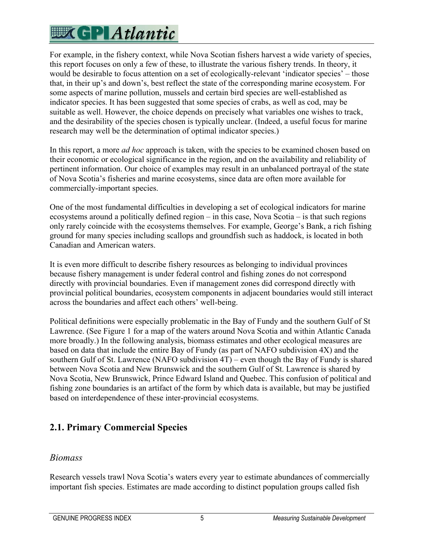For example, in the fishery context, while Nova Scotian fishers harvest a wide variety of species, this report focuses on only a few of these, to illustrate the various fishery trends. In theory, it would be desirable to focus attention on a set of ecologically-relevant 'indicator species' – those that, in their up's and down's, best reflect the state of the corresponding marine ecosystem. For some aspects of marine pollution, mussels and certain bird species are well-established as indicator species. It has been suggested that some species of crabs, as well as cod, may be suitable as well. However, the choice depends on precisely what variables one wishes to track, and the desirability of the species chosen is typically unclear. (Indeed, a useful focus for marine research may well be the determination of optimal indicator species.)

In this report, a more *ad hoc* approach is taken, with the species to be examined chosen based on their economic or ecological significance in the region, and on the availability and reliability of pertinent information. Our choice of examples may result in an unbalanced portrayal of the state of Nova Scotia's fisheries and marine ecosystems, since data are often more available for commercially-important species.

One of the most fundamental difficulties in developing a set of ecological indicators for marine ecosystems around a politically defined region – in this case, Nova Scotia – is that such regions only rarely coincide with the ecosystems themselves. For example, George's Bank, a rich fishing ground for many species including scallops and groundfish such as haddock, is located in both Canadian and American waters.

It is even more difficult to describe fishery resources as belonging to individual provinces because fishery management is under federal control and fishing zones do not correspond directly with provincial boundaries. Even if management zones did correspond directly with provincial political boundaries, ecosystem components in adjacent boundaries would still interact across the boundaries and affect each others' well-being.

Political definitions were especially problematic in the Bay of Fundy and the southern Gulf of St Lawrence. (See Figure 1 for a map of the waters around Nova Scotia and within Atlantic Canada more broadly.) In the following analysis, biomass estimates and other ecological measures are based on data that include the entire Bay of Fundy (as part of NAFO subdivision 4X) and the southern Gulf of St. Lawrence (NAFO subdivision 4T) – even though the Bay of Fundy is shared between Nova Scotia and New Brunswick and the southern Gulf of St. Lawrence is shared by Nova Scotia, New Brunswick, Prince Edward Island and Quebec. This confusion of political and fishing zone boundaries is an artifact of the form by which data is available, but may be justified based on interdependence of these inter-provincial ecosystems.

### **2.1. Primary Commercial Species**

### *Biomass*

Research vessels trawl Nova Scotia's waters every year to estimate abundances of commercially important fish species. Estimates are made according to distinct population groups called fish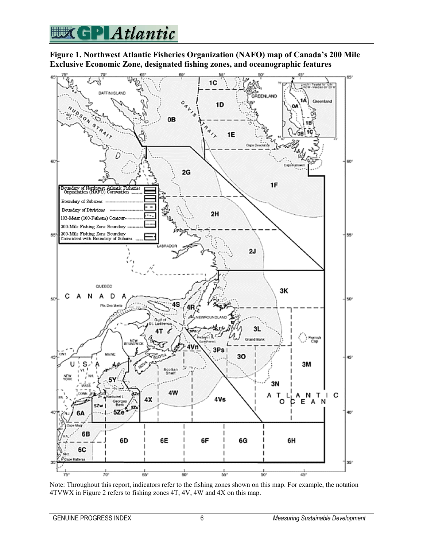## **WGPIAtlantic**

#### **Figure 1. Northwest Atlantic Fisheries Organization (NAFO) map of Canada's 200 Mile Exclusive Economic Zone, designated fishing zones, and oceanographic features**



Note: Throughout this report, indicators refer to the fishing zones shown on this map. For example, the notation 4TVWX in Figure 2 refers to fishing zones 4T, 4V, 4W and 4X on this map.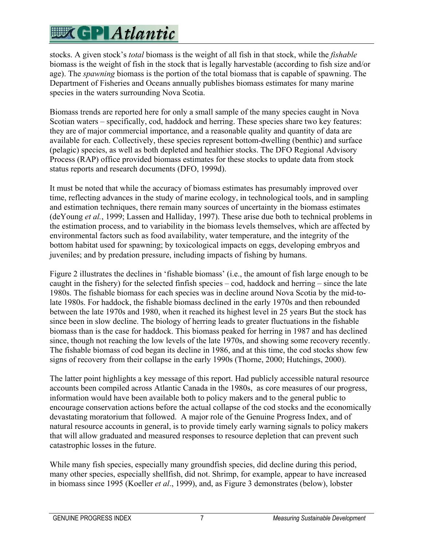# **EXCPLAtlantic**

stocks. A given stock's *total* biomass is the weight of all fish in that stock, while the *fishable* biomass is the weight of fish in the stock that is legally harvestable (according to fish size and/or age). The *spawning* biomass is the portion of the total biomass that is capable of spawning. The Department of Fisheries and Oceans annually publishes biomass estimates for many marine species in the waters surrounding Nova Scotia.

Biomass trends are reported here for only a small sample of the many species caught in Nova Scotian waters – specifically, cod, haddock and herring. These species share two key features: they are of major commercial importance, and a reasonable quality and quantity of data are available for each. Collectively, these species represent bottom-dwelling (benthic) and surface (pelagic) species, as well as both depleted and healthier stocks. The DFO Regional Advisory Process (RAP) office provided biomass estimates for these stocks to update data from stock status reports and research documents (DFO, 1999d).

It must be noted that while the accuracy of biomass estimates has presumably improved over time, reflecting advances in the study of marine ecology, in technological tools, and in sampling and estimation techniques, there remain many sources of uncertainty in the biomass estimates (deYoung *et al.*, 1999; Lassen and Halliday, 1997). These arise due both to technical problems in the estimation process, and to variability in the biomass levels themselves, which are affected by environmental factors such as food availability, water temperature, and the integrity of the bottom habitat used for spawning; by toxicological impacts on eggs, developing embryos and juveniles; and by predation pressure, including impacts of fishing by humans.

Figure 2 illustrates the declines in 'fishable biomass' (i.e., the amount of fish large enough to be caught in the fishery) for the selected finfish species – cod, haddock and herring – since the late 1980s. The fishable biomass for each species was in decline around Nova Scotia by the mid-tolate 1980s. For haddock, the fishable biomass declined in the early 1970s and then rebounded between the late 1970s and 1980, when it reached its highest level in 25 years But the stock has since been in slow decline. The biology of herring leads to greater fluctuations in the fishable biomass than is the case for haddock. This biomass peaked for herring in 1987 and has declined since, though not reaching the low levels of the late 1970s, and showing some recovery recently. The fishable biomass of cod began its decline in 1986, and at this time, the cod stocks show few signs of recovery from their collapse in the early 1990s (Thorne, 2000; Hutchings, 2000).

The latter point highlights a key message of this report. Had publicly accessible natural resource accounts been compiled across Atlantic Canada in the 1980s, as core measures of our progress, information would have been available both to policy makers and to the general public to encourage conservation actions before the actual collapse of the cod stocks and the economically devastating moratorium that followed. A major role of the Genuine Progress Index, and of natural resource accounts in general, is to provide timely early warning signals to policy makers that will allow graduated and measured responses to resource depletion that can prevent such catastrophic losses in the future.

While many fish species, especially many groundfish species, did decline during this period, many other species, especially shellfish, did not. Shrimp, for example, appear to have increased in biomass since 1995 (Koeller *et al*., 1999), and, as Figure 3 demonstrates (below), lobster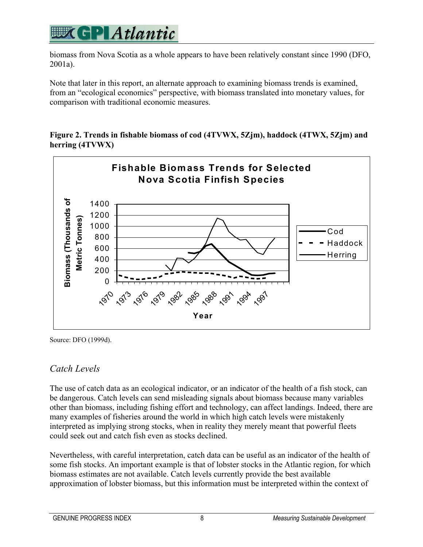

biomass from Nova Scotia as a whole appears to have been relatively constant since 1990 (DFO, 2001a).

Note that later in this report, an alternate approach to examining biomass trends is examined, from an "ecological economics" perspective, with biomass translated into monetary values, for comparison with traditional economic measures.

**Figure 2. Trends in fishable biomass of cod (4TVWX, 5Zjm), haddock (4TWX, 5Zjm) and herring (4TVWX)** 



Source: DFO (1999d).

### *Catch Levels*

The use of catch data as an ecological indicator, or an indicator of the health of a fish stock, can be dangerous. Catch levels can send misleading signals about biomass because many variables other than biomass, including fishing effort and technology, can affect landings. Indeed, there are many examples of fisheries around the world in which high catch levels were mistakenly interpreted as implying strong stocks, when in reality they merely meant that powerful fleets could seek out and catch fish even as stocks declined.

Nevertheless, with careful interpretation, catch data can be useful as an indicator of the health of some fish stocks. An important example is that of lobster stocks in the Atlantic region, for which biomass estimates are not available. Catch levels currently provide the best available approximation of lobster biomass, but this information must be interpreted within the context of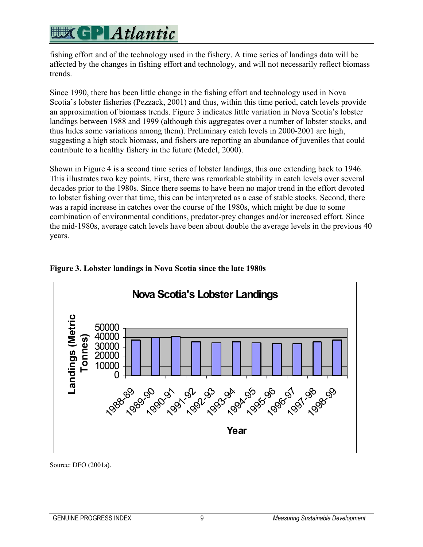## **EXCPLAtlantic**

fishing effort and of the technology used in the fishery. A time series of landings data will be affected by the changes in fishing effort and technology, and will not necessarily reflect biomass trends.

Since 1990, there has been little change in the fishing effort and technology used in Nova Scotia's lobster fisheries (Pezzack, 2001) and thus, within this time period, catch levels provide an approximation of biomass trends. Figure 3 indicates little variation in Nova Scotia's lobster landings between 1988 and 1999 (although this aggregates over a number of lobster stocks, and thus hides some variations among them). Preliminary catch levels in 2000-2001 are high, suggesting a high stock biomass, and fishers are reporting an abundance of juveniles that could contribute to a healthy fishery in the future (Medel, 2000).

Shown in Figure 4 is a second time series of lobster landings, this one extending back to 1946. This illustrates two key points. First, there was remarkable stability in catch levels over several decades prior to the 1980s. Since there seems to have been no major trend in the effort devoted to lobster fishing over that time, this can be interpreted as a case of stable stocks. Second, there was a rapid increase in catches over the course of the 1980s, which might be due to some combination of environmental conditions, predator-prey changes and/or increased effort. Since the mid-1980s, average catch levels have been about double the average levels in the previous 40 years.



### **Figure 3. Lobster landings in Nova Scotia since the late 1980s**

Source: DFO (2001a).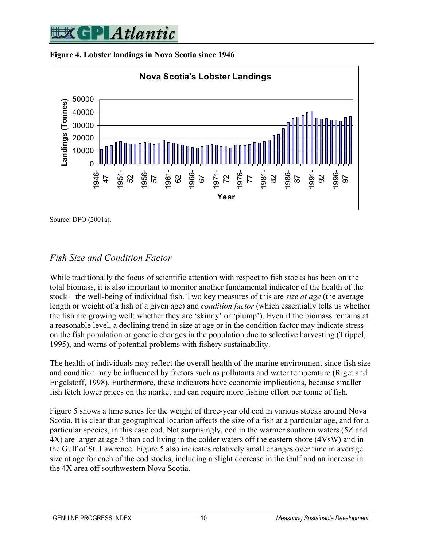





Source: DFO (2001a).

### *Fish Size and Condition Factor*

While traditionally the focus of scientific attention with respect to fish stocks has been on the total biomass, it is also important to monitor another fundamental indicator of the health of the stock – the well-being of individual fish. Two key measures of this are *size at age* (the average length or weight of a fish of a given age) and *condition factor* (which essentially tells us whether the fish are growing well; whether they are 'skinny' or 'plump'). Even if the biomass remains at a reasonable level, a declining trend in size at age or in the condition factor may indicate stress on the fish population or genetic changes in the population due to selective harvesting (Trippel, 1995), and warns of potential problems with fishery sustainability.

The health of individuals may reflect the overall health of the marine environment since fish size and condition may be influenced by factors such as pollutants and water temperature (Riget and Engelstoff, 1998). Furthermore, these indicators have economic implications, because smaller fish fetch lower prices on the market and can require more fishing effort per tonne of fish.

Figure 5 shows a time series for the weight of three-year old cod in various stocks around Nova Scotia. It is clear that geographical location affects the size of a fish at a particular age, and for a particular species, in this case cod. Not surprisingly, cod in the warmer southern waters (5Z and 4X) are larger at age 3 than cod living in the colder waters off the eastern shore (4VsW) and in the Gulf of St. Lawrence. Figure 5 also indicates relatively small changes over time in average size at age for each of the cod stocks, including a slight decrease in the Gulf and an increase in the 4X area off southwestern Nova Scotia.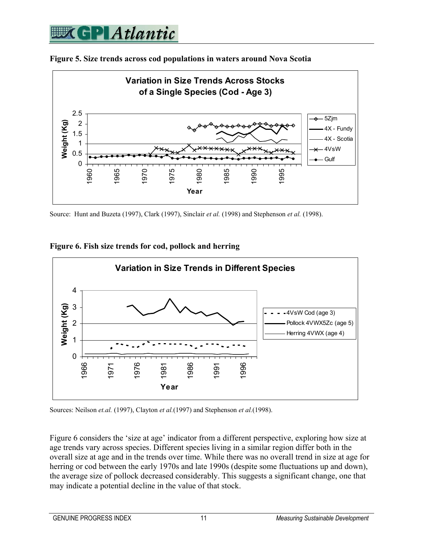



Source: Hunt and Buzeta (1997), Clark (1997), Sinclair *et al.* (1998) and Stephenson *et al.* (1998).





Sources: Neilson *et.al.* (1997), Clayton *et al.*(1997) and Stephenson *et al.*(1998).

Figure 6 considers the 'size at age' indicator from a different perspective, exploring how size at age trends vary across species. Different species living in a similar region differ both in the overall size at age and in the trends over time. While there was no overall trend in size at age for herring or cod between the early 1970s and late 1990s (despite some fluctuations up and down), the average size of pollock decreased considerably. This suggests a significant change, one that may indicate a potential decline in the value of that stock.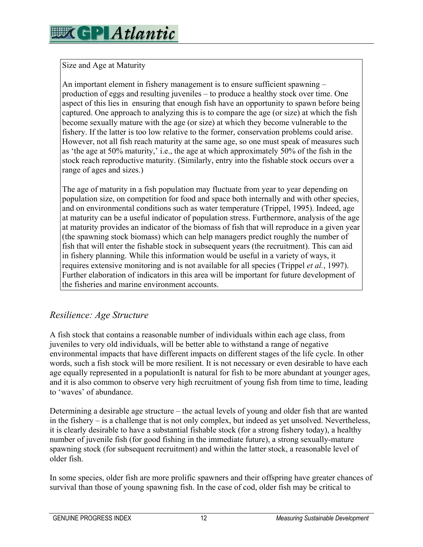#### Size and Age at Maturity

An important element in fishery management is to ensure sufficient spawning – production of eggs and resulting juveniles – to produce a healthy stock over time. One aspect of this lies in ensuring that enough fish have an opportunity to spawn before being captured. One approach to analyzing this is to compare the age (or size) at which the fish become sexually mature with the age (or size) at which they become vulnerable to the fishery. If the latter is too low relative to the former, conservation problems could arise. However, not all fish reach maturity at the same age, so one must speak of measures such as 'the age at 50% maturity,' i.e., the age at which approximately 50% of the fish in the stock reach reproductive maturity. (Similarly, entry into the fishable stock occurs over a range of ages and sizes.)

The age of maturity in a fish population may fluctuate from year to year depending on population size, on competition for food and space both internally and with other species, and on environmental conditions such as water temperature (Trippel, 1995). Indeed, age at maturity can be a useful indicator of population stress. Furthermore, analysis of the age at maturity provides an indicator of the biomass of fish that will reproduce in a given year (the spawning stock biomass) which can help managers predict roughly the number of fish that will enter the fishable stock in subsequent years (the recruitment). This can aid in fishery planning. While this information would be useful in a variety of ways, it requires extensive monitoring and is not available for all species (Trippel *et al.*, 1997). Further elaboration of indicators in this area will be important for future development of the fisheries and marine environment accounts.

### *Resilience: Age Structure*

A fish stock that contains a reasonable number of individuals within each age class, from juveniles to very old individuals, will be better able to withstand a range of negative environmental impacts that have different impacts on different stages of the life cycle. In other words, such a fish stock will be more resilient. It is not necessary or even desirable to have each age equally represented in a populationIt is natural for fish to be more abundant at younger ages, and it is also common to observe very high recruitment of young fish from time to time, leading to 'waves' of abundance.

Determining a desirable age structure – the actual levels of young and older fish that are wanted in the fishery – is a challenge that is not only complex, but indeed as yet unsolved. Nevertheless, it is clearly desirable to have a substantial fishable stock (for a strong fishery today), a healthy number of juvenile fish (for good fishing in the immediate future), a strong sexually-mature spawning stock (for subsequent recruitment) and within the latter stock, a reasonable level of older fish.

In some species, older fish are more prolific spawners and their offspring have greater chances of survival than those of young spawning fish. In the case of cod, older fish may be critical to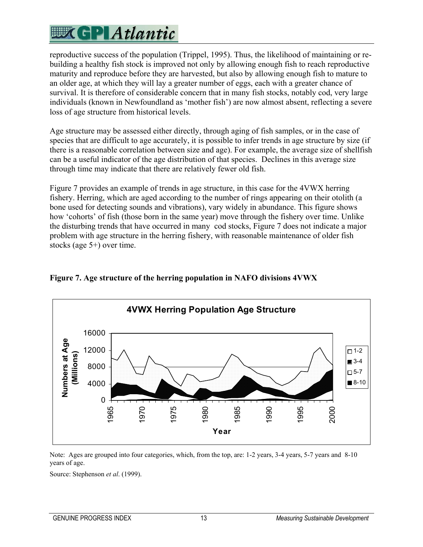## **EXCPLAtlantic**

reproductive success of the population (Trippel, 1995). Thus, the likelihood of maintaining or rebuilding a healthy fish stock is improved not only by allowing enough fish to reach reproductive maturity and reproduce before they are harvested, but also by allowing enough fish to mature to an older age, at which they will lay a greater number of eggs, each with a greater chance of survival. It is therefore of considerable concern that in many fish stocks, notably cod, very large individuals (known in Newfoundland as 'mother fish') are now almost absent, reflecting a severe loss of age structure from historical levels.

Age structure may be assessed either directly, through aging of fish samples, or in the case of species that are difficult to age accurately, it is possible to infer trends in age structure by size (if there is a reasonable correlation between size and age). For example, the average size of shellfish can be a useful indicator of the age distribution of that species. Declines in this average size through time may indicate that there are relatively fewer old fish.

Figure 7 provides an example of trends in age structure, in this case for the 4VWX herring fishery. Herring, which are aged according to the number of rings appearing on their otolith (a bone used for detecting sounds and vibrations), vary widely in abundance. This figure shows how 'cohorts' of fish (those born in the same year) move through the fishery over time. Unlike the disturbing trends that have occurred in many cod stocks, Figure 7 does not indicate a major problem with age structure in the herring fishery, with reasonable maintenance of older fish stocks (age 5+) over time.



**Figure 7. Age structure of the herring population in NAFO divisions 4VWX** 

Note: Ages are grouped into four categories, which, from the top, are: 1-2 years, 3-4 years, 5-7 years and 8-10 years of age.

Source: Stephenson *et al*. (1999).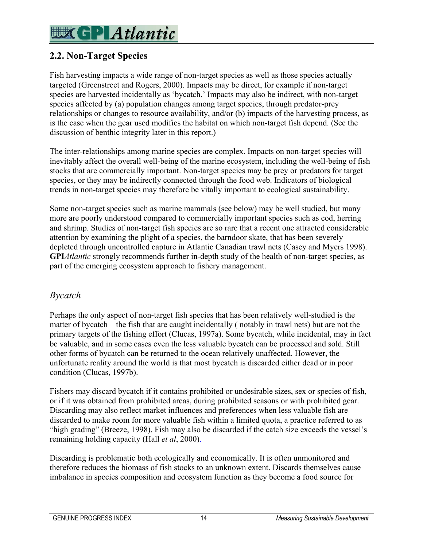## **WK GP Atlantic**

### **2.2. Non-Target Species**

Fish harvesting impacts a wide range of non-target species as well as those species actually targeted (Greenstreet and Rogers, 2000). Impacts may be direct, for example if non-target species are harvested incidentally as 'bycatch.' Impacts may also be indirect, with non-target species affected by (a) population changes among target species, through predator-prey relationships or changes to resource availability, and/or (b) impacts of the harvesting process, as is the case when the gear used modifies the habitat on which non-target fish depend. (See the discussion of benthic integrity later in this report.)

The inter-relationships among marine species are complex. Impacts on non-target species will inevitably affect the overall well-being of the marine ecosystem, including the well-being of fish stocks that are commercially important. Non-target species may be prey or predators for target species, or they may be indirectly connected through the food web. Indicators of biological trends in non-target species may therefore be vitally important to ecological sustainability.

Some non-target species such as marine mammals (see below) may be well studied, but many more are poorly understood compared to commercially important species such as cod, herring and shrimp. Studies of non-target fish species are so rare that a recent one attracted considerable attention by examining the plight of a species, the barndoor skate, that has been severely depleted through uncontrolled capture in Atlantic Canadian trawl nets (Casey and Myers 1998). **GPI***Atlantic* strongly recommends further in-depth study of the health of non-target species, as part of the emerging ecosystem approach to fishery management.

### *Bycatch*

Perhaps the only aspect of non-target fish species that has been relatively well-studied is the matter of bycatch – the fish that are caught incidentally ( notably in trawl nets) but are not the primary targets of the fishing effort (Clucas, 1997a). Some bycatch, while incidental, may in fact be valuable, and in some cases even the less valuable bycatch can be processed and sold. Still other forms of bycatch can be returned to the ocean relatively unaffected. However, the unfortunate reality around the world is that most bycatch is discarded either dead or in poor condition (Clucas, 1997b).

Fishers may discard bycatch if it contains prohibited or undesirable sizes, sex or species of fish, or if it was obtained from prohibited areas, during prohibited seasons or with prohibited gear. Discarding may also reflect market influences and preferences when less valuable fish are discarded to make room for more valuable fish within a limited quota, a practice referred to as "high grading" (Breeze, 1998). Fish may also be discarded if the catch size exceeds the vessel's remaining holding capacity (Hall *et al*, 2000).

Discarding is problematic both ecologically and economically. It is often unmonitored and therefore reduces the biomass of fish stocks to an unknown extent. Discards themselves cause imbalance in species composition and ecosystem function as they become a food source for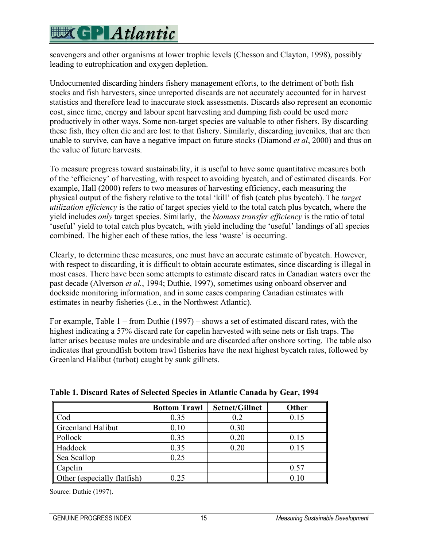## **EXCPLAtlantic**

scavengers and other organisms at lower trophic levels (Chesson and Clayton, 1998), possibly leading to eutrophication and oxygen depletion.

Undocumented discarding hinders fishery management efforts, to the detriment of both fish stocks and fish harvesters, since unreported discards are not accurately accounted for in harvest statistics and therefore lead to inaccurate stock assessments. Discards also represent an economic cost, since time, energy and labour spent harvesting and dumping fish could be used more productively in other ways. Some non-target species are valuable to other fishers. By discarding these fish, they often die and are lost to that fishery. Similarly, discarding juveniles, that are then unable to survive, can have a negative impact on future stocks (Diamond *et al*, 2000) and thus on the value of future harvests.

To measure progress toward sustainability, it is useful to have some quantitative measures both of the 'efficiency' of harvesting, with respect to avoiding bycatch, and of estimated discards. For example, Hall (2000) refers to two measures of harvesting efficiency, each measuring the physical output of the fishery relative to the total 'kill' of fish (catch plus bycatch). The *target utilization efficiency* is the ratio of target species yield to the total catch plus bycatch, where the yield includes *only* target species. Similarly, the *biomass transfer efficiency* is the ratio of total 'useful' yield to total catch plus bycatch, with yield including the 'useful' landings of all species combined. The higher each of these ratios, the less 'waste' is occurring.

Clearly, to determine these measures, one must have an accurate estimate of bycatch. However, with respect to discarding, it is difficult to obtain accurate estimates, since discarding is illegal in most cases. There have been some attempts to estimate discard rates in Canadian waters over the past decade (Alverson *et al.*, 1994; Duthie, 1997), sometimes using onboard observer and dockside monitoring information, and in some cases comparing Canadian estimates with estimates in nearby fisheries (i.e., in the Northwest Atlantic).

For example, Table 1 – from Duthie (1997) – shows a set of estimated discard rates, with the highest indicating a 57% discard rate for capelin harvested with seine nets or fish traps. The latter arises because males are undesirable and are discarded after onshore sorting. The table also indicates that groundfish bottom trawl fisheries have the next highest bycatch rates, followed by Greenland Halibut (turbot) caught by sunk gillnets.

|                             | <b>Bottom Trawl</b> | <b>Setnet/Gillnet</b> | Other |
|-----------------------------|---------------------|-----------------------|-------|
| Cod                         | 0.35                | 0.2                   | 0.15  |
| Greenland Halibut           | 0.10                | 0.30                  |       |
| Pollock                     | 0.35                | 0.20                  | 0.15  |
| Haddock                     | 0.35                | 0.20                  | 0.15  |
| Sea Scallop                 | 0.25                |                       |       |
| Capelin                     |                     |                       | 0.57  |
| Other (especially flatfish) | 0.25                |                       | 0.10  |

|  |  |  | Table 1. Discard Rates of Selected Species in Atlantic Canada by Gear, 1994 |  |
|--|--|--|-----------------------------------------------------------------------------|--|
|  |  |  |                                                                             |  |

Source: Duthie (1997).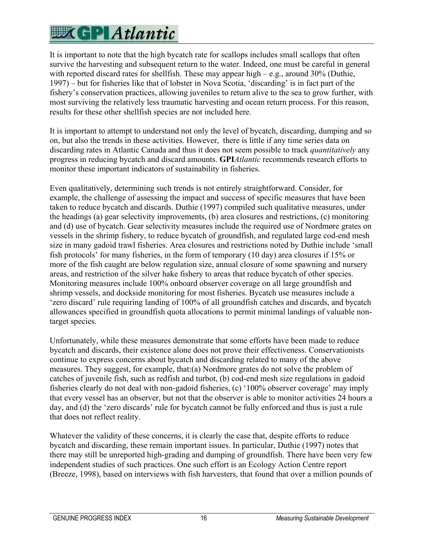It is important to note that the high bycatch rate for scallops includes small scallops that often survive the harvesting and subsequent return to the water. Indeed, one must be careful in general with reported discard rates for shellfish. These may appear high – e.g., around 30% (Duthie, 1997) – but for fisheries like that of lobster in Nova Scotia, 'discarding' is in fact part of the fishery's conservation practices, allowing juveniles to return alive to the sea to grow further, with most surviving the relatively less traumatic harvesting and ocean return process. For this reason, results for these other shellfish species are not included here.

It is important to attempt to understand not only the level of bycatch, discarding, dumping and so on, but also the trends in these activities. However, there is little if any time series data on discarding rates in Atlantic Canada and thus it does not seem possible to track *quantitatively* any progress in reducing bycatch and discard amounts. **GPI***Atlantic* recommends research efforts to monitor these important indicators of sustainability in fisheries.

Even qualitatively, determining such trends is not entirely straightforward. Consider, for example, the challenge of assessing the impact and success of specific measures that have been taken to reduce bycatch and discards. Duthie (1997) compiled such qualitative measures, under the headings (a) gear selectivity improvements, (b) area closures and restrictions, (c) monitoring and (d) use of bycatch. Gear selectivity measures include the required use of Nordmøre grates on vessels in the shrimp fishery, to reduce bycatch of groundfish, and regulated large cod-end mesh size in many gadoid trawl fisheries. Area closures and restrictions noted by Duthie include 'small fish protocols' for many fisheries, in the form of temporary (10 day) area closures if 15% or more of the fish caught are below regulation size, annual closure of some spawning and nursery areas, and restriction of the silver hake fishery to areas that reduce bycatch of other species. Monitoring measures include 100% onboard observer coverage on all large groundfish and shrimp vessels, and dockside monitoring for most fisheries. Bycatch use measures include a 'zero discard' rule requiring landing of 100% of all groundfish catches and discards, and bycatch allowances specified in groundfish quota allocations to permit minimal landings of valuable nontarget species.

Unfortunately, while these measures demonstrate that some efforts have been made to reduce bycatch and discards, their existence alone does not prove their effectiveness. Conservationists continue to express concerns about bycatch and discarding related to many of the above measures. They suggest, for example, that:(a) Nordmore grates do not solve the problem of catches of juvenile fish, such as redfish and turbot, (b) cod-end mesh size regulations in gadoid fisheries clearly do not deal with non-gadoid fisheries, (c) '100% observer coverage' may imply that every vessel has an observer, but not that the observer is able to monitor activities 24 hours a day, and (d) the 'zero discards' rule for bycatch cannot be fully enforced and thus is just a rule that does not reflect reality.

Whatever the validity of these concerns, it is clearly the case that, despite efforts to reduce bycatch and discarding, these remain important issues. In particular, Duthie (1997) notes that there may still be unreported high-grading and dumping of groundfish. There have been very few independent studies of such practices. One such effort is an Ecology Action Centre report (Breeze, 1998), based on interviews with fish harvesters, that found that over a million pounds of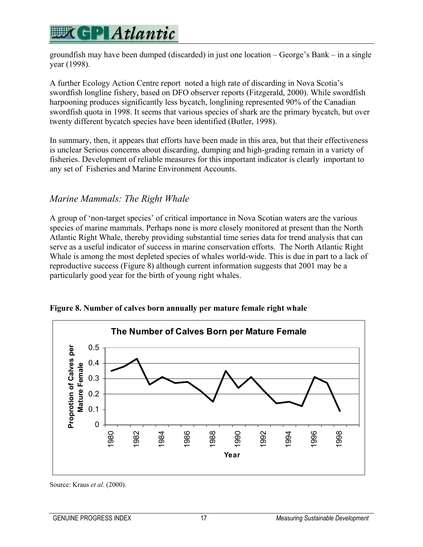groundfish may have been dumped (discarded) in just one location – George's Bank – in a single year (1998).

A further Ecology Action Centre report noted a high rate of discarding in Nova Scotia's swordfish longline fishery, based on DFO observer reports (Fitzgerald, 2000). While swordfish harpooning produces significantly less bycatch, longlining represented 90% of the Canadian swordfish quota in 1998. It seems that various species of shark are the primary bycatch, but over twenty different bycatch species have been identified (Butler, 1998).

In summary, then, it appears that efforts have been made in this area, but that their effectiveness is unclear Serious concerns about discarding, dumping and high-grading remain in a variety of fisheries. Development of reliable measures for this important indicator is clearly important to any set of Fisheries and Marine Environment Accounts.

### *Marine Mammals: The Right Whale*

A group of 'non-target species' of critical importance in Nova Scotian waters are the various species of marine mammals. Perhaps none is more closely monitored at present than the North Atlantic Right Whale, thereby providing substantial time series data for trend analysis that can serve as a useful indicator of success in marine conservation efforts. The North Atlantic Right Whale is among the most depleted species of whales world-wide. This is due in part to a lack of reproductive success (Figure 8) although current information suggests that 2001 may be a particularly good year for the birth of young right whales.



**Figure 8. Number of calves born annually per mature female right whale** 

Source: Kraus *et al*. (2000).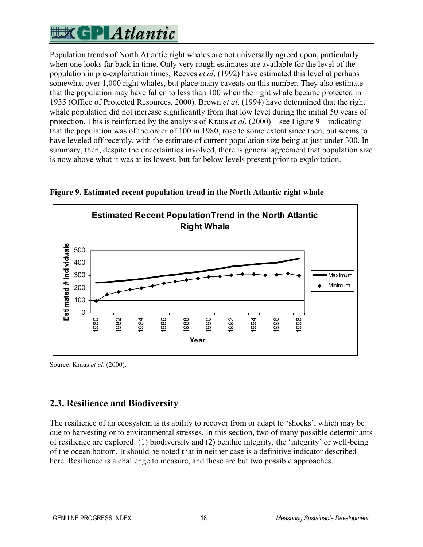

Population trends of North Atlantic right whales are not universally agreed upon, particularly when one looks far back in time. Only very rough estimates are available for the level of the population in pre-exploitation times; Reeves *et al*. (1992) have estimated this level at perhaps somewhat over 1,000 right whales, but place many caveats on this number. They also estimate that the population may have fallen to less than 100 when the right whale became protected in 1935 (Office of Protected Resources, 2000). Brown *et al*. (1994) have determined that the right whale population did not increase significantly from that low level during the initial 50 years of protection. This is reinforced by the analysis of Kraus *et al*. (2000) – see Figure 9 – indicating that the population was of the order of 100 in 1980, rose to some extent since then, but seems to have leveled off recently, with the estimate of current population size being at just under 300. In summary, then, despite the uncertainties involved, there is general agreement that population size is now above what it was at its lowest, but far below levels present prior to exploitation.



**Figure 9. Estimated recent population trend in the North Atlantic right whale** 

Source: Kraus *et al*. (2000).

### **2.3. Resilience and Biodiversity**

The resilience of an ecosystem is its ability to recover from or adapt to 'shocks', which may be due to harvesting or to environmental stresses. In this section, two of many possible determinants of resilience are explored: (1) biodiversity and (2) benthic integrity, the 'integrity' or well-being of the ocean bottom. It should be noted that in neither case is a definitive indicator described here. Resilience is a challenge to measure, and these are but two possible approaches.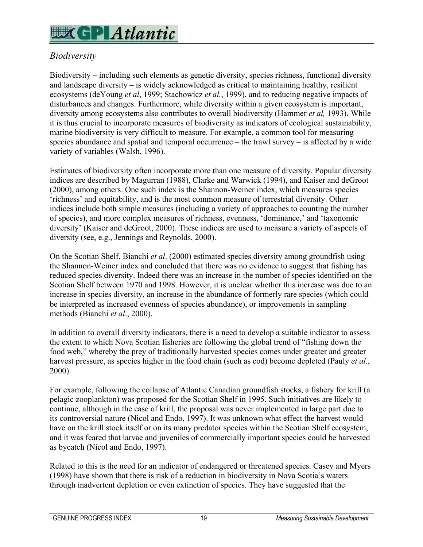## **WKGP** Atlantic

### *Biodiversity*

Biodiversity – including such elements as genetic diversity, species richness, functional diversity and landscape diversity – is widely acknowledged as critical to maintaining healthy, resilient ecosystems (deYoung *et al*, 1999; Stachowicz *et al.*, 1999), and to reducing negative impacts of disturbances and changes. Furthermore, while diversity within a given ecosystem is important, diversity among ecosystems also contributes to overall biodiversity (Hammer *et al,* 1993). While it is thus crucial to incorporate measures of biodiversity as indicators of ecological sustainability, marine biodiversity is very difficult to measure. For example, a common tool for measuring species abundance and spatial and temporal occurrence – the trawl survey – is affected by a wide variety of variables (Walsh, 1996).

Estimates of biodiversity often incorporate more than one measure of diversity. Popular diversity indices are described by Magurran (1988), Clarke and Warwick (1994), and Kaiser and deGroot (2000), among others. One such index is the Shannon-Weiner index, which measures species 'richness' and equitability, and is the most common measure of terrestrial diversity. Other indices include both simple measures (including a variety of approaches to counting the number of species), and more complex measures of richness, evenness, 'dominance,' and 'taxonomic diversity' (Kaiser and deGroot, 2000). These indices are used to measure a variety of aspects of diversity (see, e.g., Jennings and Reynolds, 2000).

On the Scotian Shelf, Bianchi *et al*. (2000) estimated species diversity among groundfish using the Shannon-Weiner index and concluded that there was no evidence to suggest that fishing has reduced species diversity. Indeed there was an increase in the number of species identified on the Scotian Shelf between 1970 and 1998. However, it is unclear whether this increase was due to an increase in species diversity, an increase in the abundance of formerly rare species (which could be interpreted as increased evenness of species abundance), or improvements in sampling methods (Bianchi *et al*., 2000).

In addition to overall diversity indicators, there is a need to develop a suitable indicator to assess the extent to which Nova Scotian fisheries are following the global trend of "fishing down the food web," whereby the prey of traditionally harvested species comes under greater and greater harvest pressure, as species higher in the food chain (such as cod) become depleted (Pauly *et al.*, 2000).

For example, following the collapse of Atlantic Canadian groundfish stocks, a fishery for krill (a pelagic zooplankton) was proposed for the Scotian Shelf in 1995. Such initiatives are likely to continue, although in the case of krill, the proposal was never implemented in large part due to its controversial nature (Nicol and Endo, 1997). It was unknown what effect the harvest would have on the krill stock itself or on its many predator species within the Scotian Shelf ecosystem, and it was feared that larvae and juveniles of commercially important species could be harvested as bycatch (Nicol and Endo, 1997).

Related to this is the need for an indicator of endangered or threatened species. Casey and Myers (1998) have shown that there is risk of a reduction in biodiversity in Nova Scotia's waters through inadvertent depletion or even extinction of species. They have suggested that the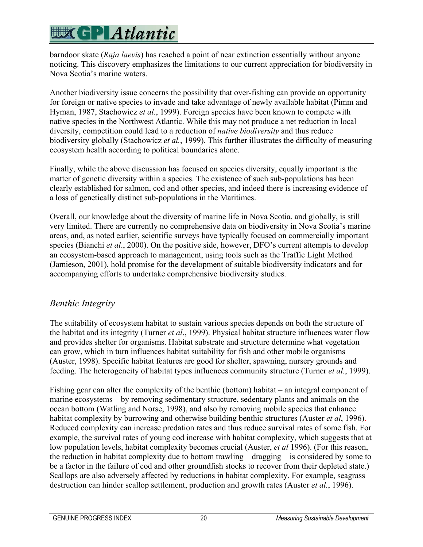barndoor skate (*Raja laevis*) has reached a point of near extinction essentially without anyone noticing. This discovery emphasizes the limitations to our current appreciation for biodiversity in Nova Scotia's marine waters.

Another biodiversity issue concerns the possibility that over-fishing can provide an opportunity for foreign or native species to invade and take advantage of newly available habitat (Pimm and Hyman, 1987, Stachowicz *et al.*, 1999). Foreign species have been known to compete with native species in the Northwest Atlantic. While this may not produce a net reduction in local diversity, competition could lead to a reduction of *native biodiversity* and thus reduce biodiversity globally (Stachowicz *et al.*, 1999). This further illustrates the difficulty of measuring ecosystem health according to political boundaries alone.

Finally, while the above discussion has focused on species diversity, equally important is the matter of genetic diversity within a species. The existence of such sub-populations has been clearly established for salmon, cod and other species, and indeed there is increasing evidence of a loss of genetically distinct sub-populations in the Maritimes.

Overall, our knowledge about the diversity of marine life in Nova Scotia, and globally, is still very limited. There are currently no comprehensive data on biodiversity in Nova Scotia's marine areas, and, as noted earlier, scientific surveys have typically focused on commercially important species (Bianchi *et al*., 2000). On the positive side, however, DFO's current attempts to develop an ecosystem-based approach to management, using tools such as the Traffic Light Method (Jamieson, 2001), hold promise for the development of suitable biodiversity indicators and for accompanying efforts to undertake comprehensive biodiversity studies.

### *Benthic Integrity*

The suitability of ecosystem habitat to sustain various species depends on both the structure of the habitat and its integrity (Turner *et al*., 1999). Physical habitat structure influences water flow and provides shelter for organisms. Habitat substrate and structure determine what vegetation can grow, which in turn influences habitat suitability for fish and other mobile organisms (Auster, 1998). Specific habitat features are good for shelter, spawning, nursery grounds and feeding. The heterogeneity of habitat types influences community structure (Turner *et al.*, 1999).

Fishing gear can alter the complexity of the benthic (bottom) habitat – an integral component of marine ecosystems – by removing sedimentary structure, sedentary plants and animals on the ocean bottom (Watling and Norse, 1998), and also by removing mobile species that enhance habitat complexity by burrowing and otherwise building benthic structures (Auster *et al*, 1996). Reduced complexity can increase predation rates and thus reduce survival rates of some fish. For example, the survival rates of young cod increase with habitat complexity, which suggests that at low population levels, habitat complexity becomes crucial (Auster, *et al* 1996). (For this reason, the reduction in habitat complexity due to bottom trawling – dragging – is considered by some to be a factor in the failure of cod and other groundfish stocks to recover from their depleted state.) Scallops are also adversely affected by reductions in habitat complexity. For example, seagrass destruction can hinder scallop settlement, production and growth rates (Auster *et al.*, 1996).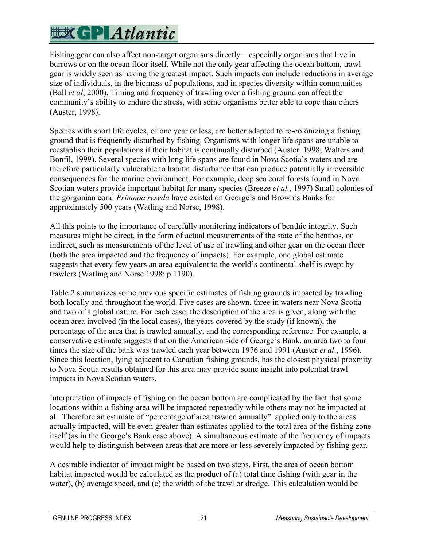Fishing gear can also affect non-target organisms directly – especially organisms that live in burrows or on the ocean floor itself. While not the only gear affecting the ocean bottom, trawl gear is widely seen as having the greatest impact. Such impacts can include reductions in average size of individuals, in the biomass of populations, and in species diversity within communities (Ball *et al*, 2000). Timing and frequency of trawling over a fishing ground can affect the community's ability to endure the stress, with some organisms better able to cope than others (Auster, 1998).

Species with short life cycles, of one year or less, are better adapted to re-colonizing a fishing ground that is frequently disturbed by fishing. Organisms with longer life spans are unable to reestablish their populations if their habitat is continually disturbed (Auster, 1998; Walters and Bonfil, 1999). Several species with long life spans are found in Nova Scotia's waters and are therefore particularly vulnerable to habitat disturbance that can produce potentially irreversible consequences for the marine environment. For example, deep sea coral forests found in Nova Scotian waters provide important habitat for many species (Breeze *et al.*, 1997) Small colonies of the gorgonian coral *Primnoa reseda* have existed on George's and Brown's Banks for approximately 500 years (Watling and Norse, 1998).

All this points to the importance of carefully monitoring indicators of benthic integrity. Such measures might be direct, in the form of actual measurements of the state of the benthos, or indirect, such as measurements of the level of use of trawling and other gear on the ocean floor (both the area impacted and the frequency of impacts). For example, one global estimate suggests that every few years an area equivalent to the world's continental shelf is swept by trawlers (Watling and Norse 1998: p.1190).

Table 2 summarizes some previous specific estimates of fishing grounds impacted by trawling both locally and throughout the world. Five cases are shown, three in waters near Nova Scotia and two of a global nature. For each case, the description of the area is given, along with the ocean area involved (in the local cases), the years covered by the study (if known), the percentage of the area that is trawled annually, and the corresponding reference. For example, a conservative estimate suggests that on the American side of George's Bank, an area two to four times the size of the bank was trawled each year between 1976 and 1991 (Auster *et al*., 1996). Since this location, lying adjacent to Canadian fishing grounds, has the closest physical proxmity to Nova Scotia results obtained for this area may provide some insight into potential trawl impacts in Nova Scotian waters.

Interpretation of impacts of fishing on the ocean bottom are complicated by the fact that some locations within a fishing area will be impacted repeatedly while others may not be impacted at all. Therefore an estimate of "percentage of area trawled annually" applied only to the areas actually impacted, will be even greater than estimates applied to the total area of the fishing zone itself (as in the George's Bank case above). A simultaneous estimate of the frequency of impacts would help to distinguish between areas that are more or less severely impacted by fishing gear.

A desirable indicator of impact might be based on two steps. First, the area of ocean bottom habitat impacted would be calculated as the product of (a) total time fishing (with gear in the water), (b) average speed, and (c) the width of the trawl or dredge. This calculation would be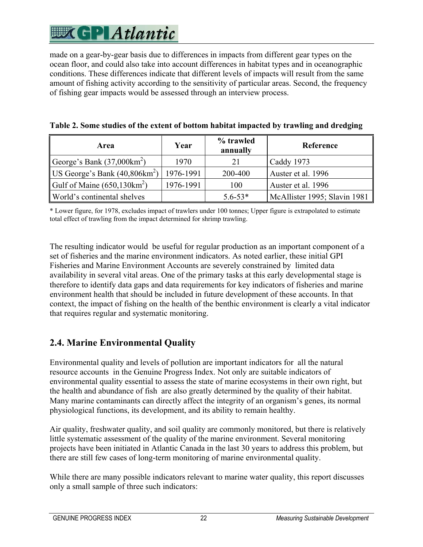made on a gear-by-gear basis due to differences in impacts from different gear types on the ocean floor, and could also take into account differences in habitat types and in oceanographic conditions. These differences indicate that different levels of impacts will result from the same amount of fishing activity according to the sensitivity of particular areas. Second, the frequency of fishing gear impacts would be assessed through an interview process.

| Area                                    | Year      | % trawled<br>annually | Reference                    |
|-----------------------------------------|-----------|-----------------------|------------------------------|
| George's Bank $(37,000 \text{km}^2)$    | 1970      | 21                    | Caddy 1973                   |
| US George's Bank $(40,806 \text{km}^2)$ | 1976-1991 | 200-400               | Auster et al. 1996           |
| Gulf of Maine $(650, 130 \text{km}^2)$  | 1976-1991 | 100                   | Auster et al. 1996           |
| World's continental shelves             |           | $5.6 - 53*$           | McAllister 1995; Slavin 1981 |

| Table 2. Some studies of the extent of bottom habitat impacted by trawling and dredging |  |  |
|-----------------------------------------------------------------------------------------|--|--|
|-----------------------------------------------------------------------------------------|--|--|

\* Lower figure, for 1978, excludes impact of trawlers under 100 tonnes; Upper figure is extrapolated to estimate total effect of trawling from the impact determined for shrimp trawling.

The resulting indicator would be useful for regular production as an important component of a set of fisheries and the marine environment indicators. As noted earlier, these initial GPI Fisheries and Marine Environment Accounts are severely constrained by limited data availability in several vital areas. One of the primary tasks at this early developmental stage is therefore to identify data gaps and data requirements for key indicators of fisheries and marine environment health that should be included in future development of these accounts. In that context, the impact of fishing on the health of the benthic environment is clearly a vital indicator that requires regular and systematic monitoring.

### **2.4. Marine Environmental Quality**

Environmental quality and levels of pollution are important indicators for all the natural resource accounts in the Genuine Progress Index. Not only are suitable indicators of environmental quality essential to assess the state of marine ecosystems in their own right, but the health and abundance of fish are also greatly determined by the quality of their habitat. Many marine contaminants can directly affect the integrity of an organism's genes, its normal physiological functions, its development, and its ability to remain healthy.

Air quality, freshwater quality, and soil quality are commonly monitored, but there is relatively little systematic assessment of the quality of the marine environment. Several monitoring projects have been initiated in Atlantic Canada in the last 30 years to address this problem, but there are still few cases of long-term monitoring of marine environmental quality.

While there are many possible indicators relevant to marine water quality, this report discusses only a small sample of three such indicators: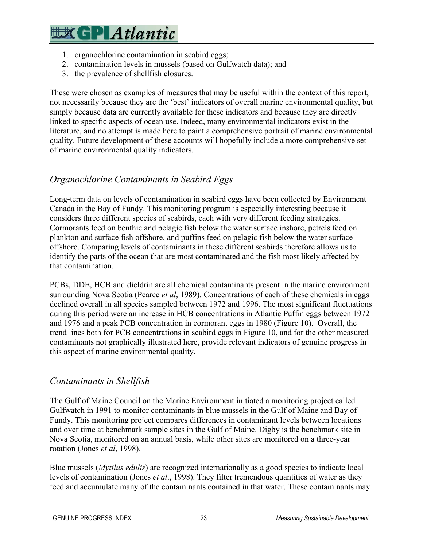- 1. organochlorine contamination in seabird eggs;
- 2. contamination levels in mussels (based on Gulfwatch data); and
- 3. the prevalence of shellfish closures.

These were chosen as examples of measures that may be useful within the context of this report, not necessarily because they are the 'best' indicators of overall marine environmental quality, but simply because data are currently available for these indicators and because they are directly linked to specific aspects of ocean use. Indeed, many environmental indicators exist in the literature, and no attempt is made here to paint a comprehensive portrait of marine environmental quality. Future development of these accounts will hopefully include a more comprehensive set of marine environmental quality indicators.

#### *Organochlorine Contaminants in Seabird Eggs*

Long-term data on levels of contamination in seabird eggs have been collected by Environment Canada in the Bay of Fundy. This monitoring program is especially interesting because it considers three different species of seabirds, each with very different feeding strategies. Cormorants feed on benthic and pelagic fish below the water surface inshore, petrels feed on plankton and surface fish offshore, and puffins feed on pelagic fish below the water surface offshore. Comparing levels of contaminants in these different seabirds therefore allows us to identify the parts of the ocean that are most contaminated and the fish most likely affected by that contamination.

PCBs, DDE, HCB and dieldrin are all chemical contaminants present in the marine environment surrounding Nova Scotia (Pearce *et al*, 1989). Concentrations of each of these chemicals in eggs declined overall in all species sampled between 1972 and 1996. The most significant fluctuations during this period were an increase in HCB concentrations in Atlantic Puffin eggs between 1972 and 1976 and a peak PCB concentration in cormorant eggs in 1980 (Figure 10). Overall, the trend lines both for PCB concentrations in seabird eggs in Figure 10, and for the other measured contaminants not graphically illustrated here, provide relevant indicators of genuine progress in this aspect of marine environmental quality.

#### *Contaminants in Shellfish*

The Gulf of Maine Council on the Marine Environment initiated a monitoring project called Gulfwatch in 1991 to monitor contaminants in blue mussels in the Gulf of Maine and Bay of Fundy. This monitoring project compares differences in contaminant levels between locations and over time at benchmark sample sites in the Gulf of Maine. Digby is the benchmark site in Nova Scotia, monitored on an annual basis, while other sites are monitored on a three-year rotation (Jones *et al*, 1998).

Blue mussels (*Mytilus edulis*) are recognized internationally as a good species to indicate local levels of contamination (Jones *et al*., 1998). They filter tremendous quantities of water as they feed and accumulate many of the contaminants contained in that water. These contaminants may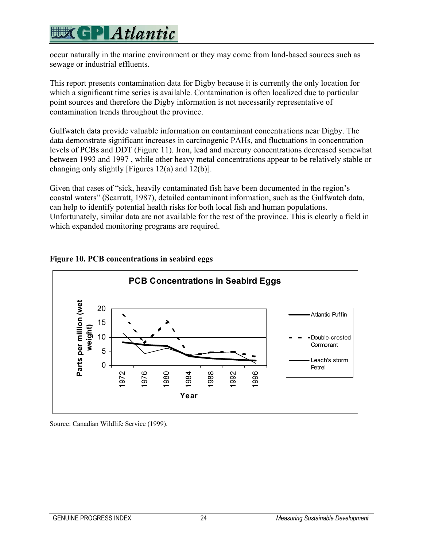occur naturally in the marine environment or they may come from land-based sources such as sewage or industrial effluents.

This report presents contamination data for Digby because it is currently the only location for which a significant time series is available. Contamination is often localized due to particular point sources and therefore the Digby information is not necessarily representative of contamination trends throughout the province.

Gulfwatch data provide valuable information on contaminant concentrations near Digby. The data demonstrate significant increases in carcinogenic PAHs, and fluctuations in concentration levels of PCBs and DDT (Figure 11). Iron, lead and mercury concentrations decreased somewhat between 1993 and 1997 , while other heavy metal concentrations appear to be relatively stable or changing only slightly [Figures 12(a) and 12(b)].

Given that cases of "sick, heavily contaminated fish have been documented in the region's coastal waters" (Scarratt, 1987), detailed contaminant information, such as the Gulfwatch data, can help to identify potential health risks for both local fish and human populations. Unfortunately, similar data are not available for the rest of the province. This is clearly a field in which expanded monitoring programs are required.



#### **Figure 10. PCB concentrations in seabird eggs**

Source: Canadian Wildlife Service (1999).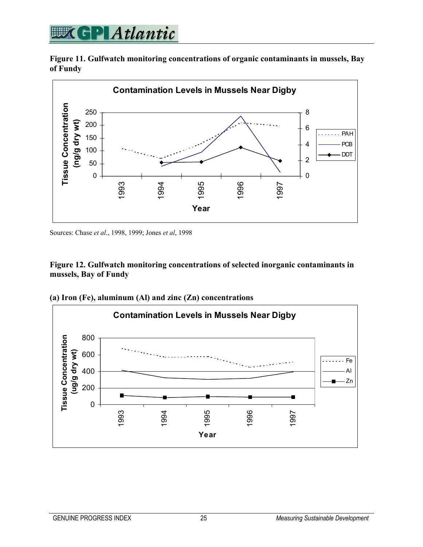### **WEGPIAtlantic**

**Figure 11. Gulfwatch monitoring concentrations of organic contaminants in mussels, Bay of Fundy** 



Sources: Chase *et al*., 1998, 1999; Jones *et al*, 1998

#### **Figure 12. Gulfwatch monitoring concentrations of selected inorganic contaminants in mussels, Bay of Fundy**



**(a) Iron (Fe), aluminum (Al) and zinc (Zn) concentrations**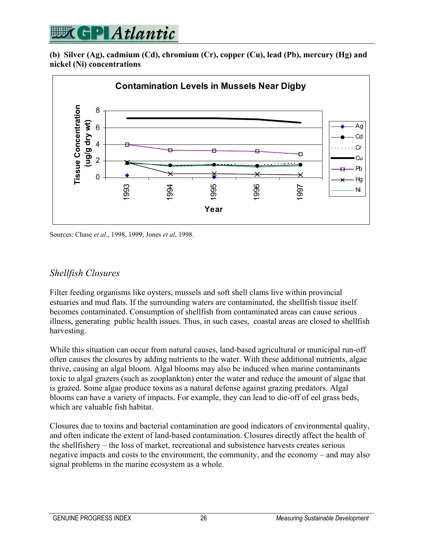

**(b) Silver (Ag), cadmium (Cd), chromium (Cr), copper (Cu), lead (Pb), mercury (Hg) and nickel (Ni) concentrations** 



Sources: Chase *et al*., 1998, 1999; Jones *et al*, 1998.

#### *Shellfish Closures*

Filter feeding organisms like oysters, mussels and soft shell clams live within provincial estuaries and mud flats. If the surrounding waters are contaminated, the shellfish tissue itself becomes contaminated. Consumption of shellfish from contaminated areas can cause serious illness, generating public health issues. Thus, in such cases, coastal areas are closed to shellfish harvesting.

While this situation can occur from natural causes, land-based agricultural or municipal run-off often causes the closures by adding nutrients to the water. With these additional nutrients, algae thrive, causing an algal bloom. Algal blooms may also be induced when marine contaminants toxic to algal grazers (such as zooplankton) enter the water and reduce the amount of algae that is grazed. Some algae produce toxins as a natural defense against grazing predators. Algal blooms can have a variety of impacts. For example, they can lead to die-off of eel grass beds, which are valuable fish habitat.

Closures due to toxins and bacterial contamination are good indicators of environmental quality, and often indicate the extent of land-based contamination. Closures directly affect the health of the shellfishery – the loss of market, recreational and subsistence harvests creates serious negative impacts and costs to the environment, the community, and the economy – and may also signal problems in the marine ecosystem as a whole.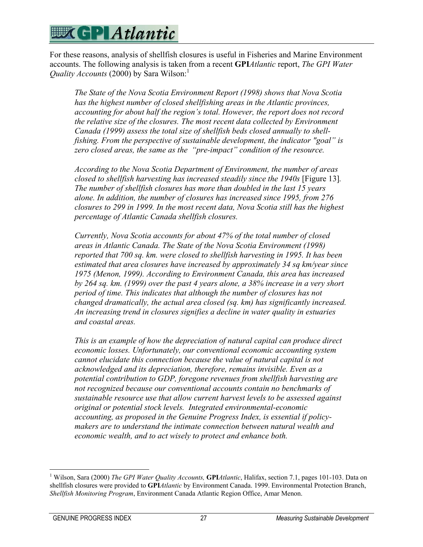### **WGP Atlantic**

For these reasons, analysis of shellfish closures is useful in Fisheries and Marine Environment accounts. The following analysis is taken from a recent **GPI***Atlantic* report, *The GPI Water Quality Accounts* (2000) by Sara Wilson:<sup>1</sup>

*The State of the Nova Scotia Environment Report (1998) shows that Nova Scotia has the highest number of closed shellfishing areas in the Atlantic provinces, accounting for about half the region's total. However, the report does not record the relative size of the closures. The most recent data collected by Environment Canada (1999) assess the total size of shellfish beds closed annually to shellfishing. From the perspective of sustainable development, the indicator "goal" is zero closed areas, the same as the "pre-impact" condition of the resource.* 

*According to the Nova Scotia Department of Environment, the number of areas closed to shellfish harvesting has increased steadily since the 1940s* [Figure 13]. *The number of shellfish closures has more than doubled in the last 15 years alone. In addition, the number of closures has increased since 1995, from 276 closures to 299 in 1999. In the most recent data, Nova Scotia still has the highest percentage of Atlantic Canada shellfish closures.* 

*Currently, Nova Scotia accounts for about 47% of the total number of closed areas in Atlantic Canada. The State of the Nova Scotia Environment (1998) reported that 700 sq. km. were closed to shellfish harvesting in 1995. It has been estimated that area closures have increased by approximately 34 sq km/year since 1975 (Menon, 1999). According to Environment Canada, this area has increased by 264 sq. km. (1999) over the past 4 years alone, a 38% increase in a very short period of time. This indicates that although the number of closures has not changed dramatically, the actual area closed (sq. km) has significantly increased. An increasing trend in closures signifies a decline in water quality in estuaries and coastal areas.* 

*This is an example of how the depreciation of natural capital can produce direct economic losses. Unfortunately, our conventional economic accounting system cannot elucidate this connection because the value of natural capital is not acknowledged and its depreciation, therefore, remains invisible. Even as a potential contribution to GDP, foregone revenues from shellfish harvesting are not recognized because our conventional accounts contain no benchmarks of sustainable resource use that allow current harvest levels to be assessed against original or potential stock levels. Integrated environmental-economic accounting, as proposed in the Genuine Progress Index, is essential if policymakers are to understand the intimate connection between natural wealth and economic wealth, and to act wisely to protect and enhance both.* 

 $\overline{a}$ 

<sup>&</sup>lt;sup>1</sup> Wilson, Sara (2000) *The GPI Water Quality Accounts*, **GPI***Atlantic*, Halifax, section 7.1, pages 101-103. Data on shellfish closures were provided to **GPI***Atlantic* by Environment Canada. 1999. Environmental Protection Branch, *Shellfish Monitoring Program*, Environment Canada Atlantic Region Office, Amar Menon.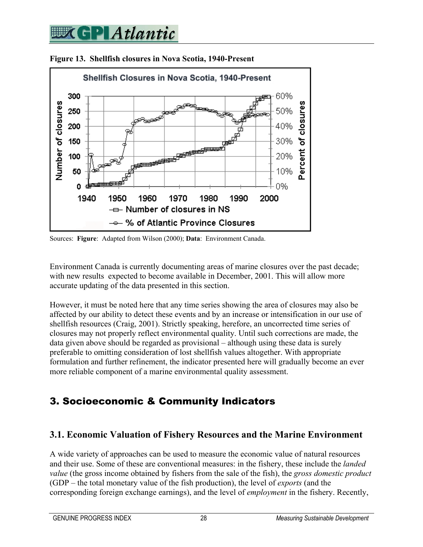

**Figure 13. Shellfish closures in Nova Scotia, 1940-Present** 

Sources: **Figure**: Adapted from Wilson (2000); **Data**: Environment Canada.

Environment Canada is currently documenting areas of marine closures over the past decade; with new results expected to become available in December, 2001. This will allow more accurate updating of the data presented in this section.

However, it must be noted here that any time series showing the area of closures may also be affected by our ability to detect these events and by an increase or intensification in our use of shellfish resources (Craig, 2001). Strictly speaking, herefore, an uncorrected time series of closures may not properly reflect environmental quality. Until such corrections are made, the data given above should be regarded as provisional – although using these data is surely preferable to omitting consideration of lost shellfish values altogether. With appropriate formulation and further refinement, the indicator presented here will gradually become an ever more reliable component of a marine environmental quality assessment.

### 3. Socioeconomic & Community Indicators

#### **3.1. Economic Valuation of Fishery Resources and the Marine Environment**

A wide variety of approaches can be used to measure the economic value of natural resources and their use. Some of these are conventional measures: in the fishery, these include the *landed value* (the gross income obtained by fishers from the sale of the fish), the *gross domestic product* (GDP – the total monetary value of the fish production), the level of *exports* (and the corresponding foreign exchange earnings), and the level of *employment* in the fishery. Recently,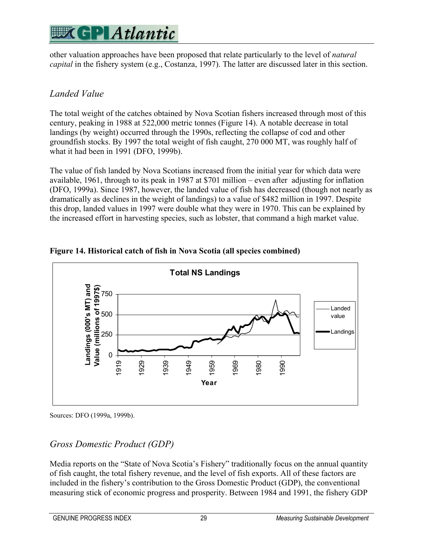other valuation approaches have been proposed that relate particularly to the level of *natural capital* in the fishery system (e.g., Costanza, 1997). The latter are discussed later in this section.

### *Landed Value*

The total weight of the catches obtained by Nova Scotian fishers increased through most of this century, peaking in 1988 at 522,000 metric tonnes (Figure 14). A notable decrease in total landings (by weight) occurred through the 1990s, reflecting the collapse of cod and other groundfish stocks. By 1997 the total weight of fish caught, 270 000 MT, was roughly half of what it had been in 1991 (DFO, 1999b).

The value of fish landed by Nova Scotians increased from the initial year for which data were available, 1961, through to its peak in 1987 at \$701 million – even after adjusting for inflation (DFO, 1999a). Since 1987, however, the landed value of fish has decreased (though not nearly as dramatically as declines in the weight of landings) to a value of \$482 million in 1997. Despite this drop, landed values in 1997 were double what they were in 1970. This can be explained by the increased effort in harvesting species, such as lobster, that command a high market value.



**Figure 14. Historical catch of fish in Nova Scotia (all species combined)** 

Sources: DFO (1999a, 1999b).

### *Gross Domestic Product (GDP)*

Media reports on the "State of Nova Scotia's Fishery" traditionally focus on the annual quantity of fish caught, the total fishery revenue, and the level of fish exports. All of these factors are included in the fishery's contribution to the Gross Domestic Product (GDP), the conventional measuring stick of economic progress and prosperity. Between 1984 and 1991, the fishery GDP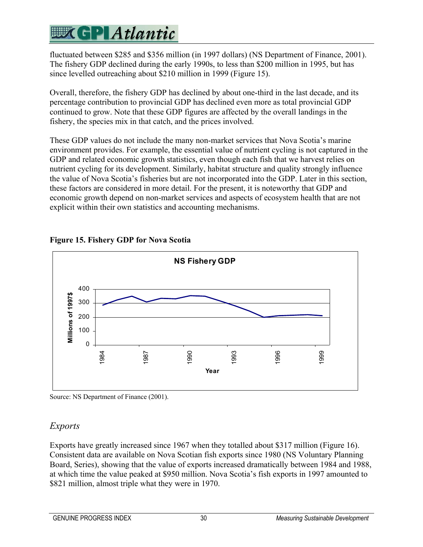fluctuated between \$285 and \$356 million (in 1997 dollars) (NS Department of Finance, 2001). The fishery GDP declined during the early 1990s, to less than \$200 million in 1995, but has since levelled outreaching about \$210 million in 1999 (Figure 15).

Overall, therefore, the fishery GDP has declined by about one-third in the last decade, and its percentage contribution to provincial GDP has declined even more as total provincial GDP continued to grow. Note that these GDP figures are affected by the overall landings in the fishery, the species mix in that catch, and the prices involved.

These GDP values do not include the many non-market services that Nova Scotia's marine environment provides. For example, the essential value of nutrient cycling is not captured in the GDP and related economic growth statistics, even though each fish that we harvest relies on nutrient cycling for its development. Similarly, habitat structure and quality strongly influence the value of Nova Scotia's fisheries but are not incorporated into the GDP. Later in this section, these factors are considered in more detail. For the present, it is noteworthy that GDP and economic growth depend on non-market services and aspects of ecosystem health that are not explicit within their own statistics and accounting mechanisms.



### **Figure 15. Fishery GDP for Nova Scotia**

Source: NS Department of Finance (2001).

#### *Exports*

Exports have greatly increased since 1967 when they totalled about \$317 million (Figure 16). Consistent data are available on Nova Scotian fish exports since 1980 (NS Voluntary Planning Board, Series), showing that the value of exports increased dramatically between 1984 and 1988, at which time the value peaked at \$950 million. Nova Scotia's fish exports in 1997 amounted to \$821 million, almost triple what they were in 1970.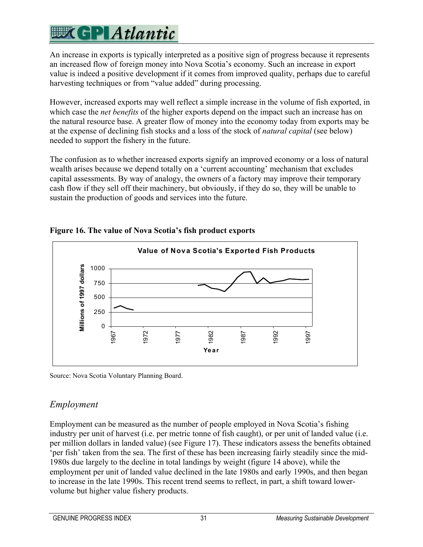An increase in exports is typically interpreted as a positive sign of progress because it represents an increased flow of foreign money into Nova Scotia's economy. Such an increase in export value is indeed a positive development if it comes from improved quality, perhaps due to careful harvesting techniques or from "value added" during processing.

However, increased exports may well reflect a simple increase in the volume of fish exported, in which case the *net benefits* of the higher exports depend on the impact such an increase has on the natural resource base. A greater flow of money into the economy today from exports may be at the expense of declining fish stocks and a loss of the stock of *natural capital* (see below) needed to support the fishery in the future.

The confusion as to whether increased exports signify an improved economy or a loss of natural wealth arises because we depend totally on a 'current accounting' mechanism that excludes capital assessments. By way of analogy, the owners of a factory may improve their temporary cash flow if they sell off their machinery, but obviously, if they do so, they will be unable to sustain the production of goods and services into the future.



#### **Figure 16. The value of Nova Scotia's fish product exports**

Source: Nova Scotia Voluntary Planning Board.

### *Employment*

Employment can be measured as the number of people employed in Nova Scotia's fishing industry per unit of harvest (i.e. per metric tonne of fish caught), or per unit of landed value (i.e. per million dollars in landed value) (see Figure 17). These indicators assess the benefits obtained 'per fish' taken from the sea. The first of these has been increasing fairly steadily since the mid-1980s due largely to the decline in total landings by weight (figure 14 above), while the employment per unit of landed value declined in the late 1980s and early 1990s, and then began to increase in the late 1990s. This recent trend seems to reflect, in part, a shift toward lowervolume but higher value fishery products.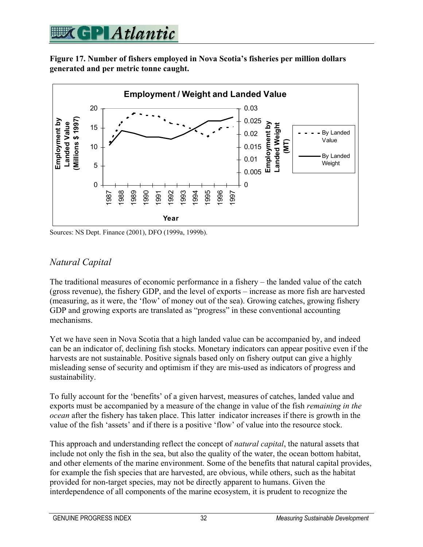

**Figure 17. Number of fishers employed in Nova Scotia's fisheries per million dollars generated and per metric tonne caught.** 



Sources: NS Dept. Finance (2001), DFO (1999a, 1999b).

#### *Natural Capital*

The traditional measures of economic performance in a fishery – the landed value of the catch (gross revenue), the fishery GDP, and the level of exports – increase as more fish are harvested (measuring, as it were, the 'flow' of money out of the sea). Growing catches, growing fishery GDP and growing exports are translated as "progress" in these conventional accounting mechanisms.

Yet we have seen in Nova Scotia that a high landed value can be accompanied by, and indeed can be an indicator of, declining fish stocks. Monetary indicators can appear positive even if the harvests are not sustainable. Positive signals based only on fishery output can give a highly misleading sense of security and optimism if they are mis-used as indicators of progress and sustainability.

To fully account for the 'benefits' of a given harvest, measures of catches, landed value and exports must be accompanied by a measure of the change in value of the fish *remaining in the ocean* after the fishery has taken place. This latter indicator increases if there is growth in the value of the fish 'assets' and if there is a positive 'flow' of value into the resource stock.

This approach and understanding reflect the concept of *natural capital*, the natural assets that include not only the fish in the sea, but also the quality of the water, the ocean bottom habitat, and other elements of the marine environment. Some of the benefits that natural capital provides, for example the fish species that are harvested, are obvious, while others, such as the habitat provided for non-target species, may not be directly apparent to humans. Given the interdependence of all components of the marine ecosystem, it is prudent to recognize the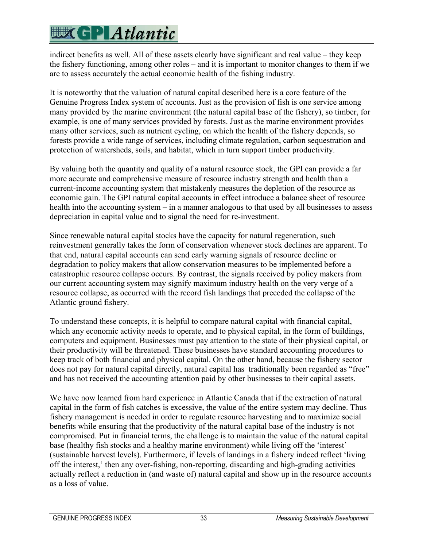## **EXCPLAtlantic**

indirect benefits as well. All of these assets clearly have significant and real value – they keep the fishery functioning, among other roles – and it is important to monitor changes to them if we are to assess accurately the actual economic health of the fishing industry.

It is noteworthy that the valuation of natural capital described here is a core feature of the Genuine Progress Index system of accounts. Just as the provision of fish is one service among many provided by the marine environment (the natural capital base of the fishery), so timber, for example, is one of many services provided by forests. Just as the marine environment provides many other services, such as nutrient cycling, on which the health of the fishery depends, so forests provide a wide range of services, including climate regulation, carbon sequestration and protection of watersheds, soils, and habitat, which in turn support timber productivity.

By valuing both the quantity and quality of a natural resource stock, the GPI can provide a far more accurate and comprehensive measure of resource industry strength and health than a current-income accounting system that mistakenly measures the depletion of the resource as economic gain. The GPI natural capital accounts in effect introduce a balance sheet of resource health into the accounting system – in a manner analogous to that used by all businesses to assess depreciation in capital value and to signal the need for re-investment.

Since renewable natural capital stocks have the capacity for natural regeneration, such reinvestment generally takes the form of conservation whenever stock declines are apparent. To that end, natural capital accounts can send early warning signals of resource decline or degradation to policy makers that allow conservation measures to be implemented before a catastrophic resource collapse occurs. By contrast, the signals received by policy makers from our current accounting system may signify maximum industry health on the very verge of a resource collapse, as occurred with the record fish landings that preceded the collapse of the Atlantic ground fishery.

To understand these concepts, it is helpful to compare natural capital with financial capital, which any economic activity needs to operate, and to physical capital, in the form of buildings, computers and equipment. Businesses must pay attention to the state of their physical capital, or their productivity will be threatened. These businesses have standard accounting procedures to keep track of both financial and physical capital. On the other hand, because the fishery sector does not pay for natural capital directly, natural capital has traditionally been regarded as "free" and has not received the accounting attention paid by other businesses to their capital assets.

We have now learned from hard experience in Atlantic Canada that if the extraction of natural capital in the form of fish catches is excessive, the value of the entire system may decline. Thus fishery management is needed in order to regulate resource harvesting and to maximize social benefits while ensuring that the productivity of the natural capital base of the industry is not compromised. Put in financial terms, the challenge is to maintain the value of the natural capital base (healthy fish stocks and a healthy marine environment) while living off the 'interest' (sustainable harvest levels). Furthermore, if levels of landings in a fishery indeed reflect 'living off the interest,' then any over-fishing, non-reporting, discarding and high-grading activities actually reflect a reduction in (and waste of) natural capital and show up in the resource accounts as a loss of value.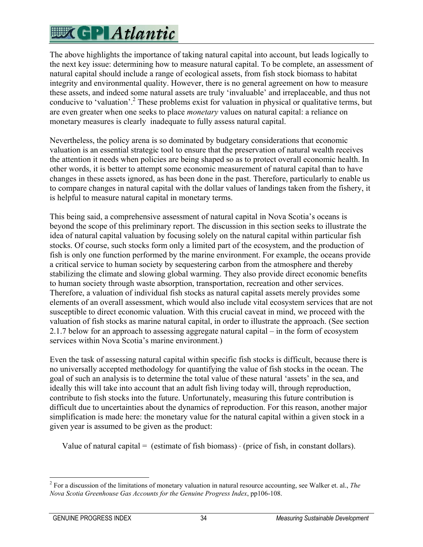## **EXCPLAtlantic**

The above highlights the importance of taking natural capital into account, but leads logically to the next key issue: determining how to measure natural capital. To be complete, an assessment of natural capital should include a range of ecological assets, from fish stock biomass to habitat integrity and environmental quality. However, there is no general agreement on how to measure these assets, and indeed some natural assets are truly 'invaluable' and irreplaceable, and thus not conducive to 'valuation'.<sup>2</sup> These problems exist for valuation in physical or qualitative terms, but are even greater when one seeks to place *monetary* values on natural capital: a reliance on monetary measures is clearly inadequate to fully assess natural capital.

Nevertheless, the policy arena is so dominated by budgetary considerations that economic valuation is an essential strategic tool to ensure that the preservation of natural wealth receives the attention it needs when policies are being shaped so as to protect overall economic health. In other words, it is better to attempt some economic measurement of natural capital than to have changes in these assets ignored, as has been done in the past. Therefore, particularly to enable us to compare changes in natural capital with the dollar values of landings taken from the fishery, it is helpful to measure natural capital in monetary terms.

This being said, a comprehensive assessment of natural capital in Nova Scotia's oceans is beyond the scope of this preliminary report. The discussion in this section seeks to illustrate the idea of natural capital valuation by focusing solely on the natural capital within particular fish stocks. Of course, such stocks form only a limited part of the ecosystem, and the production of fish is only one function performed by the marine environment. For example, the oceans provide a critical service to human society by sequestering carbon from the atmosphere and thereby stabilizing the climate and slowing global warming. They also provide direct economic benefits to human society through waste absorption, transportation, recreation and other services. Therefore, a valuation of individual fish stocks as natural capital assets merely provides some elements of an overall assessment, which would also include vital ecosystem services that are not susceptible to direct economic valuation. With this crucial caveat in mind, we proceed with the valuation of fish stocks as marine natural capital, in order to illustrate the approach. (See section 2.1.7 below for an approach to assessing aggregate natural capital – in the form of ecosystem services within Nova Scotia's marine environment.)

Even the task of assessing natural capital within specific fish stocks is difficult, because there is no universally accepted methodology for quantifying the value of fish stocks in the ocean. The goal of such an analysis is to determine the total value of these natural 'assets' in the sea, and ideally this will take into account that an adult fish living today will, through reproduction, contribute to fish stocks into the future. Unfortunately, measuring this future contribution is difficult due to uncertainties about the dynamics of reproduction. For this reason, another major simplification is made here: the monetary value for the natural capital within a given stock in a given year is assumed to be given as the product:

Value of natural capital = (estimate of fish biomass)  $\cdot$  (price of fish, in constant dollars).

 $\overline{a}$ 2 For a discussion of the limitations of monetary valuation in natural resource accounting, see Walker et. al., *The Nova Scotia Greenhouse Gas Accounts for the Genuine Progress Index*, pp106-108.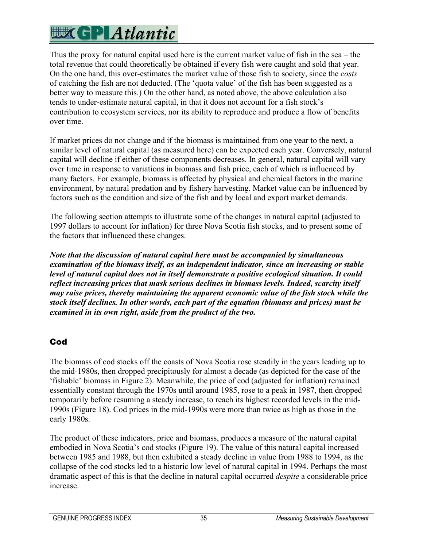Thus the proxy for natural capital used here is the current market value of fish in the sea – the total revenue that could theoretically be obtained if every fish were caught and sold that year. On the one hand, this over-estimates the market value of those fish to society, since the *costs* of catching the fish are not deducted. (The 'quota value' of the fish has been suggested as a better way to measure this.) On the other hand, as noted above, the above calculation also tends to under-estimate natural capital, in that it does not account for a fish stock's contribution to ecosystem services, nor its ability to reproduce and produce a flow of benefits over time.

If market prices do not change and if the biomass is maintained from one year to the next, a similar level of natural capital (as measured here) can be expected each year. Conversely, natural capital will decline if either of these components decreases. In general, natural capital will vary over time in response to variations in biomass and fish price, each of which is influenced by many factors. For example, biomass is affected by physical and chemical factors in the marine environment, by natural predation and by fishery harvesting. Market value can be influenced by factors such as the condition and size of the fish and by local and export market demands.

The following section attempts to illustrate some of the changes in natural capital (adjusted to 1997 dollars to account for inflation) for three Nova Scotia fish stocks, and to present some of the factors that influenced these changes.

*Note that the discussion of natural capital here must be accompanied by simultaneous examination of the biomass itself, as an independent indicator, since an increasing or stable level of natural capital does not in itself demonstrate a positive ecological situation. It could reflect increasing prices that mask serious declines in biomass levels. Indeed, scarcity itself may raise prices, thereby maintaining the apparent economic value of the fish stock while the stock itself declines. In other words, each part of the equation (biomass and prices) must be examined in its own right, aside from the product of the two.* 

#### Cod

The biomass of cod stocks off the coasts of Nova Scotia rose steadily in the years leading up to the mid-1980s, then dropped precipitously for almost a decade (as depicted for the case of the 'fishable' biomass in Figure 2). Meanwhile, the price of cod (adjusted for inflation) remained essentially constant through the 1970s until around 1985, rose to a peak in 1987, then dropped temporarily before resuming a steady increase, to reach its highest recorded levels in the mid-1990s (Figure 18). Cod prices in the mid-1990s were more than twice as high as those in the early 1980s.

The product of these indicators, price and biomass, produces a measure of the natural capital embodied in Nova Scotia's cod stocks (Figure 19). The value of this natural capital increased between 1985 and 1988, but then exhibited a steady decline in value from 1988 to 1994, as the collapse of the cod stocks led to a historic low level of natural capital in 1994. Perhaps the most dramatic aspect of this is that the decline in natural capital occurred *despite* a considerable price increase.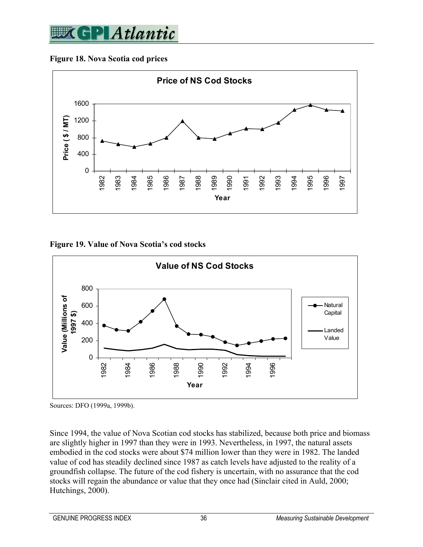

#### **Figure 18. Nova Scotia cod prices**



**Figure 19. Value of Nova Scotia's cod stocks** 



Sources: DFO (1999a, 1999b).

Since 1994, the value of Nova Scotian cod stocks has stabilized, because both price and biomass are slightly higher in 1997 than they were in 1993. Nevertheless, in 1997, the natural assets embodied in the cod stocks were about \$74 million lower than they were in 1982. The landed value of cod has steadily declined since 1987 as catch levels have adjusted to the reality of a groundfish collapse. The future of the cod fishery is uncertain, with no assurance that the cod stocks will regain the abundance or value that they once had (Sinclair cited in Auld, 2000; Hutchings, 2000).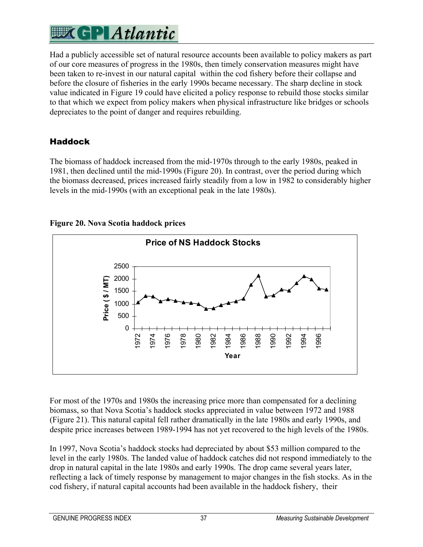Had a publicly accessible set of natural resource accounts been available to policy makers as part of our core measures of progress in the 1980s, then timely conservation measures might have been taken to re-invest in our natural capital within the cod fishery before their collapse and before the closure of fisheries in the early 1990s became necessary. The sharp decline in stock value indicated in Figure 19 could have elicited a policy response to rebuild those stocks similar to that which we expect from policy makers when physical infrastructure like bridges or schools depreciates to the point of danger and requires rebuilding.

### Haddock

The biomass of haddock increased from the mid-1970s through to the early 1980s, peaked in 1981, then declined until the mid-1990s (Figure 20). In contrast, over the period during which the biomass decreased, prices increased fairly steadily from a low in 1982 to considerably higher levels in the mid-1990s (with an exceptional peak in the late 1980s).

#### **Figure 20. Nova Scotia haddock prices**



For most of the 1970s and 1980s the increasing price more than compensated for a declining biomass, so that Nova Scotia's haddock stocks appreciated in value between 1972 and 1988 (Figure 21). This natural capital fell rather dramatically in the late 1980s and early 1990s, and despite price increases between 1989-1994 has not yet recovered to the high levels of the 1980s.

In 1997, Nova Scotia's haddock stocks had depreciated by about \$53 million compared to the level in the early 1980s. The landed value of haddock catches did not respond immediately to the drop in natural capital in the late 1980s and early 1990s. The drop came several years later, reflecting a lack of timely response by management to major changes in the fish stocks. As in the cod fishery, if natural capital accounts had been available in the haddock fishery, their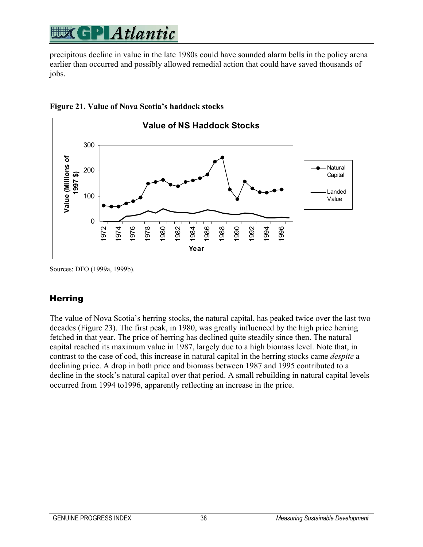precipitous decline in value in the late 1980s could have sounded alarm bells in the policy arena earlier than occurred and possibly allowed remedial action that could have saved thousands of jobs.





Sources: DFO (1999a, 1999b).

#### **Herring**

The value of Nova Scotia's herring stocks, the natural capital, has peaked twice over the last two decades (Figure 23). The first peak, in 1980, was greatly influenced by the high price herring fetched in that year. The price of herring has declined quite steadily since then. The natural capital reached its maximum value in 1987, largely due to a high biomass level. Note that, in contrast to the case of cod, this increase in natural capital in the herring stocks came *despite* a declining price. A drop in both price and biomass between 1987 and 1995 contributed to a decline in the stock's natural capital over that period. A small rebuilding in natural capital levels occurred from 1994 to1996, apparently reflecting an increase in the price.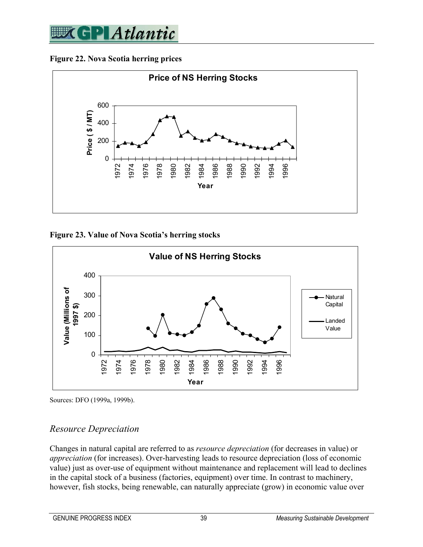

**Figure 22. Nova Scotia herring prices** 



**Figure 23. Value of Nova Scotia's herring stocks** 



Sources: DFO (1999a, 1999b).

#### *Resource Depreciation*

Changes in natural capital are referred to as *resource depreciation* (for decreases in value) or *appreciation* (for increases). Over-harvesting leads to resource depreciation (loss of economic value) just as over-use of equipment without maintenance and replacement will lead to declines in the capital stock of a business (factories, equipment) over time. In contrast to machinery, however, fish stocks, being renewable, can naturally appreciate (grow) in economic value over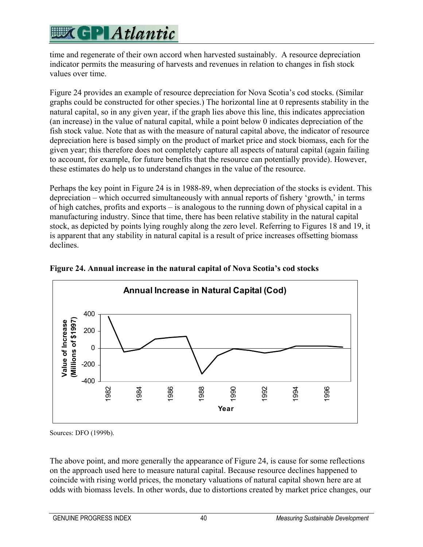time and regenerate of their own accord when harvested sustainably. A resource depreciation indicator permits the measuring of harvests and revenues in relation to changes in fish stock values over time.

Figure 24 provides an example of resource depreciation for Nova Scotia's cod stocks. (Similar graphs could be constructed for other species.) The horizontal line at 0 represents stability in the natural capital, so in any given year, if the graph lies above this line, this indicates appreciation (an increase) in the value of natural capital, while a point below 0 indicates depreciation of the fish stock value. Note that as with the measure of natural capital above, the indicator of resource depreciation here is based simply on the product of market price and stock biomass, each for the given year; this therefore does not completely capture all aspects of natural capital (again failing to account, for example, for future benefits that the resource can potentially provide). However, these estimates do help us to understand changes in the value of the resource.

Perhaps the key point in Figure 24 is in 1988-89, when depreciation of the stocks is evident. This depreciation – which occurred simultaneously with annual reports of fishery 'growth,' in terms of high catches, profits and exports – is analogous to the running down of physical capital in a manufacturing industry. Since that time, there has been relative stability in the natural capital stock, as depicted by points lying roughly along the zero level. Referring to Figures 18 and 19, it is apparent that any stability in natural capital is a result of price increases offsetting biomass declines.



**Figure 24. Annual increase in the natural capital of Nova Scotia's cod stocks** 

Sources: DFO (1999b).

The above point, and more generally the appearance of Figure 24, is cause for some reflections on the approach used here to measure natural capital. Because resource declines happened to coincide with rising world prices, the monetary valuations of natural capital shown here are at odds with biomass levels. In other words, due to distortions created by market price changes, our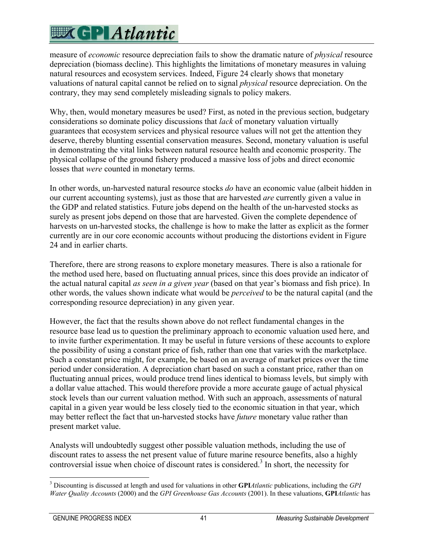measure of *economic* resource depreciation fails to show the dramatic nature of *physical* resource depreciation (biomass decline). This highlights the limitations of monetary measures in valuing natural resources and ecosystem services. Indeed, Figure 24 clearly shows that monetary valuations of natural capital cannot be relied on to signal *physical* resource depreciation. On the contrary, they may send completely misleading signals to policy makers.

Why, then, would monetary measures be used? First, as noted in the previous section, budgetary considerations so dominate policy discussions that *lack* of monetary valuation virtually guarantees that ecosystem services and physical resource values will not get the attention they deserve, thereby blunting essential conservation measures. Second, monetary valuation is useful in demonstrating the vital links between natural resource health and economic prosperity. The physical collapse of the ground fishery produced a massive loss of jobs and direct economic losses that *were* counted in monetary terms.

In other words, un-harvested natural resource stocks *do* have an economic value (albeit hidden in our current accounting systems), just as those that are harvested *are* currently given a value in the GDP and related statistics. Future jobs depend on the health of the un-harvested stocks as surely as present jobs depend on those that are harvested. Given the complete dependence of harvests on un-harvested stocks, the challenge is how to make the latter as explicit as the former currently are in our core economic accounts without producing the distortions evident in Figure 24 and in earlier charts.

Therefore, there are strong reasons to explore monetary measures. There is also a rationale for the method used here, based on fluctuating annual prices, since this does provide an indicator of the actual natural capital *as seen in a given year* (based on that year's biomass and fish price). In other words, the values shown indicate what would be *perceived* to be the natural capital (and the corresponding resource depreciation) in any given year.

However, the fact that the results shown above do not reflect fundamental changes in the resource base lead us to question the preliminary approach to economic valuation used here, and to invite further experimentation. It may be useful in future versions of these accounts to explore the possibility of using a constant price of fish, rather than one that varies with the marketplace. Such a constant price might, for example, be based on an average of market prices over the time period under consideration. A depreciation chart based on such a constant price, rather than on fluctuating annual prices, would produce trend lines identical to biomass levels, but simply with a dollar value attached. This would therefore provide a more accurate gauge of actual physical stock levels than our current valuation method. With such an approach, assessments of natural capital in a given year would be less closely tied to the economic situation in that year, which may better reflect the fact that un-harvested stocks have *future* monetary value rather than present market value.

Analysts will undoubtedly suggest other possible valuation methods, including the use of discount rates to assess the net present value of future marine resource benefits, also a highly controversial issue when choice of discount rates is considered.<sup>3</sup> In short, the necessity for

 $\overline{a}$ 3 Discounting is discussed at length and used for valuations in other **GPI***Atlantic* publications, including the *GPI Water Quality Accounts* (2000) and the *GPI Greenhouse Gas Accounts* (2001). In these valuations, **GPI***Atlantic* has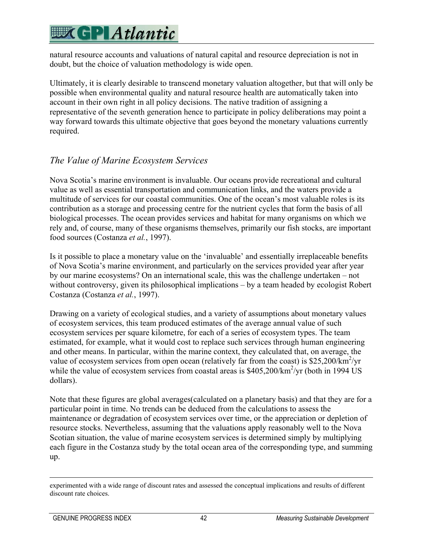natural resource accounts and valuations of natural capital and resource depreciation is not in doubt, but the choice of valuation methodology is wide open.

Ultimately, it is clearly desirable to transcend monetary valuation altogether, but that will only be possible when environmental quality and natural resource health are automatically taken into account in their own right in all policy decisions. The native tradition of assigning a representative of the seventh generation hence to participate in policy deliberations may point a way forward towards this ultimate objective that goes beyond the monetary valuations currently required.

### *The Value of Marine Ecosystem Services*

Nova Scotia's marine environment is invaluable. Our oceans provide recreational and cultural value as well as essential transportation and communication links, and the waters provide a multitude of services for our coastal communities. One of the ocean's most valuable roles is its contribution as a storage and processing centre for the nutrient cycles that form the basis of all biological processes. The ocean provides services and habitat for many organisms on which we rely and, of course, many of these organisms themselves, primarily our fish stocks, are important food sources (Costanza *et al.*, 1997).

Is it possible to place a monetary value on the 'invaluable' and essentially irreplaceable benefits of Nova Scotia's marine environment, and particularly on the services provided year after year by our marine ecosystems? On an international scale, this was the challenge undertaken – not without controversy, given its philosophical implications – by a team headed by ecologist Robert Costanza (Costanza *et al.*, 1997).

Drawing on a variety of ecological studies, and a variety of assumptions about monetary values of ecosystem services, this team produced estimates of the average annual value of such ecosystem services per square kilometre, for each of a series of ecosystem types. The team estimated, for example, what it would cost to replace such services through human engineering and other means. In particular, within the marine context, they calculated that, on average, the value of ecosystem services from open ocean (relatively far from the coast) is  $$25,200/km^2/yr$ while the value of ecosystem services from coastal areas is  $$405,200/km<sup>2</sup>/yr$  (both in 1994 US dollars).

Note that these figures are global averages(calculated on a planetary basis) and that they are for a particular point in time. No trends can be deduced from the calculations to assess the maintenance or degradation of ecosystem services over time, or the appreciation or depletion of resource stocks. Nevertheless, assuming that the valuations apply reasonably well to the Nova Scotian situation, the value of marine ecosystem services is determined simply by multiplying each figure in the Costanza study by the total ocean area of the corresponding type, and summing up.

experimented with a wide range of discount rates and assessed the conceptual implications and results of different discount rate choices.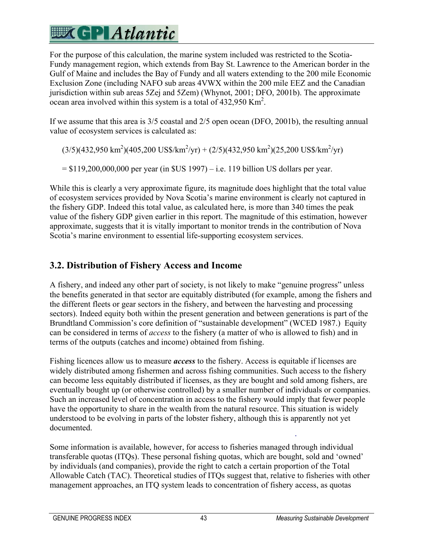For the purpose of this calculation, the marine system included was restricted to the Scotia-Fundy management region, which extends from Bay St. Lawrence to the American border in the Gulf of Maine and includes the Bay of Fundy and all waters extending to the 200 mile Economic Exclusion Zone (including NAFO sub areas 4VWX within the 200 mile EEZ and the Canadian jurisdiction within sub areas 5Zej and 5Zem) (Whynot, 2001; DFO, 2001b). The approximate ocean area involved within this system is a total of  $432,950$  Km<sup>2</sup>.

If we assume that this area is 3/5 coastal and 2/5 open ocean (DFO, 2001b), the resulting annual value of ecosystem services is calculated as:

 $(3/5)(432,950 \text{ km}^2)(405,200 \text{ US\$/km}^2/\text{yr}) + (2/5)(432,950 \text{ km}^2)(25,200 \text{ US\$/km}^2/\text{yr})$ 

 $= $119,200,000,000$  per year (in  $SUS 1997$ ) – i.e. 119 billion US dollars per year.

While this is clearly a very approximate figure, its magnitude does highlight that the total value of ecosystem services provided by Nova Scotia's marine environment is clearly not captured in the fishery GDP. Indeed this total value, as calculated here, is more than 340 times the peak value of the fishery GDP given earlier in this report. The magnitude of this estimation, however approximate, suggests that it is vitally important to monitor trends in the contribution of Nova Scotia's marine environment to essential life-supporting ecosystem services.

### **3.2. Distribution of Fishery Access and Income**

A fishery, and indeed any other part of society, is not likely to make "genuine progress" unless the benefits generated in that sector are equitably distributed (for example, among the fishers and the different fleets or gear sectors in the fishery, and between the harvesting and processing sectors). Indeed equity both within the present generation and between generations is part of the Brundtland Commission's core definition of "sustainable development" (WCED 1987.) Equity can be considered in terms of *access* to the fishery (a matter of who is allowed to fish) and in terms of the outputs (catches and income) obtained from fishing.

Fishing licences allow us to measure *access* to the fishery. Access is equitable if licenses are widely distributed among fishermen and across fishing communities. Such access to the fishery can become less equitably distributed if licenses, as they are bought and sold among fishers, are eventually bought up (or otherwise controlled) by a smaller number of individuals or companies. Such an increased level of concentration in access to the fishery would imply that fewer people have the opportunity to share in the wealth from the natural resource. This situation is widely understood to be evolving in parts of the lobster fishery, although this is apparently not yet documented.

Some information is available, however, for access to fisheries managed through individual transferable quotas (ITQs). These personal fishing quotas, which are bought, sold and 'owned' by individuals (and companies), provide the right to catch a certain proportion of the Total Allowable Catch (TAC). Theoretical studies of ITQs suggest that, relative to fisheries with other management approaches, an ITQ system leads to concentration of fishery access, as quotas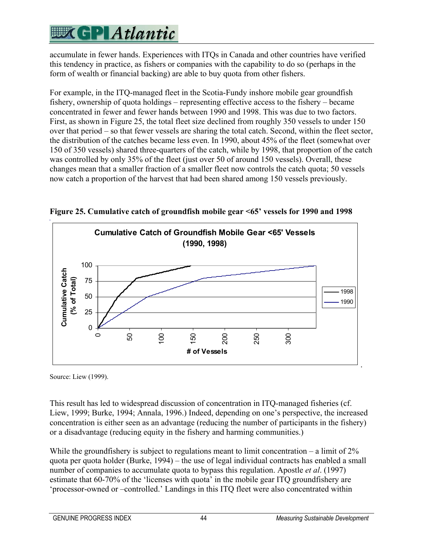accumulate in fewer hands. Experiences with ITQs in Canada and other countries have verified this tendency in practice, as fishers or companies with the capability to do so (perhaps in the form of wealth or financial backing) are able to buy quota from other fishers.

For example, in the ITQ-managed fleet in the Scotia-Fundy inshore mobile gear groundfish fishery, ownership of quota holdings – representing effective access to the fishery – became concentrated in fewer and fewer hands between 1990 and 1998. This was due to two factors. First, as shown in Figure 25, the total fleet size declined from roughly 350 vessels to under 150 over that period – so that fewer vessels are sharing the total catch. Second, within the fleet sector, the distribution of the catches became less even. In 1990, about 45% of the fleet (somewhat over 150 of 350 vessels) shared three-quarters of the catch, while by 1998, that proportion of the catch was controlled by only 35% of the fleet (just over 50 of around 150 vessels). Overall, these changes mean that a smaller fraction of a smaller fleet now controls the catch quota; 50 vessels now catch a proportion of the harvest that had been shared among 150 vessels previously.



**Figure 25. Cumulative catch of groundfish mobile gear <65' vessels for 1990 and 1998** 

Source: Liew (1999).

This result has led to widespread discussion of concentration in ITQ-managed fisheries (cf. Liew, 1999; Burke, 1994; Annala, 1996.) Indeed, depending on one's perspective, the increased concentration is either seen as an advantage (reducing the number of participants in the fishery) or a disadvantage (reducing equity in the fishery and harming communities.)

While the groundfishery is subject to regulations meant to limit concentration – a limit of 2% quota per quota holder (Burke, 1994) – the use of legal individual contracts has enabled a small number of companies to accumulate quota to bypass this regulation. Apostle *et al*. (1997) estimate that 60-70% of the 'licenses with quota' in the mobile gear ITQ groundfishery are 'processor-owned or –controlled.' Landings in this ITQ fleet were also concentrated within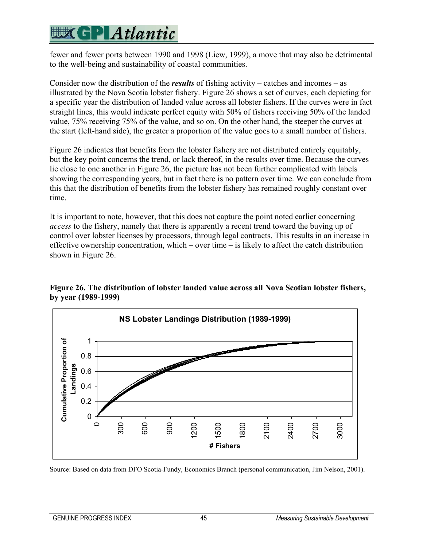### **EXCPLAtlantic**

fewer and fewer ports between 1990 and 1998 (Liew, 1999), a move that may also be detrimental to the well-being and sustainability of coastal communities.

Consider now the distribution of the *results* of fishing activity – catches and incomes – as illustrated by the Nova Scotia lobster fishery. Figure 26 shows a set of curves, each depicting for a specific year the distribution of landed value across all lobster fishers. If the curves were in fact straight lines, this would indicate perfect equity with 50% of fishers receiving 50% of the landed value, 75% receiving 75% of the value, and so on. On the other hand, the steeper the curves at the start (left-hand side), the greater a proportion of the value goes to a small number of fishers.

Figure 26 indicates that benefits from the lobster fishery are not distributed entirely equitably, but the key point concerns the trend, or lack thereof, in the results over time. Because the curves lie close to one another in Figure 26, the picture has not been further complicated with labels showing the corresponding years, but in fact there is no pattern over time. We can conclude from this that the distribution of benefits from the lobster fishery has remained roughly constant over time.

It is important to note, however, that this does not capture the point noted earlier concerning *access* to the fishery, namely that there is apparently a recent trend toward the buying up of control over lobster licenses by processors, through legal contracts. This results in an increase in effective ownership concentration, which – over time – is likely to affect the catch distribution shown in Figure 26.



**Figure 26. The distribution of lobster landed value across all Nova Scotian lobster fishers, by year (1989-1999)**

Source: Based on data from DFO Scotia-Fundy, Economics Branch (personal communication, Jim Nelson, 2001).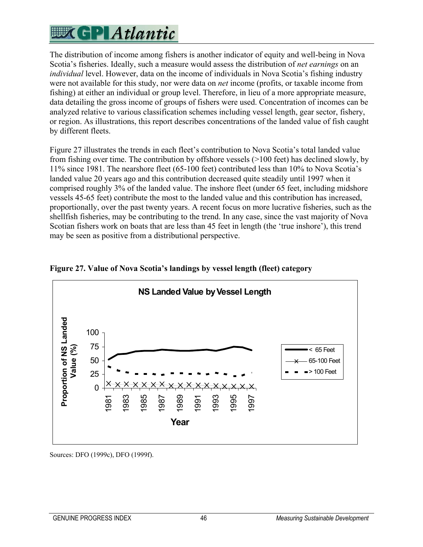The distribution of income among fishers is another indicator of equity and well-being in Nova Scotia's fisheries. Ideally, such a measure would assess the distribution of *net earnings* on an *individual* level. However, data on the income of individuals in Nova Scotia's fishing industry were not available for this study, nor were data on *net* income (profits, or taxable income from fishing) at either an individual or group level. Therefore, in lieu of a more appropriate measure, data detailing the gross income of groups of fishers were used. Concentration of incomes can be analyzed relative to various classification schemes including vessel length, gear sector, fishery, or region. As illustrations, this report describes concentrations of the landed value of fish caught by different fleets.

Figure 27 illustrates the trends in each fleet's contribution to Nova Scotia's total landed value from fishing over time. The contribution by offshore vessels (>100 feet) has declined slowly, by 11% since 1981. The nearshore fleet (65-100 feet) contributed less than 10% to Nova Scotia's landed value 20 years ago and this contribution decreased quite steadily until 1997 when it comprised roughly 3% of the landed value. The inshore fleet (under 65 feet, including midshore vessels 45-65 feet) contribute the most to the landed value and this contribution has increased, proportionally, over the past twenty years. A recent focus on more lucrative fisheries, such as the shellfish fisheries, may be contributing to the trend. In any case, since the vast majority of Nova Scotian fishers work on boats that are less than 45 feet in length (the 'true inshore'), this trend may be seen as positive from a distributional perspective.



#### **Figure 27. Value of Nova Scotia's landings by vessel length (fleet) category**

Sources: DFO (1999c), DFO (1999f).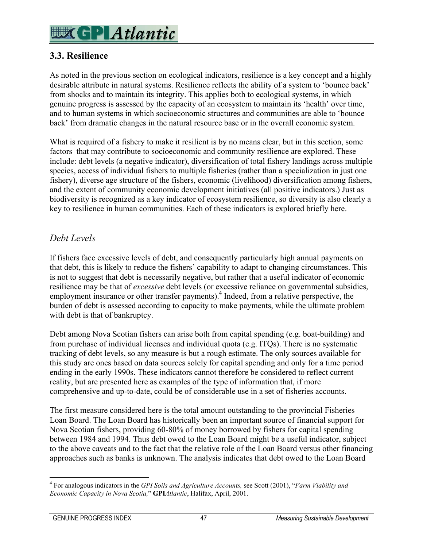### **WK GP Atlantic**

### **3.3. Resilience**

As noted in the previous section on ecological indicators, resilience is a key concept and a highly desirable attribute in natural systems. Resilience reflects the ability of a system to 'bounce back' from shocks and to maintain its integrity. This applies both to ecological systems, in which genuine progress is assessed by the capacity of an ecosystem to maintain its 'health' over time, and to human systems in which socioeconomic structures and communities are able to 'bounce back' from dramatic changes in the natural resource base or in the overall economic system.

What is required of a fishery to make it resilient is by no means clear, but in this section, some factors that may contribute to socioeconomic and community resilience are explored. These include: debt levels (a negative indicator), diversification of total fishery landings across multiple species, access of individual fishers to multiple fisheries (rather than a specialization in just one fishery), diverse age structure of the fishers, economic (livelihood) diversification among fishers, and the extent of community economic development initiatives (all positive indicators.) Just as biodiversity is recognized as a key indicator of ecosystem resilience, so diversity is also clearly a key to resilience in human communities. Each of these indicators is explored briefly here.

#### *Debt Levels*

If fishers face excessive levels of debt, and consequently particularly high annual payments on that debt, this is likely to reduce the fishers' capability to adapt to changing circumstances. This is not to suggest that debt is necessarily negative, but rather that a useful indicator of economic resilience may be that of *excessive* debt levels (or excessive reliance on governmental subsidies, employment insurance or other transfer payments).<sup>4</sup> Indeed, from a relative perspective, the burden of debt is assessed according to capacity to make payments, while the ultimate problem with debt is that of bankruptcy.

Debt among Nova Scotian fishers can arise both from capital spending (e.g. boat-building) and from purchase of individual licenses and individual quota (e.g. ITQs). There is no systematic tracking of debt levels, so any measure is but a rough estimate. The only sources available for this study are ones based on data sources solely for capital spending and only for a time period ending in the early 1990s. These indicators cannot therefore be considered to reflect current reality, but are presented here as examples of the type of information that, if more comprehensive and up-to-date, could be of considerable use in a set of fisheries accounts.

The first measure considered here is the total amount outstanding to the provincial Fisheries Loan Board. The Loan Board has historically been an important source of financial support for Nova Scotian fishers, providing 60-80% of money borrowed by fishers for capital spending between 1984 and 1994. Thus debt owed to the Loan Board might be a useful indicator, subject to the above caveats and to the fact that the relative role of the Loan Board versus other financing approaches such as banks is unknown. The analysis indicates that debt owed to the Loan Board

 $\overline{a}$ 

<sup>4</sup> For analogous indicators in the *GPI Soils and Agriculture Accounts,* see Scott (2001), "*Farm Viability and Economic Capacity in Nova Scotia,*" **GPI***Atlantic*, Halifax, April, 2001.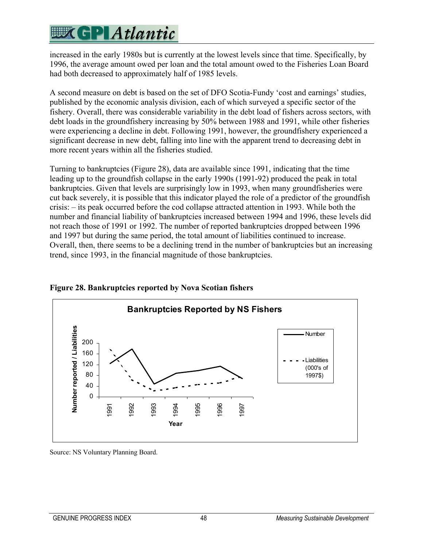## **EXCPLAtlantic**

increased in the early 1980s but is currently at the lowest levels since that time. Specifically, by 1996, the average amount owed per loan and the total amount owed to the Fisheries Loan Board had both decreased to approximately half of 1985 levels.

A second measure on debt is based on the set of DFO Scotia-Fundy 'cost and earnings' studies, published by the economic analysis division, each of which surveyed a specific sector of the fishery. Overall, there was considerable variability in the debt load of fishers across sectors, with debt loads in the groundfishery increasing by 50% between 1988 and 1991, while other fisheries were experiencing a decline in debt. Following 1991, however, the groundfishery experienced a significant decrease in new debt, falling into line with the apparent trend to decreasing debt in more recent years within all the fisheries studied.

Turning to bankruptcies (Figure 28), data are available since 1991, indicating that the time leading up to the groundfish collapse in the early 1990s (1991-92) produced the peak in total bankruptcies. Given that levels are surprisingly low in 1993, when many groundfisheries were cut back severely, it is possible that this indicator played the role of a predictor of the groundfish crisis: – its peak occurred before the cod collapse attracted attention in 1993. While both the number and financial liability of bankruptcies increased between 1994 and 1996, these levels did not reach those of 1991 or 1992. The number of reported bankruptcies dropped between 1996 and 1997 but during the same period, the total amount of liabilities continued to increase. Overall, then, there seems to be a declining trend in the number of bankruptcies but an increasing trend, since 1993, in the financial magnitude of those bankruptcies.



**Figure 28. Bankruptcies reported by Nova Scotian fishers** 

Source: NS Voluntary Planning Board.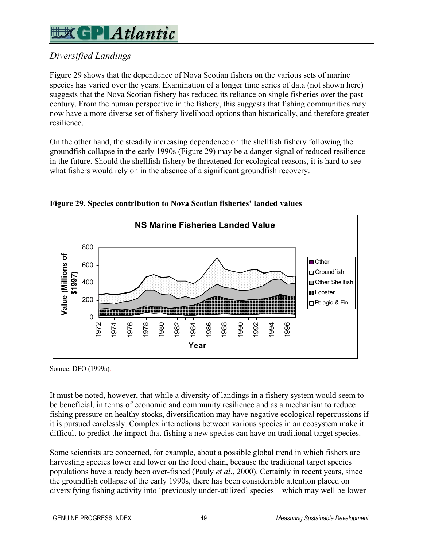## **WGP** Atlantic

### *Diversified Landings*

Figure 29 shows that the dependence of Nova Scotian fishers on the various sets of marine species has varied over the years. Examination of a longer time series of data (not shown here) suggests that the Nova Scotian fishery has reduced its reliance on single fisheries over the past century. From the human perspective in the fishery, this suggests that fishing communities may now have a more diverse set of fishery livelihood options than historically, and therefore greater resilience.

On the other hand, the steadily increasing dependence on the shellfish fishery following the groundfish collapse in the early 1990s (Figure 29) may be a danger signal of reduced resilience in the future. Should the shellfish fishery be threatened for ecological reasons, it is hard to see what fishers would rely on in the absence of a significant groundfish recovery.



**Figure 29. Species contribution to Nova Scotian fisheries' landed values** 

Source: DFO (1999a).

It must be noted, however, that while a diversity of landings in a fishery system would seem to be beneficial, in terms of economic and community resilience and as a mechanism to reduce fishing pressure on healthy stocks, diversification may have negative ecological repercussions if it is pursued carelessly. Complex interactions between various species in an ecosystem make it difficult to predict the impact that fishing a new species can have on traditional target species.

Some scientists are concerned, for example, about a possible global trend in which fishers are harvesting species lower and lower on the food chain, because the traditional target species populations have already been over-fished (Pauly *et al*., 2000). Certainly in recent years, since the groundfish collapse of the early 1990s, there has been considerable attention placed on diversifying fishing activity into 'previously under-utilized' species – which may well be lower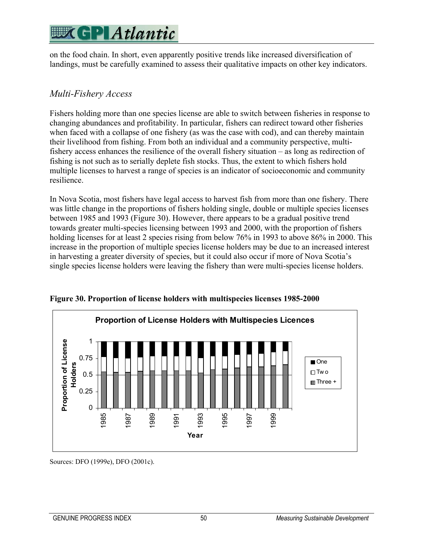on the food chain. In short, even apparently positive trends like increased diversification of landings, must be carefully examined to assess their qualitative impacts on other key indicators.

#### *Multi-Fishery Access*

Fishers holding more than one species license are able to switch between fisheries in response to changing abundances and profitability. In particular, fishers can redirect toward other fisheries when faced with a collapse of one fishery (as was the case with cod), and can thereby maintain their livelihood from fishing. From both an individual and a community perspective, multifishery access enhances the resilience of the overall fishery situation – as long as redirection of fishing is not such as to serially deplete fish stocks. Thus, the extent to which fishers hold multiple licenses to harvest a range of species is an indicator of socioeconomic and community resilience.

In Nova Scotia, most fishers have legal access to harvest fish from more than one fishery. There was little change in the proportions of fishers holding single, double or multiple species licenses between 1985 and 1993 (Figure 30). However, there appears to be a gradual positive trend towards greater multi-species licensing between 1993 and 2000, with the proportion of fishers holding licenses for at least 2 species rising from below 76% in 1993 to above 86% in 2000. This increase in the proportion of multiple species license holders may be due to an increased interest in harvesting a greater diversity of species, but it could also occur if more of Nova Scotia's single species license holders were leaving the fishery than were multi-species license holders.



**Figure 30. Proportion of license holders with multispecies licenses 1985-2000** 

Sources: DFO (1999e), DFO (2001c).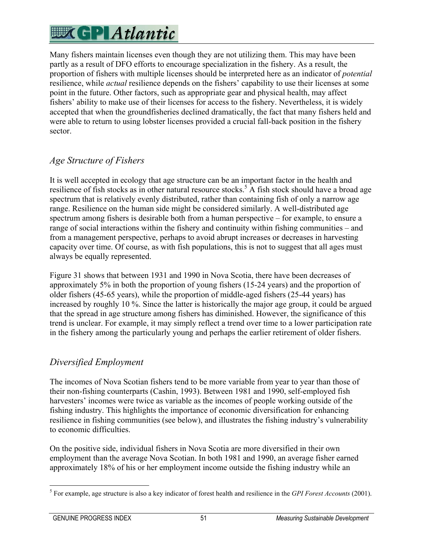Many fishers maintain licenses even though they are not utilizing them. This may have been partly as a result of DFO efforts to encourage specialization in the fishery. As a result, the proportion of fishers with multiple licenses should be interpreted here as an indicator of *potential* resilience, while *actual* resilience depends on the fishers' capability to use their licenses at some point in the future. Other factors, such as appropriate gear and physical health, may affect fishers' ability to make use of their licenses for access to the fishery. Nevertheless, it is widely accepted that when the groundfisheries declined dramatically, the fact that many fishers held and were able to return to using lobster licenses provided a crucial fall-back position in the fishery sector.

### *Age Structure of Fishers*

It is well accepted in ecology that age structure can be an important factor in the health and resilience of fish stocks as in other natural resource stocks.<sup>5</sup> A fish stock should have a broad age spectrum that is relatively evenly distributed, rather than containing fish of only a narrow age range. Resilience on the human side might be considered similarly. A well-distributed age spectrum among fishers is desirable both from a human perspective – for example, to ensure a range of social interactions within the fishery and continuity within fishing communities – and from a management perspective, perhaps to avoid abrupt increases or decreases in harvesting capacity over time. Of course, as with fish populations, this is not to suggest that all ages must always be equally represented.

Figure 31 shows that between 1931 and 1990 in Nova Scotia, there have been decreases of approximately 5% in both the proportion of young fishers (15-24 years) and the proportion of older fishers (45-65 years), while the proportion of middle-aged fishers (25-44 years) has increased by roughly 10 %. Since the latter is historically the major age group, it could be argued that the spread in age structure among fishers has diminished. However, the significance of this trend is unclear. For example, it may simply reflect a trend over time to a lower participation rate in the fishery among the particularly young and perhaps the earlier retirement of older fishers.

#### *Diversified Employment*

The incomes of Nova Scotian fishers tend to be more variable from year to year than those of their non-fishing counterparts (Cashin, 1993). Between 1981 and 1990, self-employed fish harvesters' incomes were twice as variable as the incomes of people working outside of the fishing industry. This highlights the importance of economic diversification for enhancing resilience in fishing communities (see below), and illustrates the fishing industry's vulnerability to economic difficulties.

On the positive side, individual fishers in Nova Scotia are more diversified in their own employment than the average Nova Scotian. In both 1981 and 1990, an average fisher earned approximately 18% of his or her employment income outside the fishing industry while an

 5 For example, age structure is also a key indicator of forest health and resilience in the *GPI Forest Accounts* (2001).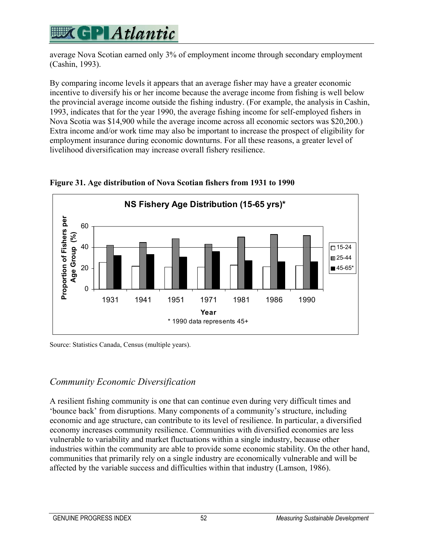## **WGPI Atlantic**

average Nova Scotian earned only 3% of employment income through secondary employment (Cashin, 1993).

By comparing income levels it appears that an average fisher may have a greater economic incentive to diversify his or her income because the average income from fishing is well below the provincial average income outside the fishing industry. (For example, the analysis in Cashin, 1993, indicates that for the year 1990, the average fishing income for self-employed fishers in Nova Scotia was \$14,900 while the average income across all economic sectors was \$20,200.) Extra income and/or work time may also be important to increase the prospect of eligibility for employment insurance during economic downturns. For all these reasons, a greater level of livelihood diversification may increase overall fishery resilience.



**Figure 31. Age distribution of Nova Scotian fishers from 1931 to 1990** 

Source: Statistics Canada, Census (multiple years).

### *Community Economic Diversification*

A resilient fishing community is one that can continue even during very difficult times and 'bounce back' from disruptions. Many components of a community's structure, including economic and age structure, can contribute to its level of resilience. In particular, a diversified economy increases community resilience. Communities with diversified economies are less vulnerable to variability and market fluctuations within a single industry, because other industries within the community are able to provide some economic stability. On the other hand, communities that primarily rely on a single industry are economically vulnerable and will be affected by the variable success and difficulties within that industry (Lamson, 1986).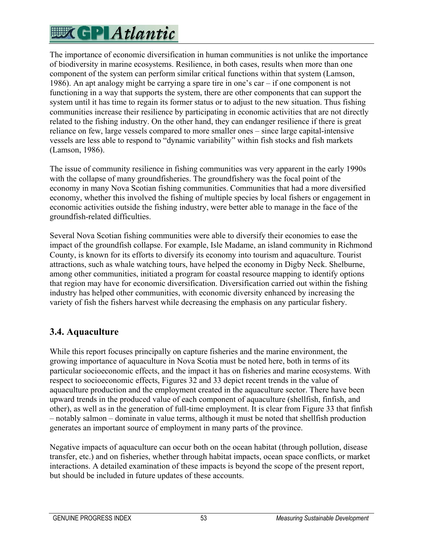The importance of economic diversification in human communities is not unlike the importance of biodiversity in marine ecosystems. Resilience, in both cases, results when more than one component of the system can perform similar critical functions within that system (Lamson, 1986). An apt analogy might be carrying a spare tire in one's car – if one component is not functioning in a way that supports the system, there are other components that can support the system until it has time to regain its former status or to adjust to the new situation. Thus fishing communities increase their resilience by participating in economic activities that are not directly related to the fishing industry. On the other hand, they can endanger resilience if there is great reliance on few, large vessels compared to more smaller ones – since large capital-intensive vessels are less able to respond to "dynamic variability" within fish stocks and fish markets (Lamson, 1986).

The issue of community resilience in fishing communities was very apparent in the early 1990s with the collapse of many groundfisheries. The groundfishery was the focal point of the economy in many Nova Scotian fishing communities. Communities that had a more diversified economy, whether this involved the fishing of multiple species by local fishers or engagement in economic activities outside the fishing industry, were better able to manage in the face of the groundfish-related difficulties.

Several Nova Scotian fishing communities were able to diversify their economies to ease the impact of the groundfish collapse. For example, Isle Madame, an island community in Richmond County, is known for its efforts to diversify its economy into tourism and aquaculture. Tourist attractions, such as whale watching tours, have helped the economy in Digby Neck. Shelburne, among other communities, initiated a program for coastal resource mapping to identify options that region may have for economic diversification. Diversification carried out within the fishing industry has helped other communities, with economic diversity enhanced by increasing the variety of fish the fishers harvest while decreasing the emphasis on any particular fishery.

### **3.4. Aquaculture**

While this report focuses principally on capture fisheries and the marine environment, the growing importance of aquaculture in Nova Scotia must be noted here, both in terms of its particular socioeconomic effects, and the impact it has on fisheries and marine ecosystems. With respect to socioeconomic effects, Figures 32 and 33 depict recent trends in the value of aquaculture production and the employment created in the aquaculture sector. There have been upward trends in the produced value of each component of aquaculture (shellfish, finfish, and other), as well as in the generation of full-time employment. It is clear from Figure 33 that finfish – notably salmon – dominate in value terms, although it must be noted that shellfish production generates an important source of employment in many parts of the province.

Negative impacts of aquaculture can occur both on the ocean habitat (through pollution, disease transfer, etc.) and on fisheries, whether through habitat impacts, ocean space conflicts, or market interactions. A detailed examination of these impacts is beyond the scope of the present report, but should be included in future updates of these accounts.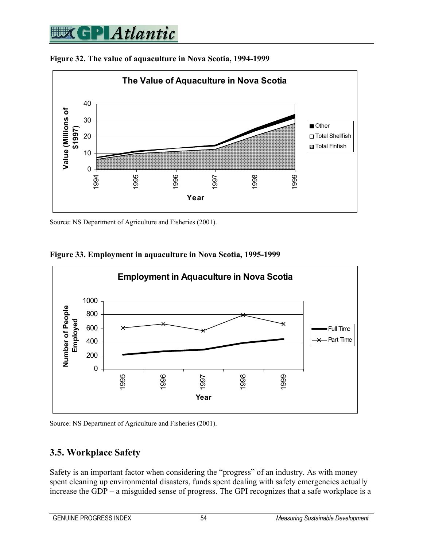## **SPIAtlantic**



**Figure 32. The value of aquaculture in Nova Scotia, 1994-1999** 

Source: NS Department of Agriculture and Fisheries (2001).



**Figure 33. Employment in aquaculture in Nova Scotia, 1995-1999** 



#### **3.5. Workplace Safety**

Safety is an important factor when considering the "progress" of an industry. As with money spent cleaning up environmental disasters, funds spent dealing with safety emergencies actually increase the GDP – a misguided sense of progress. The GPI recognizes that a safe workplace is a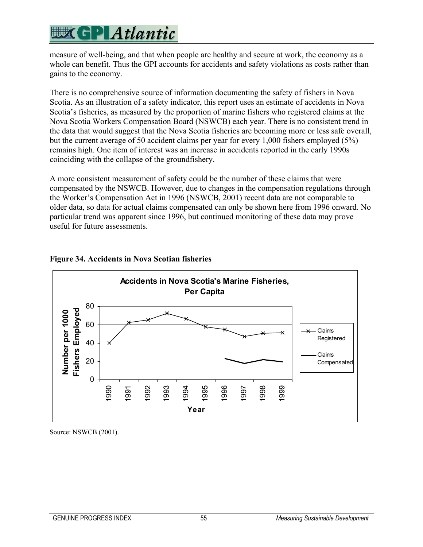measure of well-being, and that when people are healthy and secure at work, the economy as a whole can benefit. Thus the GPI accounts for accidents and safety violations as costs rather than gains to the economy.

There is no comprehensive source of information documenting the safety of fishers in Nova Scotia. As an illustration of a safety indicator, this report uses an estimate of accidents in Nova Scotia's fisheries, as measured by the proportion of marine fishers who registered claims at the Nova Scotia Workers Compensation Board (NSWCB) each year. There is no consistent trend in the data that would suggest that the Nova Scotia fisheries are becoming more or less safe overall, but the current average of 50 accident claims per year for every 1,000 fishers employed (5%) remains high. One item of interest was an increase in accidents reported in the early 1990s coinciding with the collapse of the groundfishery.

A more consistent measurement of safety could be the number of these claims that were compensated by the NSWCB. However, due to changes in the compensation regulations through the Worker's Compensation Act in 1996 (NSWCB, 2001) recent data are not comparable to older data, so data for actual claims compensated can only be shown here from 1996 onward. No particular trend was apparent since 1996, but continued monitoring of these data may prove useful for future assessments.



#### **Figure 34. Accidents in Nova Scotian fisheries**

Source: NSWCB (2001).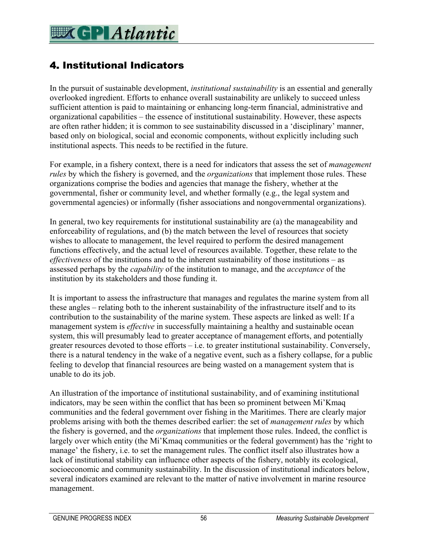### 4. Institutional Indicators

In the pursuit of sustainable development, *institutional sustainability* is an essential and generally overlooked ingredient. Efforts to enhance overall sustainability are unlikely to succeed unless sufficient attention is paid to maintaining or enhancing long-term financial, administrative and organizational capabilities – the essence of institutional sustainability. However, these aspects are often rather hidden; it is common to see sustainability discussed in a 'disciplinary' manner, based only on biological, social and economic components, without explicitly including such institutional aspects. This needs to be rectified in the future.

For example, in a fishery context, there is a need for indicators that assess the set of *management rules* by which the fishery is governed, and the *organizations* that implement those rules. These organizations comprise the bodies and agencies that manage the fishery, whether at the governmental, fisher or community level, and whether formally (e.g., the legal system and governmental agencies) or informally (fisher associations and nongovernmental organizations).

In general, two key requirements for institutional sustainability are (a) the manageability and enforceability of regulations, and (b) the match between the level of resources that society wishes to allocate to management, the level required to perform the desired management functions effectively, and the actual level of resources available. Together, these relate to the *effectiveness* of the institutions and to the inherent sustainability of those institutions – as assessed perhaps by the *capability* of the institution to manage, and the *acceptance* of the institution by its stakeholders and those funding it.

It is important to assess the infrastructure that manages and regulates the marine system from all these angles – relating both to the inherent sustainability of the infrastructure itself and to its contribution to the sustainability of the marine system. These aspects are linked as well: If a management system is *effective* in successfully maintaining a healthy and sustainable ocean system, this will presumably lead to greater acceptance of management efforts, and potentially greater resources devoted to those efforts – i.e. to greater institutional sustainability. Conversely, there is a natural tendency in the wake of a negative event, such as a fishery collapse, for a public feeling to develop that financial resources are being wasted on a management system that is unable to do its job.

An illustration of the importance of institutional sustainability, and of examining institutional indicators, may be seen within the conflict that has been so prominent between Mi'Kmaq communities and the federal government over fishing in the Maritimes. There are clearly major problems arising with both the themes described earlier: the set of *management rules* by which the fishery is governed, and the *organizations* that implement those rules. Indeed, the conflict is largely over which entity (the Mi'Kmaq communities or the federal government) has the 'right to manage' the fishery, i.e. to set the management rules. The conflict itself also illustrates how a lack of institutional stability can influence other aspects of the fishery, notably its ecological, socioeconomic and community sustainability. In the discussion of institutional indicators below, several indicators examined are relevant to the matter of native involvement in marine resource management.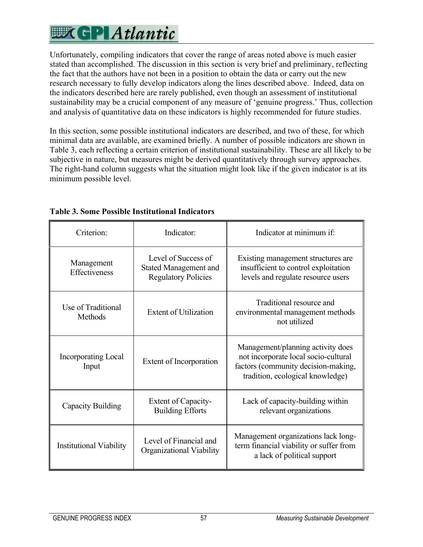## **EXCPLAtlantic**

Unfortunately, compiling indicators that cover the range of areas noted above is much easier stated than accomplished. The discussion in this section is very brief and preliminary, reflecting the fact that the authors have not been in a position to obtain the data or carry out the new research necessary to fully develop indicators along the lines described above. Indeed, data on the indicators described here are rarely published, even though an assessment of institutional sustainability may be a crucial component of any measure of 'genuine progress.' Thus, collection and analysis of quantitative data on these indicators is highly recommended for future studies.

In this section, some possible institutional indicators are described, and two of these, for which minimal data are available, are examined briefly. A number of possible indicators are shown in Table 3, each reflecting a certain criterion of institutional sustainability. These are all likely to be subjective in nature, but measures might be derived quantitatively through survey approaches. The right-hand column suggests what the situation might look like if the given indicator is at its minimum possible level.

| Criterion:                                                                           | Indicator:                                                                        | Indicator at minimum if:                                                                                                                             |  |
|--------------------------------------------------------------------------------------|-----------------------------------------------------------------------------------|------------------------------------------------------------------------------------------------------------------------------------------------------|--|
| Management<br>Effectiveness                                                          | Level of Success of<br><b>Stated Management and</b><br><b>Regulatory Policies</b> | Existing management structures are<br>insufficient to control exploitation<br>levels and regulate resource users                                     |  |
| Use of Traditional<br>Methods                                                        | <b>Extent of Utilization</b>                                                      | Traditional resource and<br>environmental management methods<br>not utilized                                                                         |  |
| <b>Incorporating Local</b><br>Input                                                  | Extent of Incorporation                                                           | Management/planning activity does<br>not incorporate local socio-cultural<br>factors (community decision-making,<br>tradition, ecological knowledge) |  |
| Capacity Building                                                                    | Extent of Capacity-<br><b>Building Efforts</b>                                    | Lack of capacity-building within<br>relevant organizations                                                                                           |  |
| Level of Financial and<br><b>Institutional Viability</b><br>Organizational Viability |                                                                                   | Management organizations lack long-<br>term financial viability or suffer from<br>a lack of political support                                        |  |

#### **Table 3. Some Possible Institutional Indicators**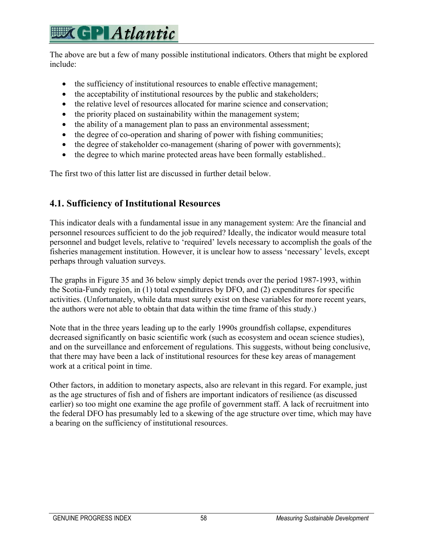## **EX GPLAtlantic**

The above are but a few of many possible institutional indicators. Others that might be explored include:

- the sufficiency of institutional resources to enable effective management;
- the acceptability of institutional resources by the public and stakeholders;
- the relative level of resources allocated for marine science and conservation:
- the priority placed on sustainability within the management system;
- the ability of a management plan to pass an environmental assessment;
- the degree of co-operation and sharing of power with fishing communities;
- the degree of stakeholder co-management (sharing of power with governments);
- the degree to which marine protected areas have been formally established...

The first two of this latter list are discussed in further detail below.

### **4.1. Sufficiency of Institutional Resources**

This indicator deals with a fundamental issue in any management system: Are the financial and personnel resources sufficient to do the job required? Ideally, the indicator would measure total personnel and budget levels, relative to 'required' levels necessary to accomplish the goals of the fisheries management institution. However, it is unclear how to assess 'necessary' levels, except perhaps through valuation surveys.

The graphs in Figure 35 and 36 below simply depict trends over the period 1987-1993, within the Scotia-Fundy region, in (1) total expenditures by DFO, and (2) expenditures for specific activities. (Unfortunately, while data must surely exist on these variables for more recent years, the authors were not able to obtain that data within the time frame of this study.)

Note that in the three years leading up to the early 1990s groundfish collapse, expenditures decreased significantly on basic scientific work (such as ecosystem and ocean science studies), and on the surveillance and enforcement of regulations. This suggests, without being conclusive, that there may have been a lack of institutional resources for these key areas of management work at a critical point in time.

Other factors, in addition to monetary aspects, also are relevant in this regard. For example, just as the age structures of fish and of fishers are important indicators of resilience (as discussed earlier) so too might one examine the age profile of government staff. A lack of recruitment into the federal DFO has presumably led to a skewing of the age structure over time, which may have a bearing on the sufficiency of institutional resources.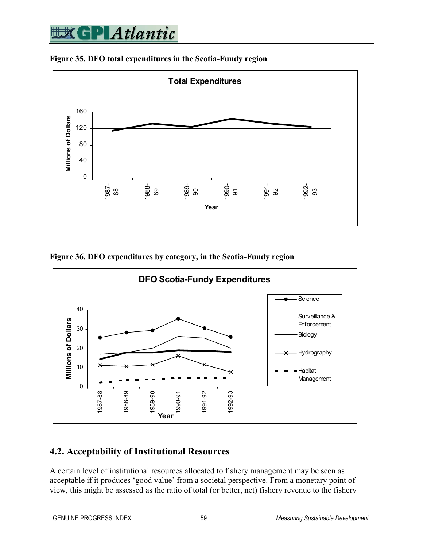

**Figure 35. DFO total expenditures in the Scotia-Fundy region** 

**Figure 36. DFO expenditures by category, in the Scotia-Fundy region** 



### **4.2. Acceptability of Institutional Resources**

A certain level of institutional resources allocated to fishery management may be seen as acceptable if it produces 'good value' from a societal perspective. From a monetary point of view, this might be assessed as the ratio of total (or better, net) fishery revenue to the fishery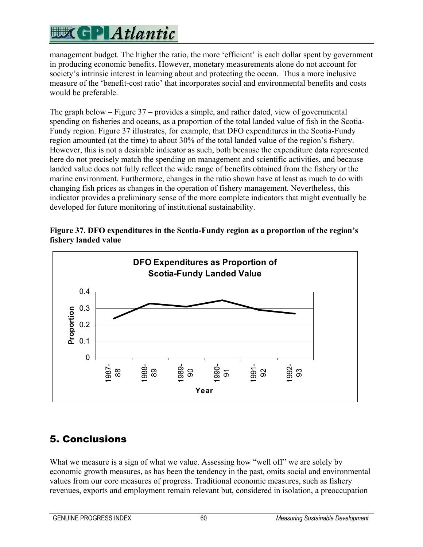## **EXCPLAtlantic**

management budget. The higher the ratio, the more 'efficient' is each dollar spent by government in producing economic benefits. However, monetary measurements alone do not account for society's intrinsic interest in learning about and protecting the ocean. Thus a more inclusive measure of the 'benefit-cost ratio' that incorporates social and environmental benefits and costs would be preferable.

The graph below – Figure 37 – provides a simple, and rather dated, view of governmental spending on fisheries and oceans, as a proportion of the total landed value of fish in the Scotia-Fundy region. Figure 37 illustrates, for example, that DFO expenditures in the Scotia-Fundy region amounted (at the time) to about 30% of the total landed value of the region's fishery. However, this is not a desirable indicator as such, both because the expenditure data represented here do not precisely match the spending on management and scientific activities, and because landed value does not fully reflect the wide range of benefits obtained from the fishery or the marine environment. Furthermore, changes in the ratio shown have at least as much to do with changing fish prices as changes in the operation of fishery management. Nevertheless, this indicator provides a preliminary sense of the more complete indicators that might eventually be developed for future monitoring of institutional sustainability.





## 5. Conclusions

What we measure is a sign of what we value. Assessing how "well off" we are solely by economic growth measures, as has been the tendency in the past, omits social and environmental values from our core measures of progress. Traditional economic measures, such as fishery revenues, exports and employment remain relevant but, considered in isolation, a preoccupation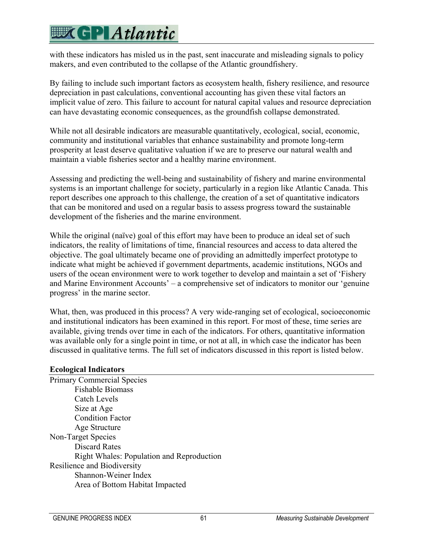## **EX GP Atlantic**

with these indicators has misled us in the past, sent inaccurate and misleading signals to policy makers, and even contributed to the collapse of the Atlantic groundfishery.

By failing to include such important factors as ecosystem health, fishery resilience, and resource depreciation in past calculations, conventional accounting has given these vital factors an implicit value of zero. This failure to account for natural capital values and resource depreciation can have devastating economic consequences, as the groundfish collapse demonstrated.

While not all desirable indicators are measurable quantitatively, ecological, social, economic, community and institutional variables that enhance sustainability and promote long-term prosperity at least deserve qualitative valuation if we are to preserve our natural wealth and maintain a viable fisheries sector and a healthy marine environment.

Assessing and predicting the well-being and sustainability of fishery and marine environmental systems is an important challenge for society, particularly in a region like Atlantic Canada. This report describes one approach to this challenge, the creation of a set of quantitative indicators that can be monitored and used on a regular basis to assess progress toward the sustainable development of the fisheries and the marine environment.

While the original (naïve) goal of this effort may have been to produce an ideal set of such indicators, the reality of limitations of time, financial resources and access to data altered the objective. The goal ultimately became one of providing an admittedly imperfect prototype to indicate what might be achieved if government departments, academic institutions, NGOs and users of the ocean environment were to work together to develop and maintain a set of 'Fishery and Marine Environment Accounts' – a comprehensive set of indicators to monitor our 'genuine progress' in the marine sector.

What, then, was produced in this process? A very wide-ranging set of ecological, socioeconomic and institutional indicators has been examined in this report. For most of these, time series are available, giving trends over time in each of the indicators. For others, quantitative information was available only for a single point in time, or not at all, in which case the indicator has been discussed in qualitative terms. The full set of indicators discussed in this report is listed below.

#### **Ecological Indicators**

Primary Commercial Species Fishable Biomass Catch Levels Size at Age Condition Factor Age Structure Non-Target Species Discard Rates Right Whales: Population and Reproduction Resilience and Biodiversity Shannon-Weiner Index Area of Bottom Habitat Impacted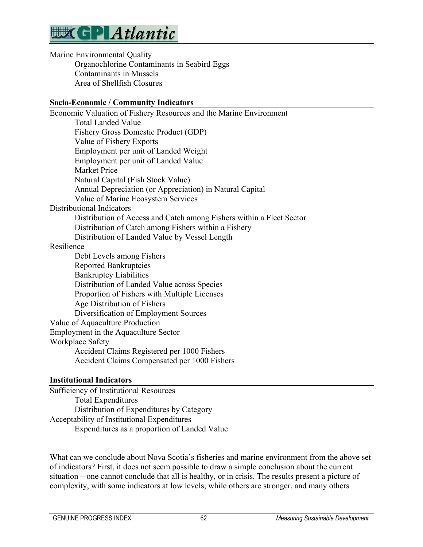

Marine Environmental Quality Organochlorine Contaminants in Seabird Eggs Contaminants in Mussels Area of Shellfish Closures

#### **Socio-Economic / Community Indicators**

| Economic Valuation of Fishery Resources and the Marine Environment                                                                                                                                                                                                                                                                                                                                                       |
|--------------------------------------------------------------------------------------------------------------------------------------------------------------------------------------------------------------------------------------------------------------------------------------------------------------------------------------------------------------------------------------------------------------------------|
| <b>Total Landed Value</b>                                                                                                                                                                                                                                                                                                                                                                                                |
| Fishery Gross Domestic Product (GDP)                                                                                                                                                                                                                                                                                                                                                                                     |
| Value of Fishery Exports                                                                                                                                                                                                                                                                                                                                                                                                 |
| Employment per unit of Landed Weight                                                                                                                                                                                                                                                                                                                                                                                     |
| Employment per unit of Landed Value                                                                                                                                                                                                                                                                                                                                                                                      |
| <b>Market Price</b>                                                                                                                                                                                                                                                                                                                                                                                                      |
| Natural Capital (Fish Stock Value)                                                                                                                                                                                                                                                                                                                                                                                       |
| Annual Depreciation (or Appreciation) in Natural Capital                                                                                                                                                                                                                                                                                                                                                                 |
| Value of Marine Ecosystem Services                                                                                                                                                                                                                                                                                                                                                                                       |
| <b>Distributional Indicators</b>                                                                                                                                                                                                                                                                                                                                                                                         |
| Distribution of Access and Catch among Fishers within a Fleet Sector                                                                                                                                                                                                                                                                                                                                                     |
| Distribution of Catch among Fishers within a Fishery                                                                                                                                                                                                                                                                                                                                                                     |
| Distribution of Landed Value by Vessel Length                                                                                                                                                                                                                                                                                                                                                                            |
| Resilience                                                                                                                                                                                                                                                                                                                                                                                                               |
| Debt Levels among Fishers                                                                                                                                                                                                                                                                                                                                                                                                |
| <b>Reported Bankruptcies</b>                                                                                                                                                                                                                                                                                                                                                                                             |
| <b>Bankruptcy Liabilities</b>                                                                                                                                                                                                                                                                                                                                                                                            |
| Distribution of Landed Value across Species                                                                                                                                                                                                                                                                                                                                                                              |
| Proportion of Fishers with Multiple Licenses                                                                                                                                                                                                                                                                                                                                                                             |
| Age Distribution of Fishers                                                                                                                                                                                                                                                                                                                                                                                              |
| Diversification of Employment Sources                                                                                                                                                                                                                                                                                                                                                                                    |
| Value of Aquaculture Production                                                                                                                                                                                                                                                                                                                                                                                          |
| Employment in the Aquaculture Sector                                                                                                                                                                                                                                                                                                                                                                                     |
| Workplace Safety                                                                                                                                                                                                                                                                                                                                                                                                         |
| Accident Claims Registered per 1000 Fishers                                                                                                                                                                                                                                                                                                                                                                              |
| Accident Claims Compensated per 1000 Fishers                                                                                                                                                                                                                                                                                                                                                                             |
| $\mathbf{X} = \mathbf{A} \mathbf{A} + \mathbf{A} \mathbf{A} + \mathbf{A} \mathbf{A} + \mathbf{A} \mathbf{A} + \mathbf{A} \mathbf{A} + \mathbf{A} \mathbf{A} + \mathbf{A} \mathbf{A} + \mathbf{A} \mathbf{A} + \mathbf{A} \mathbf{A} + \mathbf{A} \mathbf{A} + \mathbf{A} \mathbf{A} + \mathbf{A} \mathbf{A} + \mathbf{A} \mathbf{A} + \mathbf{A} \mathbf{A} + \mathbf{A} \mathbf{A} + \mathbf{A} \mathbf{A} + \mathbf{A$ |

#### **Institutional Indicators**

Sufficiency of Institutional Resources Total Expenditures Distribution of Expenditures by Category Acceptability of Institutional Expenditures Expenditures as a proportion of Landed Value

What can we conclude about Nova Scotia's fisheries and marine environment from the above set of indicators? First, it does not seem possible to draw a simple conclusion about the current situation – one cannot conclude that all is healthy, or in crisis. The results present a picture of complexity, with some indicators at low levels, while others are stronger, and many others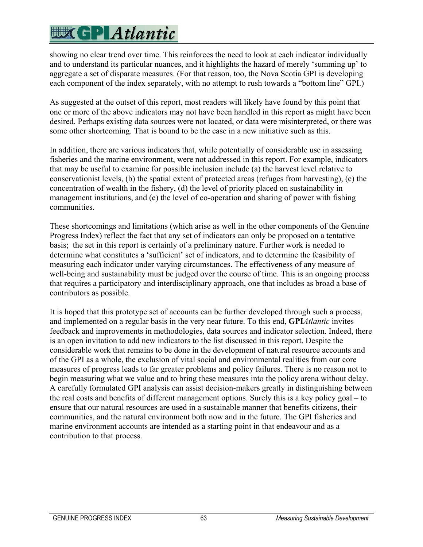## **EXCPLAtlantic**

showing no clear trend over time. This reinforces the need to look at each indicator individually and to understand its particular nuances, and it highlights the hazard of merely 'summing up' to aggregate a set of disparate measures. (For that reason, too, the Nova Scotia GPI is developing each component of the index separately, with no attempt to rush towards a "bottom line" GPI.)

As suggested at the outset of this report, most readers will likely have found by this point that one or more of the above indicators may not have been handled in this report as might have been desired. Perhaps existing data sources were not located, or data were misinterpreted, or there was some other shortcoming. That is bound to be the case in a new initiative such as this.

In addition, there are various indicators that, while potentially of considerable use in assessing fisheries and the marine environment, were not addressed in this report. For example, indicators that may be useful to examine for possible inclusion include (a) the harvest level relative to conservationist levels, (b) the spatial extent of protected areas (refuges from harvesting), (c) the concentration of wealth in the fishery, (d) the level of priority placed on sustainability in management institutions, and (e) the level of co-operation and sharing of power with fishing communities.

These shortcomings and limitations (which arise as well in the other components of the Genuine Progress Index) reflect the fact that any set of indicators can only be proposed on a tentative basis; the set in this report is certainly of a preliminary nature. Further work is needed to determine what constitutes a 'sufficient' set of indicators, and to determine the feasibility of measuring each indicator under varying circumstances. The effectiveness of any measure of well-being and sustainability must be judged over the course of time. This is an ongoing process that requires a participatory and interdisciplinary approach, one that includes as broad a base of contributors as possible.

It is hoped that this prototype set of accounts can be further developed through such a process, and implemented on a regular basis in the very near future. To this end, **GPI***Atlantic* invites feedback and improvements in methodologies, data sources and indicator selection. Indeed, there is an open invitation to add new indicators to the list discussed in this report. Despite the considerable work that remains to be done in the development of natural resource accounts and of the GPI as a whole, the exclusion of vital social and environmental realities from our core measures of progress leads to far greater problems and policy failures. There is no reason not to begin measuring what we value and to bring these measures into the policy arena without delay. A carefully formulated GPI analysis can assist decision-makers greatly in distinguishing between the real costs and benefits of different management options. Surely this is a key policy goal – to ensure that our natural resources are used in a sustainable manner that benefits citizens, their communities, and the natural environment both now and in the future. The GPI fisheries and marine environment accounts are intended as a starting point in that endeavour and as a contribution to that process.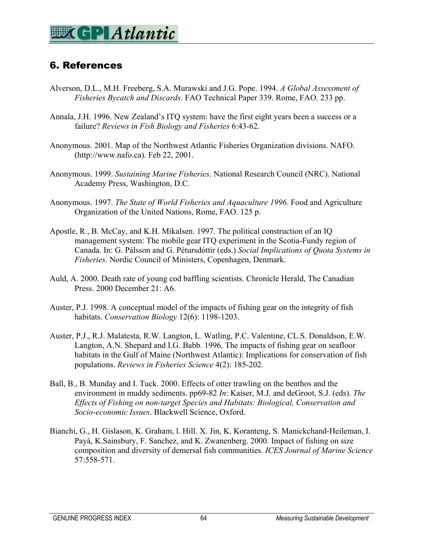## 6. References

- Alverson, D.L., M.H. Freeberg, S.A. Murawski and J.G. Pope. 1994. *A Global Assessment of Fisheries Bycatch and Discards*. FAO Technical Paper 339. Rome, FAO. 233 pp.
- Annala, J.H. 1996. New Zealand's ITQ system: have the first eight years been a success or a failure? *Reviews in Fish Biology and Fisheries* 6:43-62.
- Anonymous. 2001. Map of the Northwest Atlantic Fisheries Organization divisions. NAFO. (http://www.nafo.ca). Feb 22, 2001.
- Anonymous. 1999. *Sustaining Marine Fisheries*. National Research Council (NRC). National Academy Press, Washington, D.C.
- Anonymous. 1997. *The State of World Fisheries and Aquaculture 1996*. Food and Agriculture Organization of the United Nations, Rome, FAO. 125 p.
- Apostle, R., B. McCay, and K.H. Mikalsen. 1997. The political construction of an IQ management system: The mobile gear ITQ experiment in the Scotia-Fundy region of Canada. In: G. Pálsson and G. Pétursdóttir (eds.) *Social Implications of Quota Systems in Fisheries*. Nordic Council of Ministers, Copenhagen, Denmark.
- Auld, A. 2000. Death rate of young cod baffling scientists. Chronicle Herald, The Canadian Press. 2000 December 21: A6.
- Auster, P.J. 1998. A conceptual model of the impacts of fishing gear on the integrity of fish habitats. *Conservation Biology* 12(6): 1198-1203.
- Auster, P.J., R.J. Malatesta, R.W. Langton, L. Watling, P.C. Valentine, CL.S. Donaldson, E.W. Langton, A.N. Shepard and I.G. Babb. 1996. The impacts of fishing gear on seafloor habitats in the Gulf of Maine (Northwest Atlantic): Implications for conservation of fish populations. *Reviews in Fisheries Science* 4(2): 185-202.
- Ball, B., B. Munday and I. Tuck. 2000. Effects of otter trawling on the benthos and the environment in muddy sediments. pp69-82 *In*: Kaiser, M.J. and deGroot, S.J. (eds). *The Effects of Fishing on non-target Species and Habitats: Biological, Conservation and Socio-economic Issues*. Blackwell Science, Oxford.
- Bianchi, G., H. Gislason, K. Graham, l. Hill. X. Jin, K. Koranteng, S. Manickchand-Heileman, I. Payá, K.Sainsbury, F. Sanchez, and K. Zwanenberg. 2000. Impact of fishing on size composition and diversity of demersal fish communities. *ICES Journal of Marine Science* 57:558-571.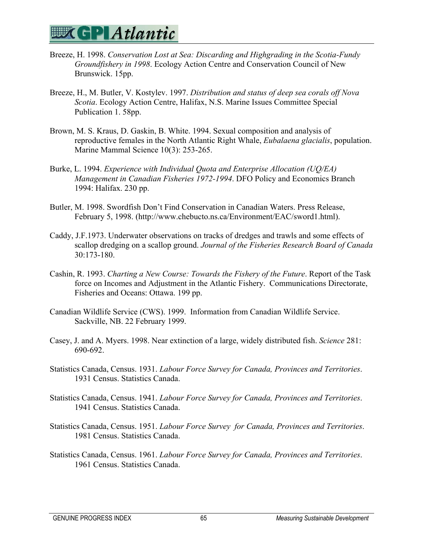

- Breeze, H. 1998. *Conservation Lost at Sea: Discarding and Highgrading in the Scotia-Fundy Groundfishery in 1998*. Ecology Action Centre and Conservation Council of New Brunswick. 15pp.
- Breeze, H., M. Butler, V. Kostylev. 1997. *Distribution and status of deep sea corals off Nova Scotia*. Ecology Action Centre, Halifax, N.S. Marine Issues Committee Special Publication 1. 58pp.
- Brown, M. S. Kraus, D. Gaskin, B. White. 1994. Sexual composition and analysis of reproductive females in the North Atlantic Right Whale, *Eubalaena glacialis*, population. Marine Mammal Science 10(3): 253-265.
- Burke, L. 1994. *Experience with Individual Quota and Enterprise Allocation (UQ/EA) Management in Canadian Fisheries 1972-1994*. DFO Policy and Economics Branch 1994: Halifax. 230 pp.
- Butler, M. 1998. Swordfish Don't Find Conservation in Canadian Waters. Press Release, February 5, 1998. (http://www.chebucto.ns.ca/Environment/EAC/sword1.html).
- Caddy, J.F.1973. Underwater observations on tracks of dredges and trawls and some effects of scallop dredging on a scallop ground. *Journal of the Fisheries Research Board of Canada* 30:173-180.
- Cashin, R. 1993. *Charting a New Course: Towards the Fishery of the Future*. Report of the Task force on Incomes and Adjustment in the Atlantic Fishery. Communications Directorate, Fisheries and Oceans: Ottawa. 199 pp.
- Canadian Wildlife Service (CWS). 1999. Information from Canadian Wildlife Service. Sackville, NB. 22 February 1999.
- Casey, J. and A. Myers. 1998. Near extinction of a large, widely distributed fish. *Science* 281: 690-692.
- Statistics Canada, Census. 1931. *Labour Force Survey for Canada, Provinces and Territories*. 1931 Census. Statistics Canada.
- Statistics Canada, Census. 1941. *Labour Force Survey for Canada, Provinces and Territories*. 1941 Census. Statistics Canada.
- Statistics Canada, Census. 1951. *Labour Force Survey for Canada, Provinces and Territories*. 1981 Census. Statistics Canada.
- Statistics Canada, Census. 1961. *Labour Force Survey for Canada, Provinces and Territories*. 1961 Census. Statistics Canada.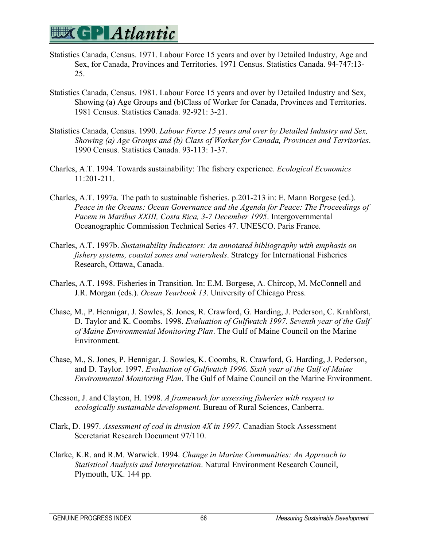- Statistics Canada, Census. 1971. Labour Force 15 years and over by Detailed Industry, Age and Sex, for Canada, Provinces and Territories. 1971 Census. Statistics Canada. 94-747:13- 25.
- Statistics Canada, Census. 1981. Labour Force 15 years and over by Detailed Industry and Sex, Showing (a) Age Groups and (b)Class of Worker for Canada, Provinces and Territories. 1981 Census. Statistics Canada. 92-921: 3-21.
- Statistics Canada, Census. 1990. *Labour Force 15 years and over by Detailed Industry and Sex, Showing (a) Age Groups and (b) Class of Worker for Canada, Provinces and Territories*. 1990 Census. Statistics Canada. 93-113: 1-37.
- Charles, A.T. 1994. Towards sustainability: The fishery experience. *Ecological Economics* 11:201-211.
- Charles, A.T. 1997a. The path to sustainable fisheries. p.201-213 in: E. Mann Borgese (ed.). *Peace in the Oceans: Ocean Governance and the Agenda for Peace: The Proceedings of Pacem in Maribus XXIII, Costa Rica, 3-7 December 1995*. Intergovernmental Oceanographic Commission Technical Series 47. UNESCO. Paris France.
- Charles, A.T. 1997b. *Sustainability Indicators: An annotated bibliography with emphasis on fishery systems, coastal zones and watersheds*. Strategy for International Fisheries Research, Ottawa, Canada.
- Charles, A.T. 1998. Fisheries in Transition. In: E.M. Borgese, A. Chircop, M. McConnell and J.R. Morgan (eds.). *Ocean Yearbook 13*. University of Chicago Press.
- Chase, M., P. Hennigar, J. Sowles, S. Jones, R. Crawford, G. Harding, J. Pederson, C. Krahforst, D. Taylor and K. Coombs. 1998. *Evaluation of Gulfwatch 1997. Seventh year of the Gulf of Maine Environmental Monitoring Plan*. The Gulf of Maine Council on the Marine Environment.
- Chase, M., S. Jones, P. Hennigar, J. Sowles, K. Coombs, R. Crawford, G. Harding, J. Pederson, and D. Taylor. 1997. *Evaluation of Gulfwatch 1996. Sixth year of the Gulf of Maine Environmental Monitoring Plan*. The Gulf of Maine Council on the Marine Environment.
- Chesson, J. and Clayton, H. 1998. *A framework for assessing fisheries with respect to ecologically sustainable development*. Bureau of Rural Sciences, Canberra.
- Clark, D. 1997. *Assessment of cod in division 4X in 1997*. Canadian Stock Assessment Secretariat Research Document 97/110.
- Clarke, K.R. and R.M. Warwick. 1994. *Change in Marine Communities: An Approach to Statistical Analysis and Interpretation*. Natural Environment Research Council, Plymouth, UK. 144 pp.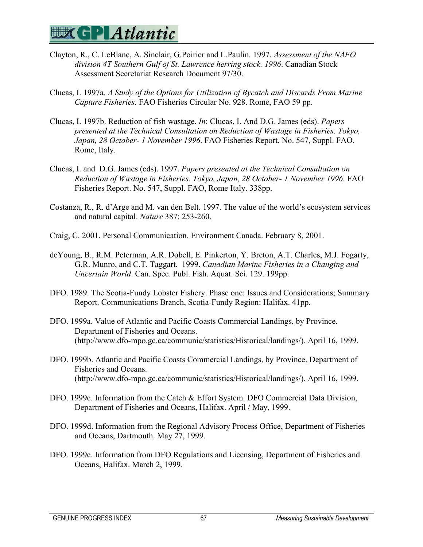- Clayton, R., C. LeBlanc, A. Sinclair, G.Poirier and L.Paulin. 1997. *Assessment of the NAFO division 4T Southern Gulf of St. Lawrence herring stock. 1996*. Canadian Stock Assessment Secretariat Research Document 97/30.
- Clucas, I. 1997a. *A Study of the Options for Utilization of Bycatch and Discards From Marine Capture Fisheries*. FAO Fisheries Circular No. 928. Rome, FAO 59 pp.
- Clucas, I. 1997b. Reduction of fish wastage. *In*: Clucas, I. And D.G. James (eds). *Papers presented at the Technical Consultation on Reduction of Wastage in Fisheries. Tokyo, Japan, 28 October- 1 November 1996*. FAO Fisheries Report. No. 547, Suppl. FAO. Rome, Italy.
- Clucas, I. and D.G. James (eds). 1997. *Papers presented at the Technical Consultation on Reduction of Wastage in Fisheries. Tokyo, Japan, 28 October- 1 November 1996*. FAO Fisheries Report. No. 547, Suppl. FAO, Rome Italy. 338pp.
- Costanza, R., R. d'Arge and M. van den Belt. 1997. The value of the world's ecosystem services and natural capital. *Nature* 387: 253-260.
- Craig, C. 2001. Personal Communication. Environment Canada. February 8, 2001.
- deYoung, B., R.M. Peterman, A.R. Dobell, E. Pinkerton, Y. Breton, A.T. Charles, M.J. Fogarty, G.R. Munro, and C.T. Taggart. 1999. *Canadian Marine Fisheries in a Changing and Uncertain World*. Can. Spec. Publ. Fish. Aquat. Sci. 129. 199pp.
- DFO. 1989. The Scotia-Fundy Lobster Fishery. Phase one: Issues and Considerations; Summary Report. Communications Branch, Scotia-Fundy Region: Halifax. 41pp.
- DFO. 1999a. Value of Atlantic and Pacific Coasts Commercial Landings, by Province. Department of Fisheries and Oceans. (http://www.dfo-mpo.gc.ca/communic/statistics/Historical/landings/). April 16, 1999.
- DFO. 1999b. Atlantic and Pacific Coasts Commercial Landings, by Province. Department of Fisheries and Oceans. (http://www.dfo-mpo.gc.ca/communic/statistics/Historical/landings/). April 16, 1999.
- DFO. 1999c. Information from the Catch & Effort System. DFO Commercial Data Division, Department of Fisheries and Oceans, Halifax. April / May, 1999.
- DFO. 1999d. Information from the Regional Advisory Process Office, Department of Fisheries and Oceans, Dartmouth. May 27, 1999.
- DFO. 1999e. Information from DFO Regulations and Licensing, Department of Fisheries and Oceans, Halifax. March 2, 1999.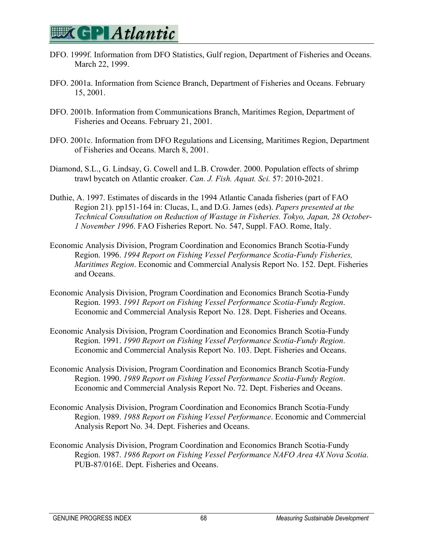- DFO. 1999f. Information from DFO Statistics, Gulf region, Department of Fisheries and Oceans. March 22, 1999.
- DFO. 2001a. Information from Science Branch, Department of Fisheries and Oceans. February 15, 2001.
- DFO. 2001b. Information from Communications Branch, Maritimes Region, Department of Fisheries and Oceans. February 21, 2001.
- DFO. 2001c. Information from DFO Regulations and Licensing, Maritimes Region, Department of Fisheries and Oceans. March 8, 2001.
- Diamond, S.L., G. Lindsay, G. Cowell and L.B. Crowder. 2000. Population effects of shrimp trawl bycatch on Atlantic croaker. *Can. J. Fish. Aquat. Sci.* 57: 2010-2021.
- Duthie, A. 1997. Estimates of discards in the 1994 Atlantic Canada fisheries (part of FAO Region 21). pp151-164 in: Clucas, I., and D.G. James (eds). *Papers presented at the Technical Consultation on Reduction of Wastage in Fisheries. Tokyo, Japan, 28 October-1 November 1996*. FAO Fisheries Report. No. 547, Suppl. FAO. Rome, Italy.
- Economic Analysis Division, Program Coordination and Economics Branch Scotia-Fundy Region. 1996. *1994 Report on Fishing Vessel Performance Scotia-Fundy Fisheries, Maritimes Region*. Economic and Commercial Analysis Report No. 152. Dept. Fisheries and Oceans.
- Economic Analysis Division, Program Coordination and Economics Branch Scotia-Fundy Region. 1993. *1991 Report on Fishing Vessel Performance Scotia-Fundy Region*. Economic and Commercial Analysis Report No. 128. Dept. Fisheries and Oceans.
- Economic Analysis Division, Program Coordination and Economics Branch Scotia-Fundy Region. 1991. *1990 Report on Fishing Vessel Performance Scotia-Fundy Region*. Economic and Commercial Analysis Report No. 103. Dept. Fisheries and Oceans.
- Economic Analysis Division, Program Coordination and Economics Branch Scotia-Fundy Region. 1990. *1989 Report on Fishing Vessel Performance Scotia-Fundy Region*. Economic and Commercial Analysis Report No. 72. Dept. Fisheries and Oceans.
- Economic Analysis Division, Program Coordination and Economics Branch Scotia-Fundy Region. 1989. *1988 Report on Fishing Vessel Performance*. Economic and Commercial Analysis Report No. 34. Dept. Fisheries and Oceans.
- Economic Analysis Division, Program Coordination and Economics Branch Scotia-Fundy Region. 1987. *1986 Report on Fishing Vessel Performance NAFO Area 4X Nova Scotia*. PUB-87/016E. Dept. Fisheries and Oceans.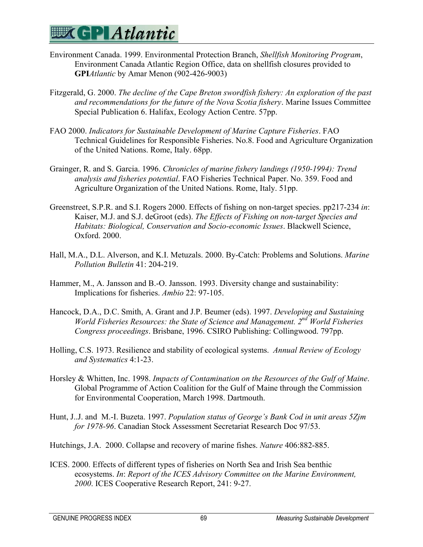

- Environment Canada. 1999. Environmental Protection Branch, *Shellfish Monitoring Program*, Environment Canada Atlantic Region Office, data on shellfish closures provided to **GPI***Atlantic* by Amar Menon (902-426-9003)
- Fitzgerald, G. 2000. *The decline of the Cape Breton swordfish fishery: An exploration of the past and recommendations for the future of the Nova Scotia fishery*. Marine Issues Committee Special Publication 6. Halifax, Ecology Action Centre. 57pp.
- FAO 2000. *Indicators for Sustainable Development of Marine Capture Fisheries*. FAO Technical Guidelines for Responsible Fisheries. No.8. Food and Agriculture Organization of the United Nations. Rome, Italy. 68pp.
- Grainger, R. and S. Garcia. 1996. *Chronicles of marine fishery landings (1950-1994): Trend analysis and fisheries potential*. FAO Fisheries Technical Paper. No. 359. Food and Agriculture Organization of the United Nations. Rome, Italy. 51pp.
- Greenstreet, S.P.R. and S.I. Rogers 2000. Effects of fishing on non-target species. pp217-234 *in*: Kaiser, M.J. and S.J. deGroot (eds). *The Effects of Fishing on non-target Species and Habitats: Biological, Conservation and Socio-economic Issues*. Blackwell Science, Oxford. 2000.
- Hall, M.A., D.L. Alverson, and K.I. Metuzals. 2000. By-Catch: Problems and Solutions. *Marine Pollution Bulletin* 41: 204-219.
- Hammer, M., A. Jansson and B.-O. Jansson. 1993. Diversity change and sustainability: Implications for fisheries. *Ambio* 22: 97-105.
- Hancock, D.A., D.C. Smith, A. Grant and J.P. Beumer (eds). 1997. *Developing and Sustaining World Fisheries Resources: the State of Science and Management. 2nd World Fisheries Congress proceedings*. Brisbane, 1996. CSIRO Publishing: Collingwood. 797pp.
- Holling, C.S. 1973. Resilience and stability of ecological systems. *Annual Review of Ecology and Systematics* 4:1-23.
- Horsley & Whitten, Inc. 1998. *Impacts of Contamination on the Resources of the Gulf of Maine*. Global Programme of Action Coalition for the Gulf of Maine through the Commission for Environmental Cooperation, March 1998. Dartmouth.
- Hunt, J..J. and M.-I. Buzeta. 1997. *Population status of George's Bank Cod in unit areas 5Zjm for 1978-96*. Canadian Stock Assessment Secretariat Research Doc 97/53.
- Hutchings, J.A. 2000. Collapse and recovery of marine fishes. *Nature* 406:882-885.
- ICES. 2000. Effects of different types of fisheries on North Sea and Irish Sea benthic ecosystems. *In*: *Report of the ICES Advisory Committee on the Marine Environment, 2000*. ICES Cooperative Research Report, 241: 9-27.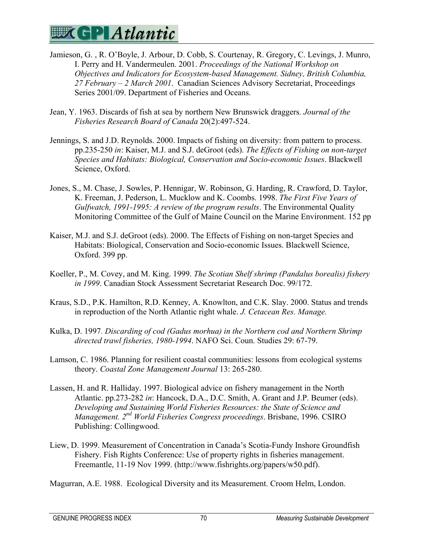

- Jamieson, G. , R. O'Boyle, J. Arbour, D. Cobb, S. Courtenay, R. Gregory, C. Levings, J. Munro, I. Perry and H. Vandermeulen. 2001. *Proceedings of the National Workshop on Objectives and Indicators for Ecosystem-based Management. Sidney, British Columbia, 27 February – 2 March 2001*. Canadian Sciences Advisory Secretariat, Proceedings Series 2001/09. Department of Fisheries and Oceans.
- Jean, Y. 1963. Discards of fish at sea by northern New Brunswick draggers*. Journal of the Fisheries Research Board of Canada* 20(2):497-524.
- Jennings, S. and J.D. Reynolds. 2000. Impacts of fishing on diversity: from pattern to process. pp.235-250 *in*: Kaiser, M.J. and S.J. deGroot (eds). *The Effects of Fishing on non-target Species and Habitats: Biological, Conservation and Socio-economic Issues*. Blackwell Science, Oxford.
- Jones, S., M. Chase, J. Sowles, P. Hennigar, W. Robinson, G. Harding, R. Crawford, D. Taylor, K. Freeman, J. Pederson, L. Mucklow and K. Coombs. 1998. *The First Five Years of Gulfwatch, 1991-1995: A review of the program results*. The Environmental Quality Monitoring Committee of the Gulf of Maine Council on the Marine Environment. 152 pp
- Kaiser, M.J. and S.J. deGroot (eds). 2000. The Effects of Fishing on non-target Species and Habitats: Biological, Conservation and Socio-economic Issues. Blackwell Science, Oxford. 399 pp.
- Koeller, P., M. Covey, and M. King. 1999. *The Scotian Shelf shrimp (Pandalus borealis) fishery in 1999*. Canadian Stock Assessment Secretariat Research Doc. 99/172.
- Kraus, S.D., P.K. Hamilton, R.D. Kenney, A. Knowlton, and C.K. Slay. 2000. Status and trends in reproduction of the North Atlantic right whale. *J. Cetacean Res. Manage.*
- Kulka, D. 1997. *Discarding of cod (Gadus morhua) in the Northern cod and Northern Shrimp directed trawl fisheries, 1980-1994*. NAFO Sci. Coun. Studies 29: 67-79.
- Lamson, C. 1986. Planning for resilient coastal communities: lessons from ecological systems theory. *Coastal Zone Management Journal* 13: 265-280.
- Lassen, H. and R. Halliday. 1997. Biological advice on fishery management in the North Atlantic. pp.273-282 *in*: Hancock, D.A., D.C. Smith, A. Grant and J.P. Beumer (eds). *Developing and Sustaining World Fisheries Resources: the State of Science and Management. 2nd World Fisheries Congress proceedings*. Brisbane, 1996. CSIRO Publishing: Collingwood.
- Liew, D. 1999. Measurement of Concentration in Canada's Scotia-Fundy Inshore Groundfish Fishery. Fish Rights Conference: Use of property rights in fisheries management. Freemantle, 11-19 Nov 1999. (http://www.fishrights.org/papers/w50.pdf).

Magurran, A.E. 1988. Ecological Diversity and its Measurement. Croom Helm, London.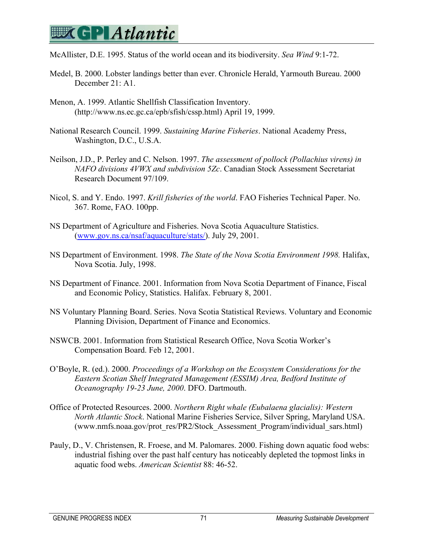## **EX GP Atlantic**

McAllister, D.E. 1995. Status of the world ocean and its biodiversity. *Sea Wind* 9:1-72.

- Medel, B. 2000. Lobster landings better than ever. Chronicle Herald, Yarmouth Bureau. 2000 December 21: A1.
- Menon, A. 1999. Atlantic Shellfish Classification Inventory. (http://www.ns.ec.gc.ca/epb/sfish/cssp.html) April 19, 1999.
- National Research Council. 1999. *Sustaining Marine Fisheries*. National Academy Press, Washington, D.C., U.S.A.
- Neilson, J.D., P. Perley and C. Nelson. 1997. *The assessment of pollock (Pollachius virens) in NAFO divisions 4VWX and subdivision 5Zc*. Canadian Stock Assessment Secretariat Research Document 97/109.
- Nicol, S. and Y. Endo. 1997. *Krill fisheries of the world*. FAO Fisheries Technical Paper. No. 367. Rome, FAO. 100pp.
- NS Department of Agriculture and Fisheries. Nova Scotia Aquaculture Statistics. (www.gov.ns.ca/nsaf/aquaculture/stats/). July 29, 2001.
- NS Department of Environment. 1998. *The State of the Nova Scotia Environment 1998.* Halifax, Nova Scotia. July, 1998.
- NS Department of Finance. 2001. Information from Nova Scotia Department of Finance, Fiscal and Economic Policy, Statistics. Halifax. February 8, 2001.
- NS Voluntary Planning Board. Series. Nova Scotia Statistical Reviews. Voluntary and Economic Planning Division, Department of Finance and Economics.
- NSWCB. 2001. Information from Statistical Research Office, Nova Scotia Worker's Compensation Board. Feb 12, 2001.
- O'Boyle, R. (ed.). 2000. *Proceedings of a Workshop on the Ecosystem Considerations for the Eastern Scotian Shelf Integrated Management (ESSIM) Area, Bedford Institute of Oceanography 19-23 June, 2000*. DFO. Dartmouth.
- Office of Protected Resources. 2000. *Northern Right whale (Eubalaena glacialis): Western North Atlantic Stock*. National Marine Fisheries Service, Silver Spring, Maryland USA. (www.nmfs.noaa.gov/prot\_res/PR2/Stock\_Assessment\_Program/individual\_sars.html)
- Pauly, D., V. Christensen, R. Froese, and M. Palomares. 2000. Fishing down aquatic food webs: industrial fishing over the past half century has noticeably depleted the topmost links in aquatic food webs. *American Scientist* 88: 46-52.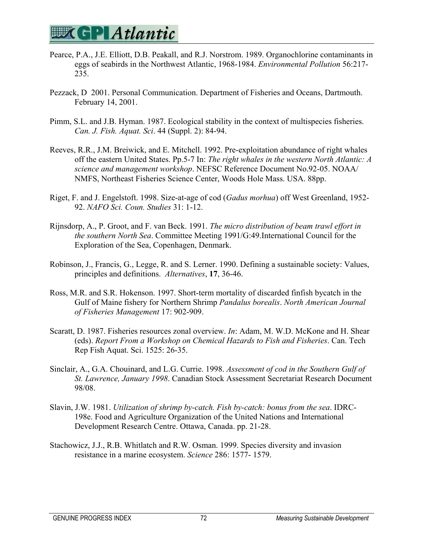

- Pearce, P.A., J.E. Elliott, D.B. Peakall, and R.J. Norstrom. 1989. Organochlorine contaminants in eggs of seabirds in the Northwest Atlantic, 1968-1984. *Environmental Pollution* 56:217- 235.
- Pezzack, D 2001. Personal Communication. Department of Fisheries and Oceans, Dartmouth. February 14, 2001.
- Pimm, S.L. and J.B. Hyman. 1987. Ecological stability in the context of multispecies fisheries. *Can. J. Fish. Aquat. Sci*. 44 (Suppl. 2): 84-94.
- Reeves, R.R., J.M. Breiwick, and E. Mitchell. 1992. Pre-exploitation abundance of right whales off the eastern United States. Pp.5-7 In: *The right whales in the western North Atlantic: A science and management workshop*. NEFSC Reference Document No.92-05. NOAA/ NMFS, Northeast Fisheries Science Center, Woods Hole Mass. USA. 88pp.
- Riget, F. and J. Engelstoft. 1998. Size-at-age of cod (*Gadus morhua*) off West Greenland, 1952- 92. *NAFO Sci. Coun. Studies* 31: 1-12.
- Rijnsdorp, A., P. Groot, and F. van Beck. 1991. *The micro distribution of beam trawl effort in the southern North Sea*. Committee Meeting 1991/G:49.International Council for the Exploration of the Sea, Copenhagen, Denmark.
- Robinson, J., Francis, G., Legge, R. and S. Lerner. 1990. Defining a sustainable society: Values, principles and definitions. *Alternatives*, **17**, 36-46.
- Ross, M.R. and S.R. Hokenson. 1997. Short-term mortality of discarded finfish bycatch in the Gulf of Maine fishery for Northern Shrimp *Pandalus borealis*. *North American Journal of Fisheries Management* 17: 902-909.
- Scaratt, D. 1987. Fisheries resources zonal overview. *In*: Adam, M. W.D. McKone and H. Shear (eds). *Report From a Workshop on Chemical Hazards to Fish and Fisheries*. Can. Tech Rep Fish Aquat. Sci. 1525: 26-35.
- Sinclair, A., G.A. Chouinard, and L.G. Currie. 1998. *Assessment of cod in the Southern Gulf of St. Lawrence, January 1998*. Canadian Stock Assessment Secretariat Research Document 98/08.
- Slavin, J.W. 1981. *Utilization of shrimp by-catch. Fish by-catch: bonus from the sea*. IDRC-198e. Food and Agriculture Organization of the United Nations and International Development Research Centre. Ottawa, Canada. pp. 21-28.
- Stachowicz, J.J., R.B. Whitlatch and R.W. Osman. 1999. Species diversity and invasion resistance in a marine ecosystem. *Science* 286: 1577- 1579.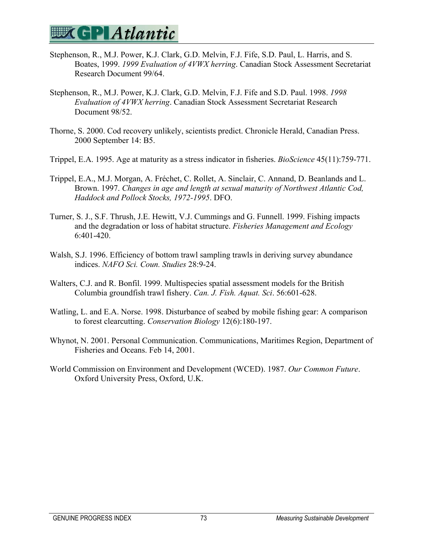- Stephenson, R., M.J. Power, K.J. Clark, G.D. Melvin, F.J. Fife, S.D. Paul, L. Harris, and S. Boates, 1999. *1999 Evaluation of 4VWX herring*. Canadian Stock Assessment Secretariat Research Document 99/64.
- Stephenson, R., M.J. Power, K.J. Clark, G.D. Melvin, F.J. Fife and S.D. Paul. 1998. *1998 Evaluation of 4VWX herring*. Canadian Stock Assessment Secretariat Research Document 98/52.
- Thorne, S. 2000. Cod recovery unlikely, scientists predict. Chronicle Herald, Canadian Press. 2000 September 14: B5.
- Trippel, E.A. 1995. Age at maturity as a stress indicator in fisheries. *BioScience* 45(11):759-771.
- Trippel, E.A., M.J. Morgan, A. Fréchet, C. Rollet, A. Sinclair, C. Annand, D. Beanlands and L. Brown. 1997. *Changes in age and length at sexual maturity of Northwest Atlantic Cod, Haddock and Pollock Stocks, 1972-1995*. DFO.
- Turner, S. J., S.F. Thrush, J.E. Hewitt, V.J. Cummings and G. Funnell. 1999. Fishing impacts and the degradation or loss of habitat structure. *Fisheries Management and Ecology* 6:401-420.
- Walsh, S.J. 1996. Efficiency of bottom trawl sampling trawls in deriving survey abundance indices. *NAFO Sci. Coun. Studies* 28:9-24.
- Walters, C.J. and R. Bonfil. 1999. Multispecies spatial assessment models for the British Columbia groundfish trawl fishery. *Can. J. Fish. Aquat. Sci*. 56:601-628.
- Watling, L. and E.A. Norse. 1998. Disturbance of seabed by mobile fishing gear: A comparison to forest clearcutting. *Conservation Biology* 12(6):180-197.
- Whynot, N. 2001. Personal Communication. Communications, Maritimes Region, Department of Fisheries and Oceans. Feb 14, 2001.
- World Commission on Environment and Development (WCED). 1987. *Our Common Future*. Oxford University Press, Oxford, U.K.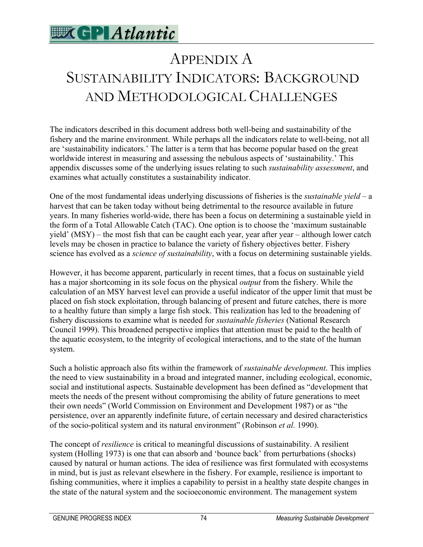

# APPENDIX A SUSTAINABILITY INDICATORS: BACKGROUND AND METHODOLOGICAL CHALLENGES

The indicators described in this document address both well-being and sustainability of the fishery and the marine environment. While perhaps all the indicators relate to well-being, not all are 'sustainability indicators.' The latter is a term that has become popular based on the great worldwide interest in measuring and assessing the nebulous aspects of 'sustainability.' This appendix discusses some of the underlying issues relating to such *sustainability assessment*, and examines what actually constitutes a sustainability indicator.

One of the most fundamental ideas underlying discussions of fisheries is the *sustainable yield* – a harvest that can be taken today without being detrimental to the resource available in future years. In many fisheries world-wide, there has been a focus on determining a sustainable yield in the form of a Total Allowable Catch (TAC). One option is to choose the 'maximum sustainable yield' (MSY) – the most fish that can be caught each year, year after year – although lower catch levels may be chosen in practice to balance the variety of fishery objectives better. Fishery science has evolved as a *science of sustainability*, with a focus on determining sustainable yields.

However, it has become apparent, particularly in recent times, that a focus on sustainable yield has a major shortcoming in its sole focus on the physical *output* from the fishery. While the calculation of an MSY harvest level can provide a useful indicator of the upper limit that must be placed on fish stock exploitation, through balancing of present and future catches, there is more to a healthy future than simply a large fish stock. This realization has led to the broadening of fishery discussions to examine what is needed for *sustainable fisheries* (National Research Council 1999). This broadened perspective implies that attention must be paid to the health of the aquatic ecosystem, to the integrity of ecological interactions, and to the state of the human system.

Such a holistic approach also fits within the framework of *sustainable development*. This implies the need to view sustainability in a broad and integrated manner, including ecological, economic, social and institutional aspects. Sustainable development has been defined as "development that meets the needs of the present without compromising the ability of future generations to meet their own needs" (World Commission on Environment and Development 1987) or as "the persistence, over an apparently indefinite future, of certain necessary and desired characteristics of the socio-political system and its natural environment" (Robinson *et al.* 1990).

The concept of *resilience* is critical to meaningful discussions of sustainability. A resilient system (Holling 1973) is one that can absorb and 'bounce back' from perturbations (shocks) caused by natural or human actions. The idea of resilience was first formulated with ecosystems in mind, but is just as relevant elsewhere in the fishery. For example, resilience is important to fishing communities, where it implies a capability to persist in a healthy state despite changes in the state of the natural system and the socioeconomic environment. The management system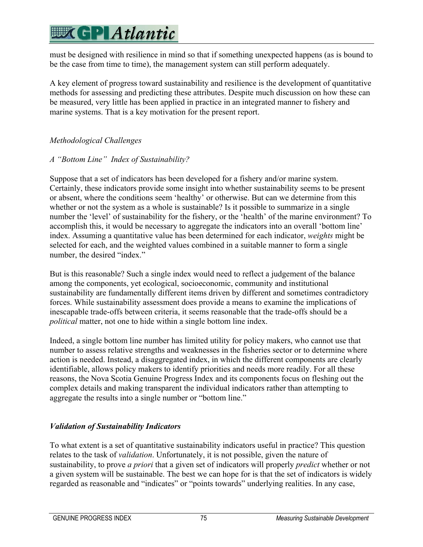# **EX GPLAtlantic**

must be designed with resilience in mind so that if something unexpected happens (as is bound to be the case from time to time), the management system can still perform adequately.

A key element of progress toward sustainability and resilience is the development of quantitative methods for assessing and predicting these attributes. Despite much discussion on how these can be measured, very little has been applied in practice in an integrated manner to fishery and marine systems. That is a key motivation for the present report.

### *Methodological Challenges*

### *A "Bottom Line" Index of Sustainability?*

Suppose that a set of indicators has been developed for a fishery and/or marine system. Certainly, these indicators provide some insight into whether sustainability seems to be present or absent, where the conditions seem 'healthy' or otherwise. But can we determine from this whether or not the system as a whole is sustainable? Is it possible to summarize in a single number the 'level' of sustainability for the fishery, or the 'health' of the marine environment? To accomplish this, it would be necessary to aggregate the indicators into an overall 'bottom line' index. Assuming a quantitative value has been determined for each indicator, *weights* might be selected for each, and the weighted values combined in a suitable manner to form a single number, the desired "index."

But is this reasonable? Such a single index would need to reflect a judgement of the balance among the components, yet ecological, socioeconomic, community and institutional sustainability are fundamentally different items driven by different and sometimes contradictory forces. While sustainability assessment does provide a means to examine the implications of inescapable trade-offs between criteria, it seems reasonable that the trade-offs should be a *political* matter, not one to hide within a single bottom line index.

Indeed, a single bottom line number has limited utility for policy makers, who cannot use that number to assess relative strengths and weaknesses in the fisheries sector or to determine where action is needed. Instead, a disaggregated index, in which the different components are clearly identifiable, allows policy makers to identify priorities and needs more readily. For all these reasons, the Nova Scotia Genuine Progress Index and its components focus on fleshing out the complex details and making transparent the individual indicators rather than attempting to aggregate the results into a single number or "bottom line."

### *Validation of Sustainability Indicators*

To what extent is a set of quantitative sustainability indicators useful in practice? This question relates to the task of *validation*. Unfortunately, it is not possible, given the nature of sustainability, to prove *a priori* that a given set of indicators will properly *predict* whether or not a given system will be sustainable. The best we can hope for is that the set of indicators is widely regarded as reasonable and "indicates" or "points towards" underlying realities. In any case,